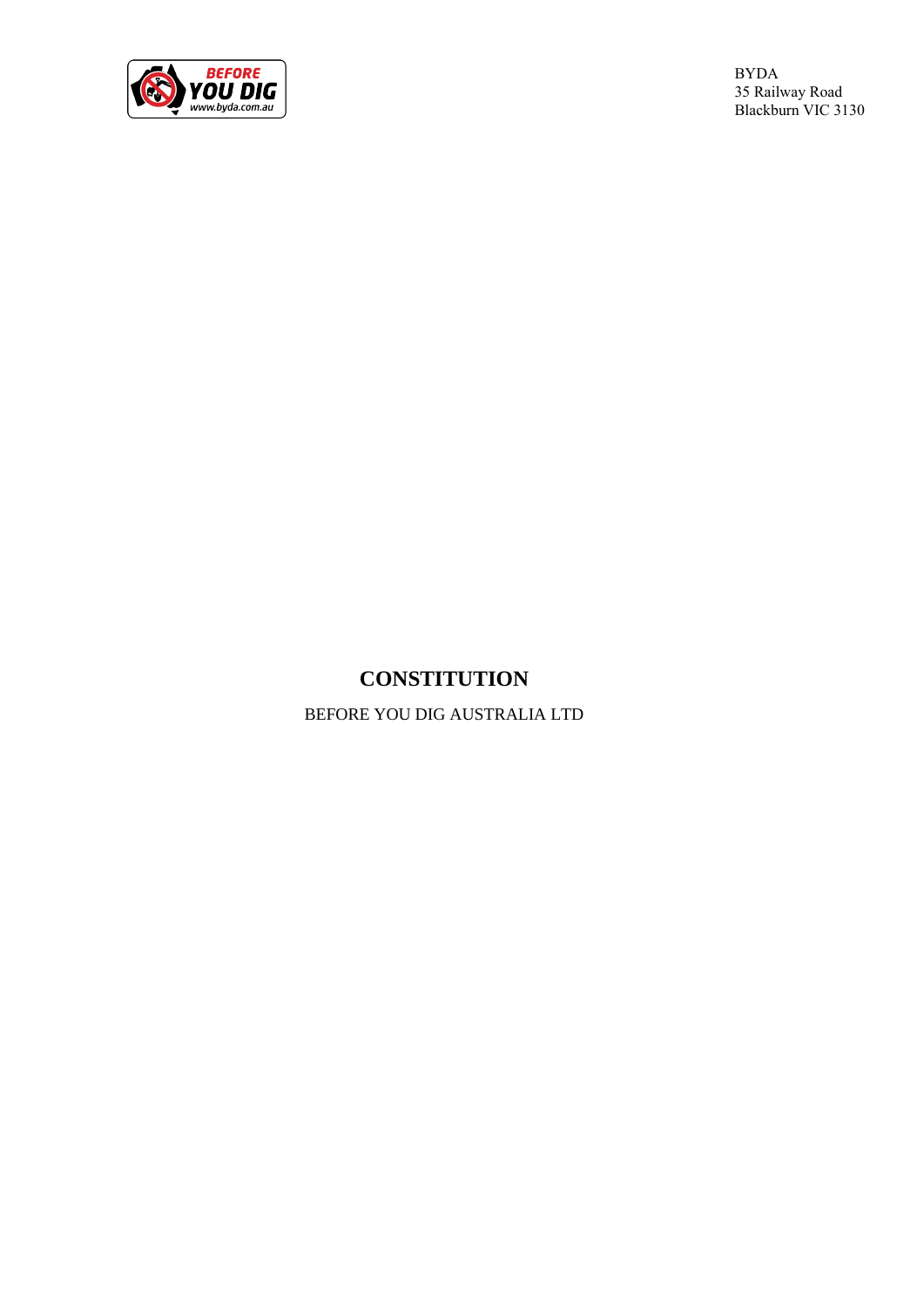

BYDA 35 Railway Road Blackburn VIC 3130

# **CONSTITUTION**

BEFORE YOU DIG AUSTRALIA LTD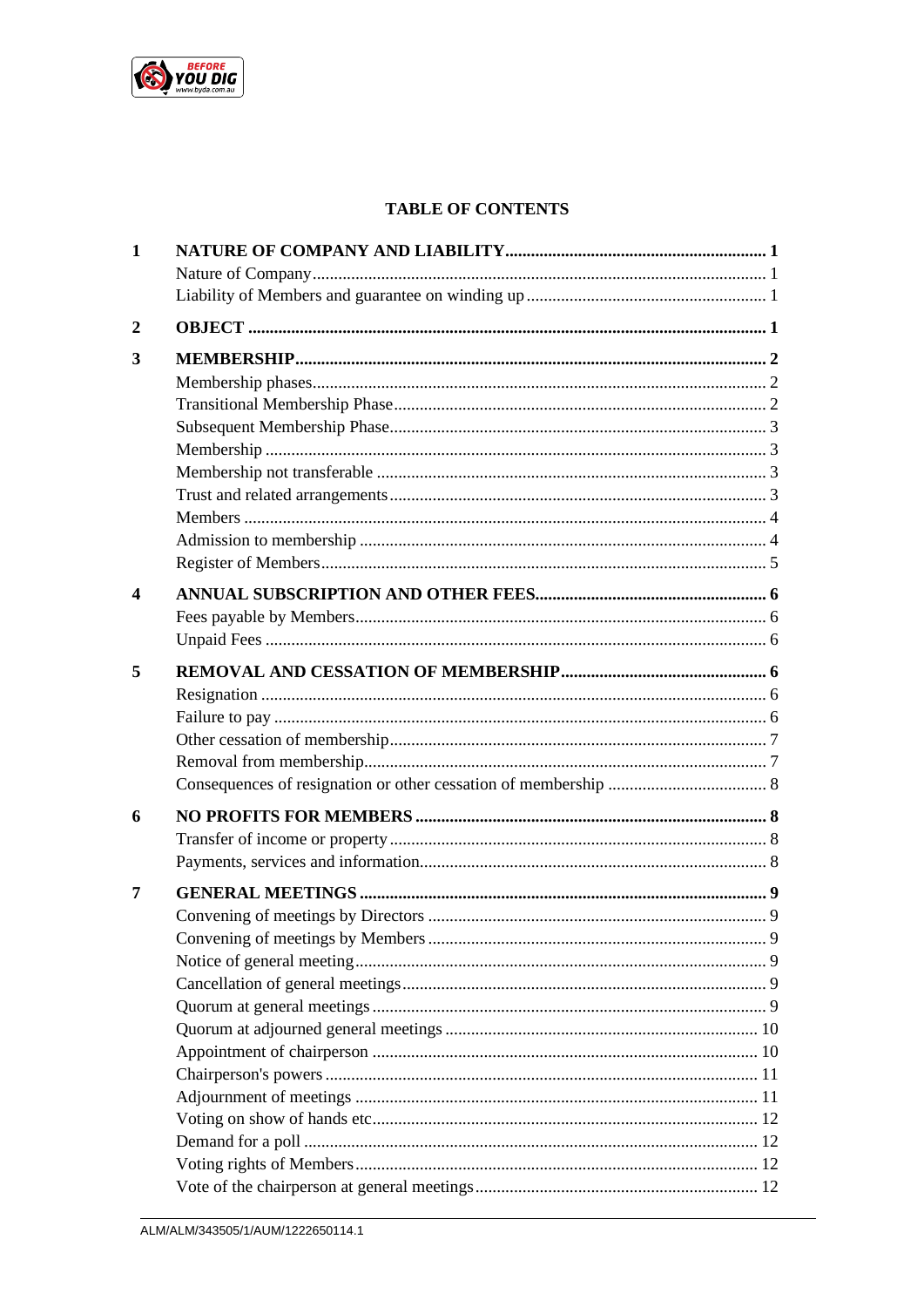

# **TABLE OF CONTENTS**

| $\mathbf{1}$     |  |
|------------------|--|
|                  |  |
|                  |  |
| $\overline{2}$   |  |
| 3                |  |
|                  |  |
|                  |  |
|                  |  |
|                  |  |
|                  |  |
|                  |  |
|                  |  |
|                  |  |
|                  |  |
|                  |  |
| $\boldsymbol{4}$ |  |
|                  |  |
|                  |  |
| 5                |  |
|                  |  |
|                  |  |
|                  |  |
|                  |  |
|                  |  |
| 6                |  |
|                  |  |
|                  |  |
| 7                |  |
|                  |  |
|                  |  |
|                  |  |
|                  |  |
|                  |  |
|                  |  |
|                  |  |
|                  |  |
|                  |  |
|                  |  |
|                  |  |
|                  |  |
|                  |  |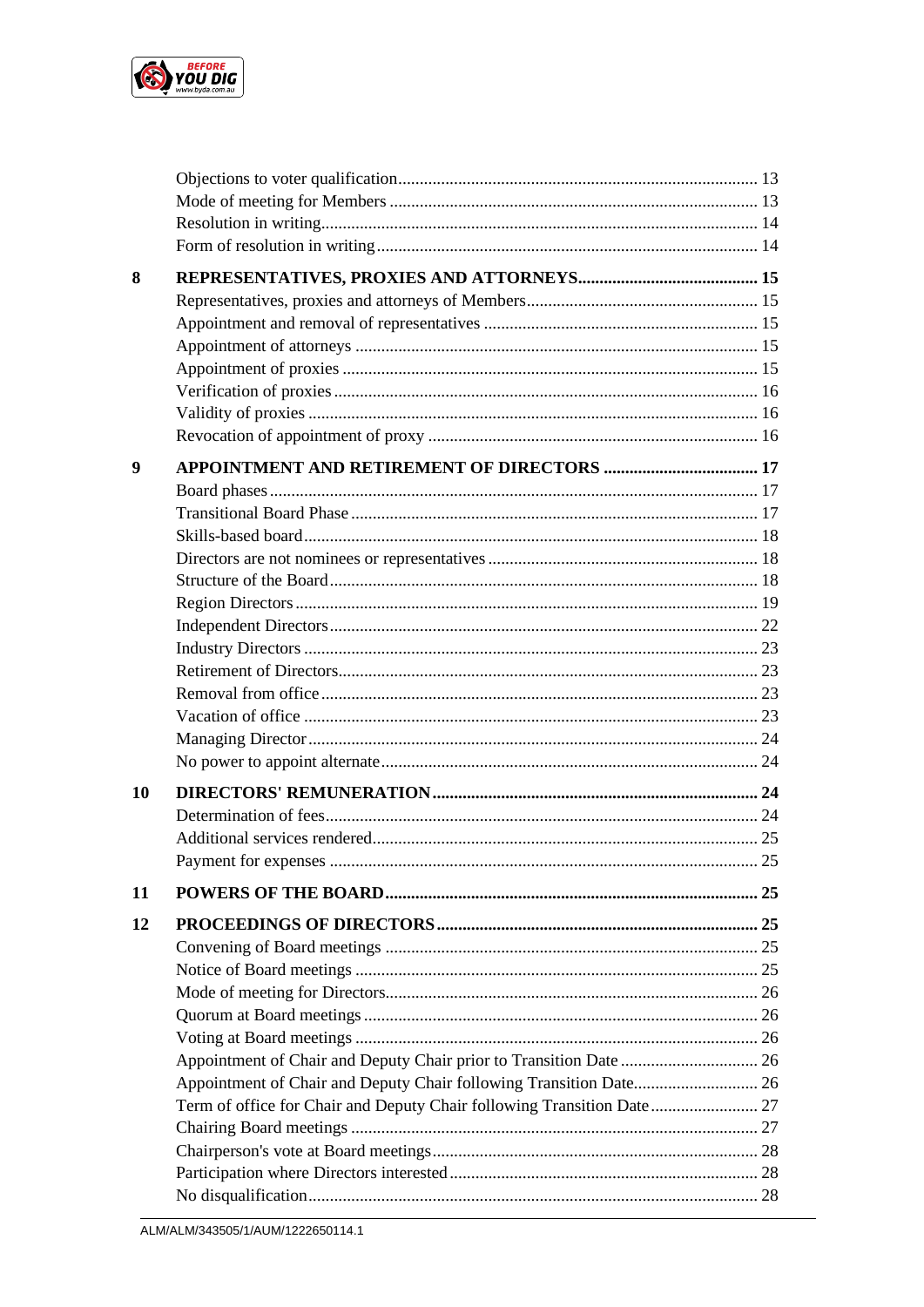

| 8  |                                                                    |    |
|----|--------------------------------------------------------------------|----|
|    |                                                                    |    |
|    |                                                                    |    |
|    |                                                                    |    |
|    |                                                                    |    |
|    |                                                                    |    |
|    |                                                                    |    |
|    |                                                                    |    |
| 9  |                                                                    |    |
|    |                                                                    |    |
|    |                                                                    |    |
|    |                                                                    |    |
|    |                                                                    |    |
|    |                                                                    |    |
|    |                                                                    |    |
|    |                                                                    |    |
|    |                                                                    |    |
|    |                                                                    |    |
|    |                                                                    |    |
|    |                                                                    |    |
|    |                                                                    |    |
|    |                                                                    |    |
| 10 |                                                                    |    |
|    |                                                                    |    |
|    |                                                                    |    |
|    |                                                                    | 25 |
| 11 |                                                                    |    |
| 12 |                                                                    |    |
|    |                                                                    |    |
|    |                                                                    |    |
|    |                                                                    |    |
|    |                                                                    |    |
|    |                                                                    |    |
|    | Appointment of Chair and Deputy Chair prior to Transition Date  26 |    |
|    | Appointment of Chair and Deputy Chair following Transition Date 26 |    |
|    |                                                                    |    |
|    |                                                                    |    |
|    |                                                                    |    |
|    |                                                                    |    |
|    |                                                                    |    |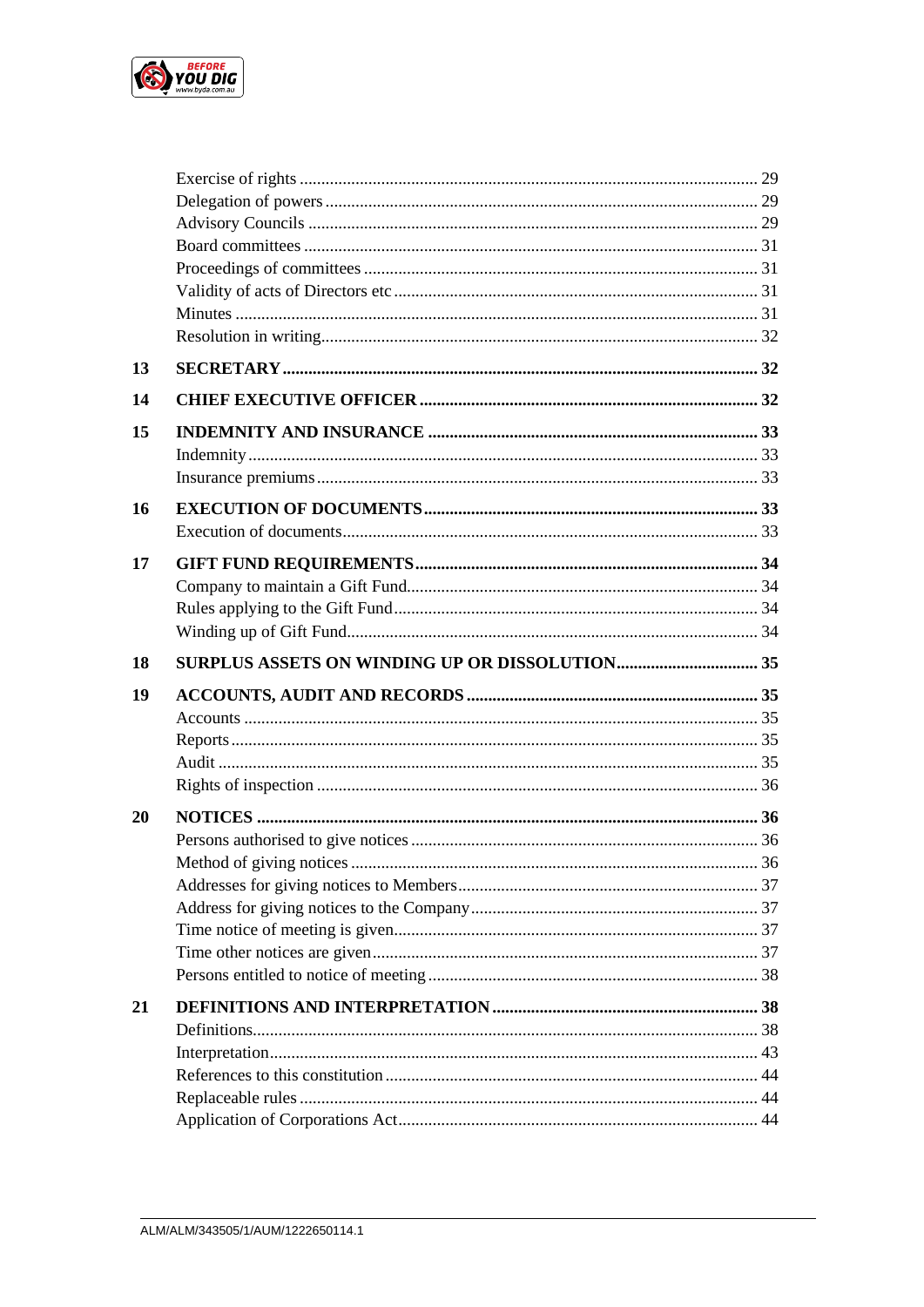

| 13 |  |
|----|--|
| 14 |  |
| 15 |  |
|    |  |
|    |  |
| 16 |  |
|    |  |
| 17 |  |
|    |  |
|    |  |
|    |  |
|    |  |
|    |  |
| 18 |  |
| 19 |  |
|    |  |
|    |  |
|    |  |
|    |  |
| 20 |  |
|    |  |
|    |  |
|    |  |
|    |  |
|    |  |
|    |  |
|    |  |
| 21 |  |
|    |  |
|    |  |
|    |  |
|    |  |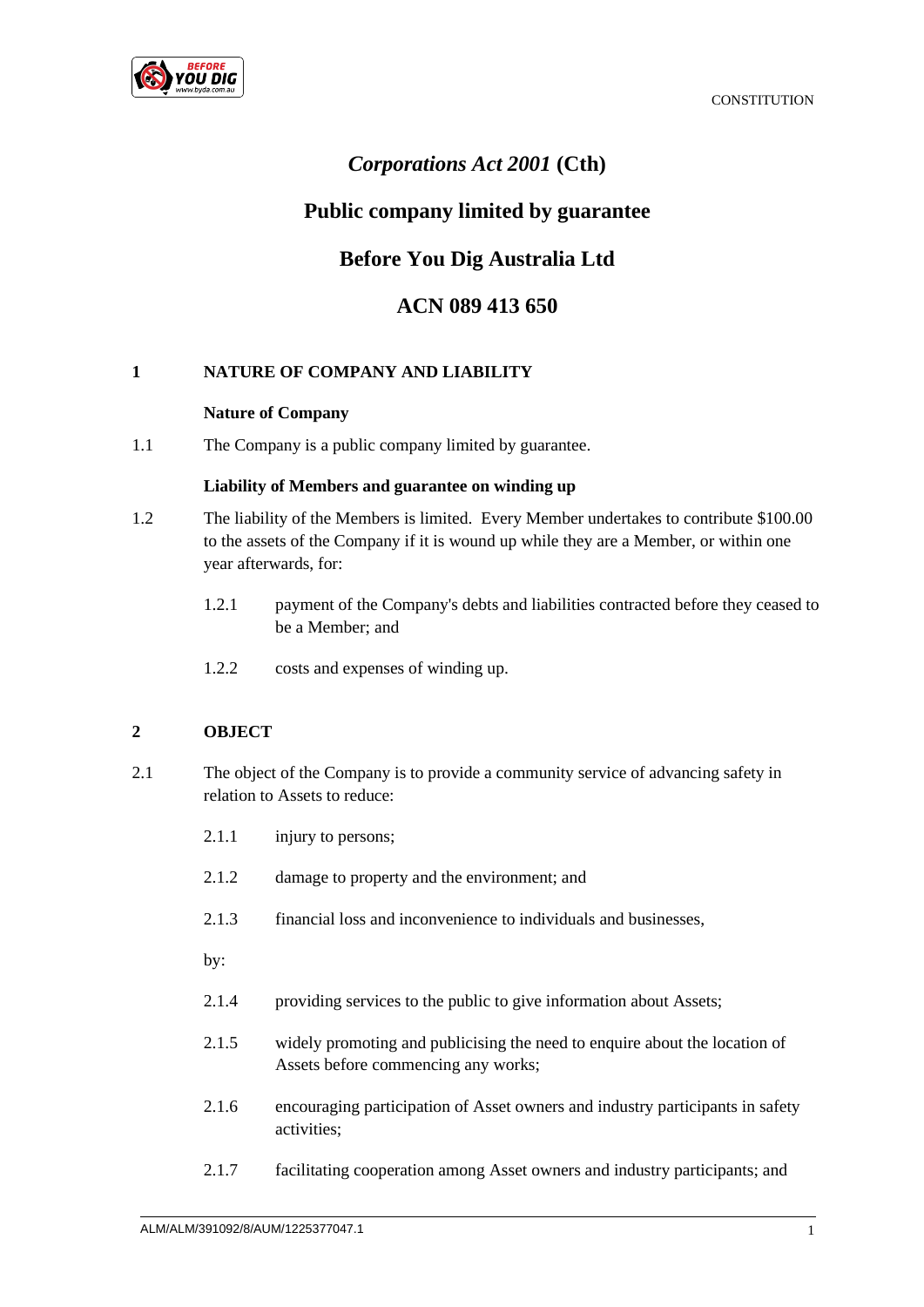

# *Corporations Act 2001* **(Cth)**

# **Public company limited by guarantee**

# **Before You Dig Australia Ltd**

# **ACN 089 413 650**

# **1 NATURE OF COMPANY AND LIABILITY**

## **Nature of Company**

1.1 The Company is a public company limited by guarantee.

## **Liability of Members and guarantee on winding up**

- <span id="page-4-0"></span>1.2 The liability of the Members is limited. Every Member undertakes to contribute \$100.00 to the assets of the Company if it is wound up while they are a Member, or within one year afterwards, for:
	- 1.2.1 payment of the Company's debts and liabilities contracted before they ceased to be a Member; and
	- 1.2.2 costs and expenses of winding up.

# <span id="page-4-1"></span>**2 OBJECT**

- 2.1 The object of the Company is to provide a community service of advancing safety in relation to Assets to reduce:
	- 2.1.1 injury to persons;
	- 2.1.2 damage to property and the environment; and
	- 2.1.3 financial loss and inconvenience to individuals and businesses,
	- by:
	- 2.1.4 providing services to the public to give information about Assets;
	- 2.1.5 widely promoting and publicising the need to enquire about the location of Assets before commencing any works;
	- 2.1.6 encouraging participation of Asset owners and industry participants in safety activities;
	- 2.1.7 facilitating cooperation among Asset owners and industry participants; and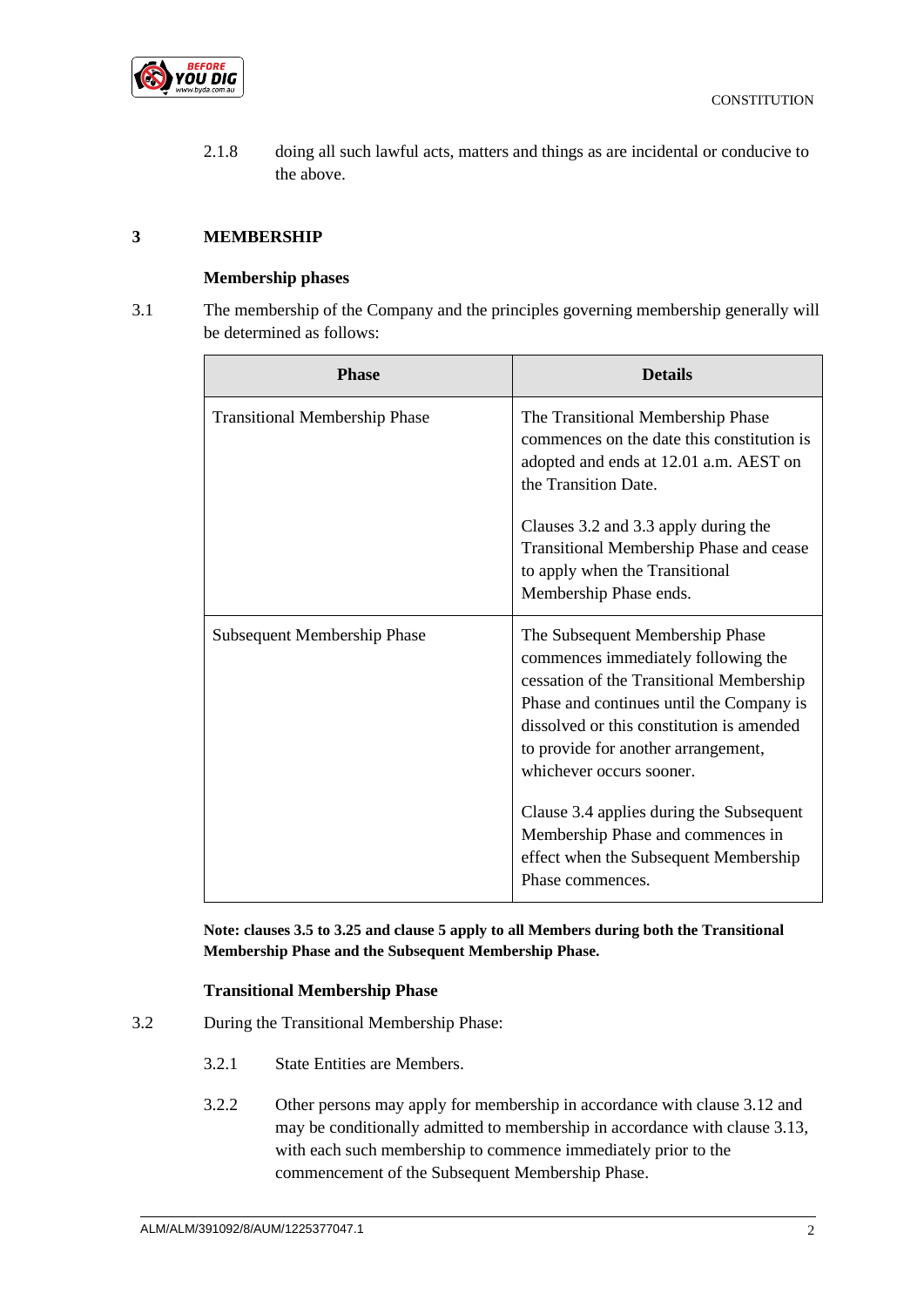2.1.8 doing all such lawful acts, matters and things as are incidental or conducive to the above.

# **3 MEMBERSHIP**

## **Membership phases**

<span id="page-5-2"></span>3.1 The membership of the Company and the principles governing membership generally will be determined as follows:

| <b>Details</b>                                                                                                                                                                                                                                                                                                                                                                                                               |
|------------------------------------------------------------------------------------------------------------------------------------------------------------------------------------------------------------------------------------------------------------------------------------------------------------------------------------------------------------------------------------------------------------------------------|
| The Transitional Membership Phase<br>commences on the date this constitution is<br>adopted and ends at 12.01 a.m. AEST on<br>the Transition Date.                                                                                                                                                                                                                                                                            |
| Clauses 3.2 and 3.3 apply during the<br>Transitional Membership Phase and cease<br>to apply when the Transitional<br>Membership Phase ends.                                                                                                                                                                                                                                                                                  |
| The Subsequent Membership Phase<br>commences immediately following the<br>cessation of the Transitional Membership<br>Phase and continues until the Company is<br>dissolved or this constitution is amended<br>to provide for another arrangement,<br>whichever occurs sooner.<br>Clause 3.4 applies during the Subsequent<br>Membership Phase and commences in<br>effect when the Subsequent Membership<br>Phase commences. |
|                                                                                                                                                                                                                                                                                                                                                                                                                              |

**Note: clauses [3.5](#page-6-2) to [3.25](#page-8-0) and clause [5](#page-9-0) apply to all Members during both the Transitional Membership Phase and the Subsequent Membership Phase.**

# **Transitional Membership Phase**

- <span id="page-5-1"></span><span id="page-5-0"></span>3.2 During the Transitional Membership Phase:
	- 3.2.1 State Entities are Members.
	- 3.2.2 Other persons may apply for membership in accordance with clause [3.12](#page-7-0) and may be conditionally admitted to membership in accordance with clause [3.13,](#page-7-1) with each such membership to commence immediately prior to the commencement of the Subsequent Membership Phase.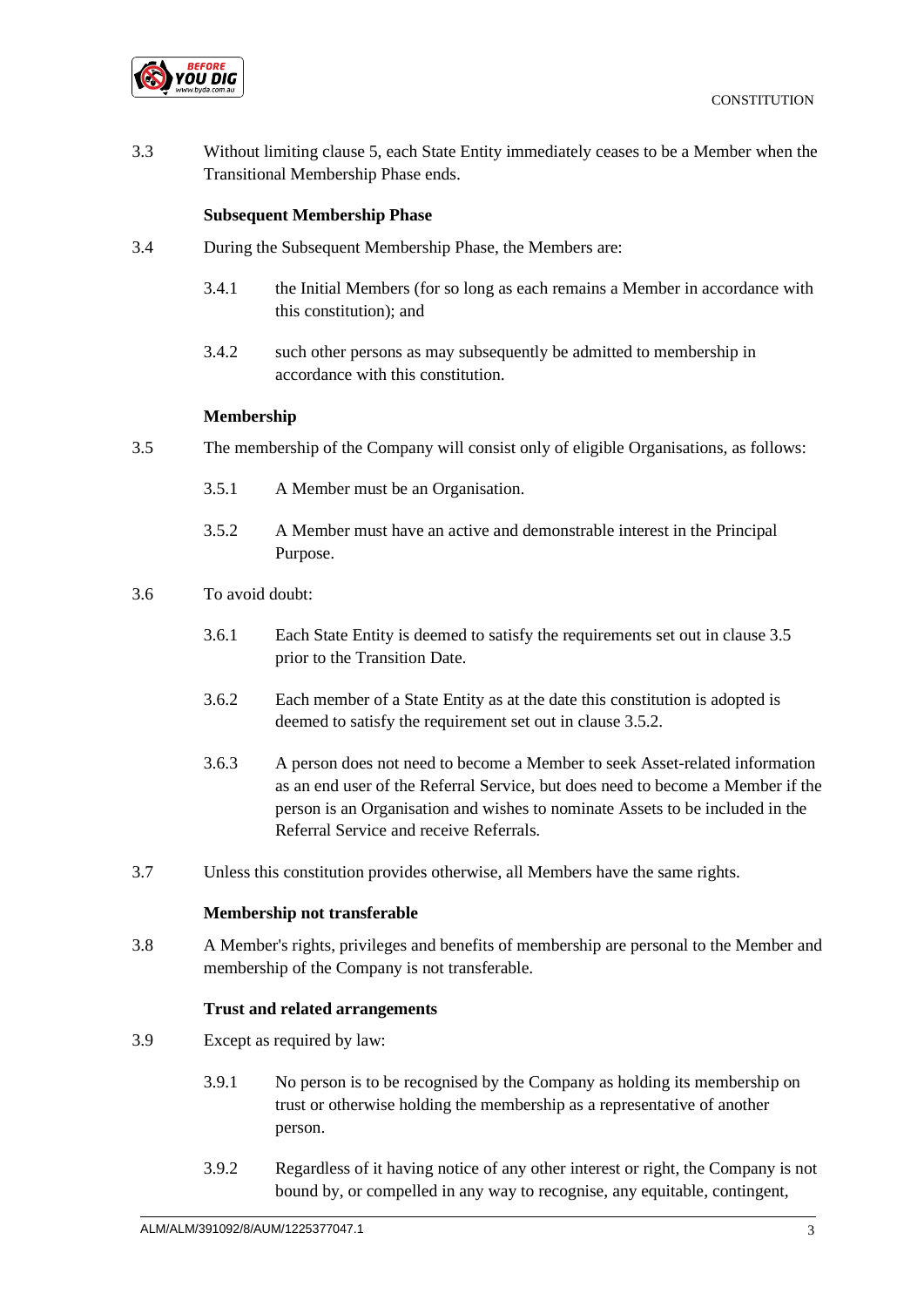

<span id="page-6-0"></span>3.3 Without limiting clause [5,](#page-9-0) each State Entity immediately ceases to be a Member when the Transitional Membership Phase ends.

## **Subsequent Membership Phase**

- <span id="page-6-1"></span>3.4 During the Subsequent Membership Phase, the Members are:
	- 3.4.1 the Initial Members (for so long as each remains a Member in accordance with this constitution); and
	- 3.4.2 such other persons as may subsequently be admitted to membership in accordance with this constitution.

## **Membership**

- <span id="page-6-3"></span><span id="page-6-2"></span>3.5 The membership of the Company will consist only of eligible Organisations, as follows:
	- 3.5.1 A Member must be an Organisation.
	- 3.5.2 A Member must have an active and demonstrable interest in the Principal Purpose.
- 3.6 To avoid doubt:
	- 3.6.1 Each State Entity is deemed to satisfy the requirements set out in clause [3.5](#page-6-2) prior to the Transition Date.
	- 3.6.2 Each member of a State Entity as at the date this constitution is adopted is deemed to satisfy the requirement set out in clause [3.5.2.](#page-6-3)
	- 3.6.3 A person does not need to become a Member to seek Asset-related information as an end user of the Referral Service, but does need to become a Member if the person is an Organisation and wishes to nominate Assets to be included in the Referral Service and receive Referrals.
- 3.7 Unless this constitution provides otherwise, all Members have the same rights.

## **Membership not transferable**

3.8 A Member's rights, privileges and benefits of membership are personal to the Member and membership of the Company is not transferable.

## **Trust and related arrangements**

- 3.9 Except as required by law:
	- 3.9.1 No person is to be recognised by the Company as holding its membership on trust or otherwise holding the membership as a representative of another person.
	- 3.9.2 Regardless of it having notice of any other interest or right, the Company is not bound by, or compelled in any way to recognise, any equitable, contingent,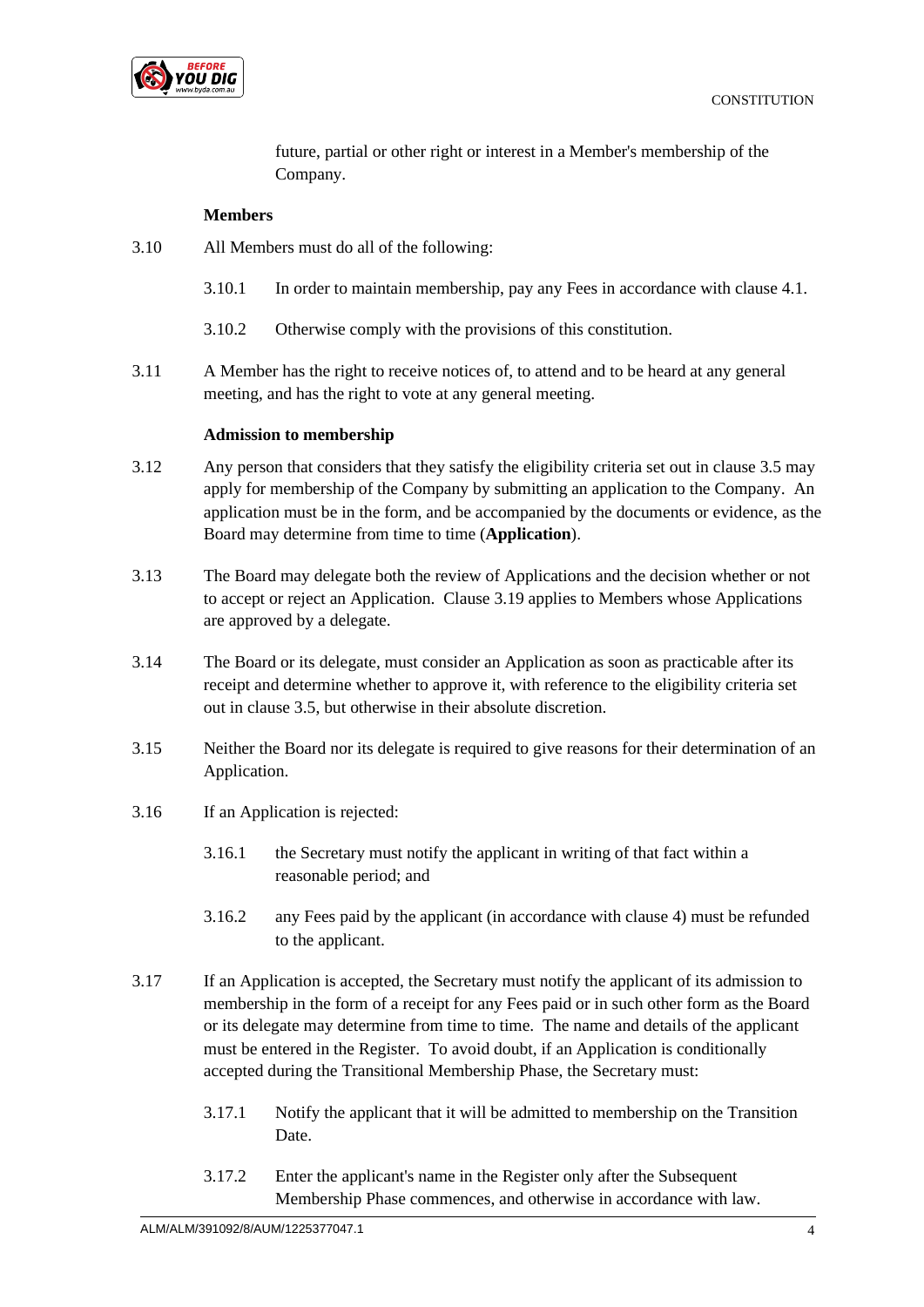

future, partial or other right or interest in a Member's membership of the Company.

## **Members**

- 3.10 All Members must do all of the following:
	- 3.10.1 In order to maintain membership, pay any Fees in accordance with clause [4.1.](#page-9-1)
	- 3.10.2 Otherwise comply with the provisions of this constitution.
- 3.11 A Member has the right to receive notices of, to attend and to be heard at any general meeting, and has the right to vote at any general meeting.

## **Admission to membership**

- <span id="page-7-0"></span>3.12 Any person that considers that they satisfy the eligibility criteria set out in clause [3.5](#page-6-2) may apply for membership of the Company by submitting an application to the Company. An application must be in the form, and be accompanied by the documents or evidence, as the Board may determine from time to time (**Application**).
- <span id="page-7-1"></span>3.13 The Board may delegate both the review of Applications and the decision whether or not to accept or reject an Application. Clause [3.19](#page-8-1) applies to Members whose Applications are approved by a delegate.
- 3.14 The Board or its delegate, must consider an Application as soon as practicable after its receipt and determine whether to approve it, with reference to the eligibility criteria set out in clause [3.5,](#page-6-2) but otherwise in their absolute discretion.
- 3.15 Neither the Board nor its delegate is required to give reasons for their determination of an Application.
- 3.16 If an Application is rejected:
	- 3.16.1 the Secretary must notify the applicant in writing of that fact within a reasonable period; and
	- 3.16.2 any Fees paid by the applicant (in accordance with clause [4\)](#page-9-2) must be refunded to the applicant.
- 3.17 If an Application is accepted, the Secretary must notify the applicant of its admission to membership in the form of a receipt for any Fees paid or in such other form as the Board or its delegate may determine from time to time. The name and details of the applicant must be entered in the Register. To avoid doubt, if an Application is conditionally accepted during the Transitional Membership Phase, the Secretary must:
	- 3.17.1 Notify the applicant that it will be admitted to membership on the Transition Date.
	- 3.17.2 Enter the applicant's name in the Register only after the Subsequent Membership Phase commences, and otherwise in accordance with law.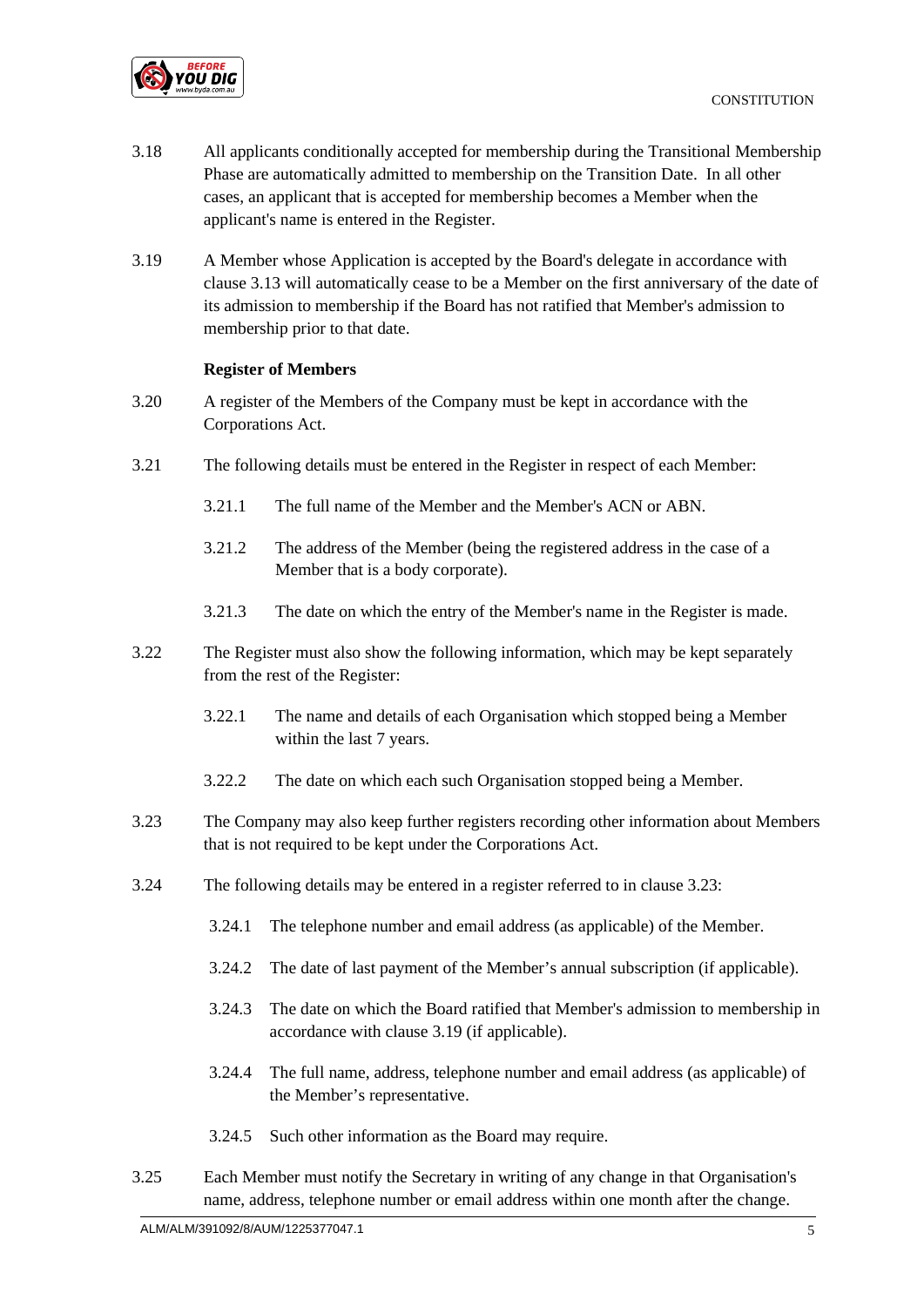

- 3.18 All applicants conditionally accepted for membership during the Transitional Membership Phase are automatically admitted to membership on the Transition Date. In all other cases, an applicant that is accepted for membership becomes a Member when the applicant's name is entered in the Register.
- <span id="page-8-1"></span>3.19 A Member whose Application is accepted by the Board's delegate in accordance with clause [3.13](#page-7-1) will automatically cease to be a Member on the first anniversary of the date of its admission to membership if the Board has not ratified that Member's admission to membership prior to that date.

# **Register of Members**

- 3.20 A register of the Members of the Company must be kept in accordance with the Corporations Act.
- 3.21 The following details must be entered in the Register in respect of each Member:
	- 3.21.1 The full name of the Member and the Member's ACN or ABN.
	- 3.21.2 The address of the Member (being the registered address in the case of a Member that is a body corporate).
	- 3.21.3 The date on which the entry of the Member's name in the Register is made.
- 3.22 The Register must also show the following information, which may be kept separately from the rest of the Register:
	- 3.22.1 The name and details of each Organisation which stopped being a Member within the last 7 years.
	- 3.22.2 The date on which each such Organisation stopped being a Member.
- <span id="page-8-2"></span>3.23 The Company may also keep further registers recording other information about Members that is not required to be kept under the Corporations Act.
- 3.24 The following details may be entered in a register referred to in clause [3.23:](#page-8-2)
	- 3.24.1 The telephone number and email address (as applicable) of the Member.
	- 3.24.2 The date of last payment of the Member's annual subscription (if applicable).
	- 3.24.3 The date on which the Board ratified that Member's admission to membership in accordance with clause [3.19](#page-8-1) (if applicable).
	- 3.24.4 The full name, address, telephone number and email address (as applicable) of the Member's representative.
	- 3.24.5 Such other information as the Board may require.
- <span id="page-8-0"></span>3.25 Each Member must notify the Secretary in writing of any change in that Organisation's name, address, telephone number or email address within one month after the change.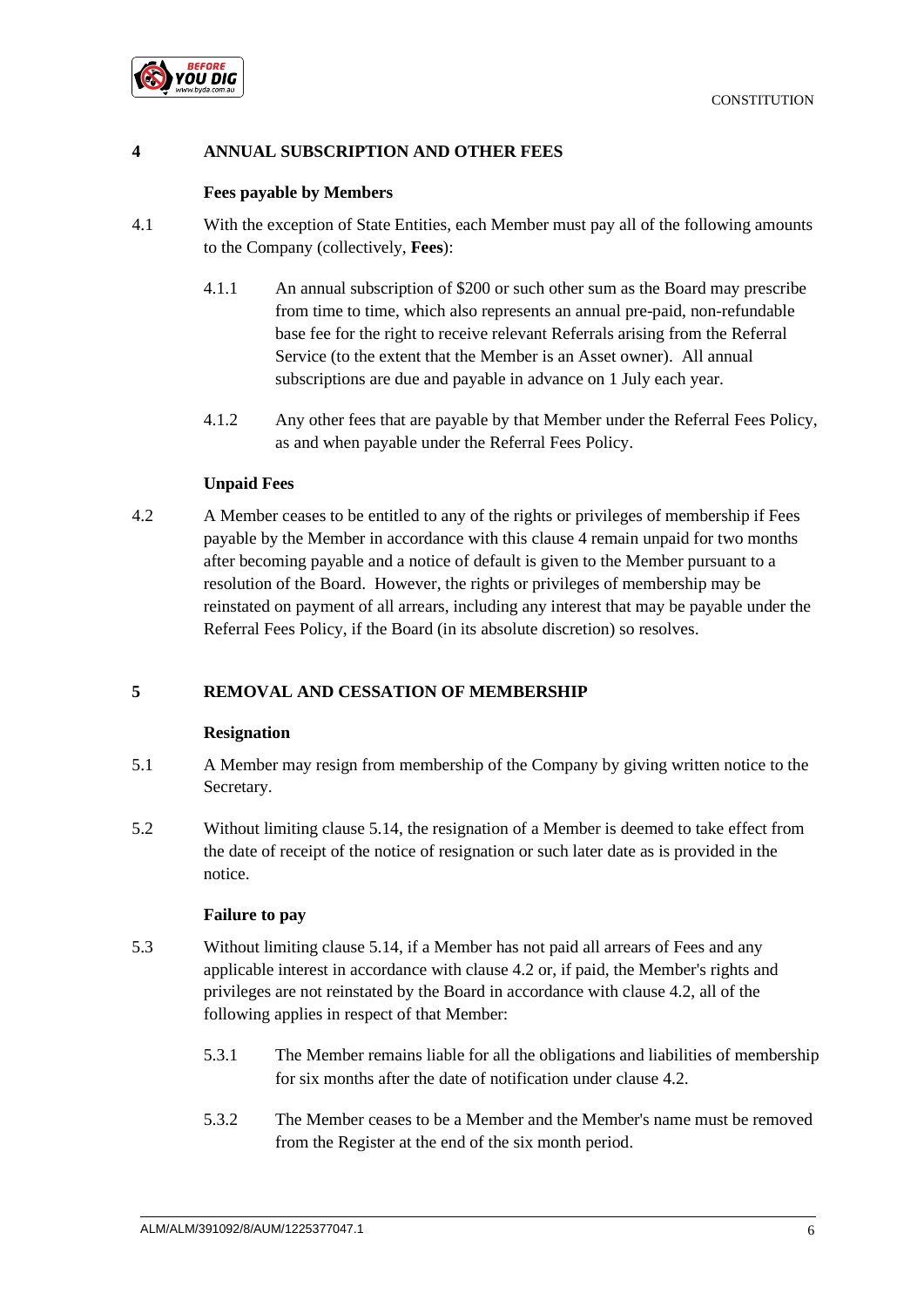

## <span id="page-9-2"></span>**4 ANNUAL SUBSCRIPTION AND OTHER FEES**

## **Fees payable by Members**

- <span id="page-9-1"></span>4.1 With the exception of State Entities, each Member must pay all of the following amounts to the Company (collectively, **Fees**):
	- 4.1.1 An annual subscription of \$200 or such other sum as the Board may prescribe from time to time, which also represents an annual pre-paid, non-refundable base fee for the right to receive relevant Referrals arising from the Referral Service (to the extent that the Member is an Asset owner). All annual subscriptions are due and payable in advance on 1 July each year.
	- 4.1.2 Any other fees that are payable by that Member under the Referral Fees Policy, as and when payable under the Referral Fees Policy.

# **Unpaid Fees**

<span id="page-9-3"></span>4.2 A Member ceases to be entitled to any of the rights or privileges of membership if Fees payable by the Member in accordance with this clause [4](#page-9-2) remain unpaid for two months after becoming payable and a notice of default is given to the Member pursuant to a resolution of the Board. However, the rights or privileges of membership may be reinstated on payment of all arrears, including any interest that may be payable under the Referral Fees Policy, if the Board (in its absolute discretion) so resolves.

## <span id="page-9-0"></span>**5 REMOVAL AND CESSATION OF MEMBERSHIP**

## **Resignation**

- <span id="page-9-4"></span>5.1 A Member may resign from membership of the Company by giving written notice to the Secretary.
- 5.2 Without limiting clause [5.14,](#page-11-0) the resignation of a Member is deemed to take effect from the date of receipt of the notice of resignation or such later date as is provided in the notice.

## **Failure to pay**

- <span id="page-9-5"></span>5.3 Without limiting clause [5.14,](#page-11-0) if a Member has not paid all arrears of Fees and any applicable interest in accordance with clause [4.2](#page-9-3) or, if paid, the Member's rights and privileges are not reinstated by the Board in accordance with clause [4.2,](#page-9-3) all of the following applies in respect of that Member:
	- 5.3.1 The Member remains liable for all the obligations and liabilities of membership for six months after the date of notification under clause [4.2.](#page-9-3)
	- 5.3.2 The Member ceases to be a Member and the Member's name must be removed from the Register at the end of the six month period.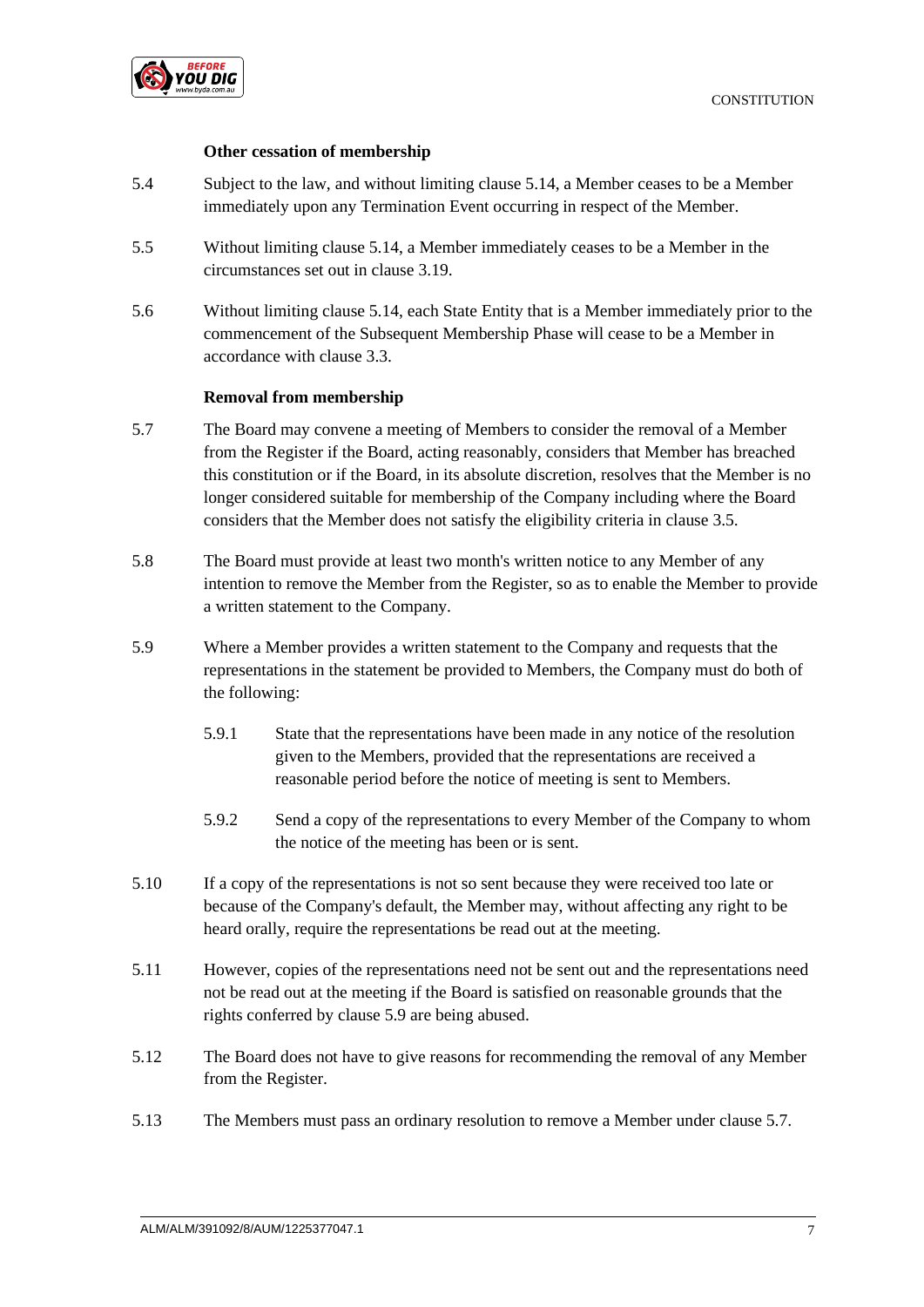

## **Other cessation of membership**

- <span id="page-10-2"></span>5.4 Subject to the law, and without limiting clause [5.14,](#page-11-0) a Member ceases to be a Member immediately upon any Termination Event occurring in respect of the Member.
- <span id="page-10-3"></span>5.5 Without limiting clause [5.14,](#page-11-0) a Member immediately ceases to be a Member in the circumstances set out in clause [3.19.](#page-8-1)
- <span id="page-10-4"></span>5.6 Without limiting clause [5.14,](#page-11-0) each State Entity that is a Member immediately prior to the commencement of the Subsequent Membership Phase will cease to be a Member in accordance with clause [3.3.](#page-6-0)

## **Removal from membership**

- <span id="page-10-1"></span>5.7 The Board may convene a meeting of Members to consider the removal of a Member from the Register if the Board, acting reasonably, considers that Member has breached this constitution or if the Board, in its absolute discretion, resolves that the Member is no longer considered suitable for membership of the Company including where the Board considers that the Member does not satisfy the eligibility criteria in clause [3.5.](#page-6-2)
- 5.8 The Board must provide at least two month's written notice to any Member of any intention to remove the Member from the Register, so as to enable the Member to provide a written statement to the Company.
- <span id="page-10-0"></span>5.9 Where a Member provides a written statement to the Company and requests that the representations in the statement be provided to Members, the Company must do both of the following:
	- 5.9.1 State that the representations have been made in any notice of the resolution given to the Members, provided that the representations are received a reasonable period before the notice of meeting is sent to Members.
	- 5.9.2 Send a copy of the representations to every Member of the Company to whom the notice of the meeting has been or is sent.
- 5.10 If a copy of the representations is not so sent because they were received too late or because of the Company's default, the Member may, without affecting any right to be heard orally, require the representations be read out at the meeting.
- 5.11 However, copies of the representations need not be sent out and the representations need not be read out at the meeting if the Board is satisfied on reasonable grounds that the rights conferred by clause [5.9](#page-10-0) are being abused.
- 5.12 The Board does not have to give reasons for recommending the removal of any Member from the Register.
- <span id="page-10-5"></span>5.13 The Members must pass an ordinary resolution to remove a Member under clause [5.7.](#page-10-1)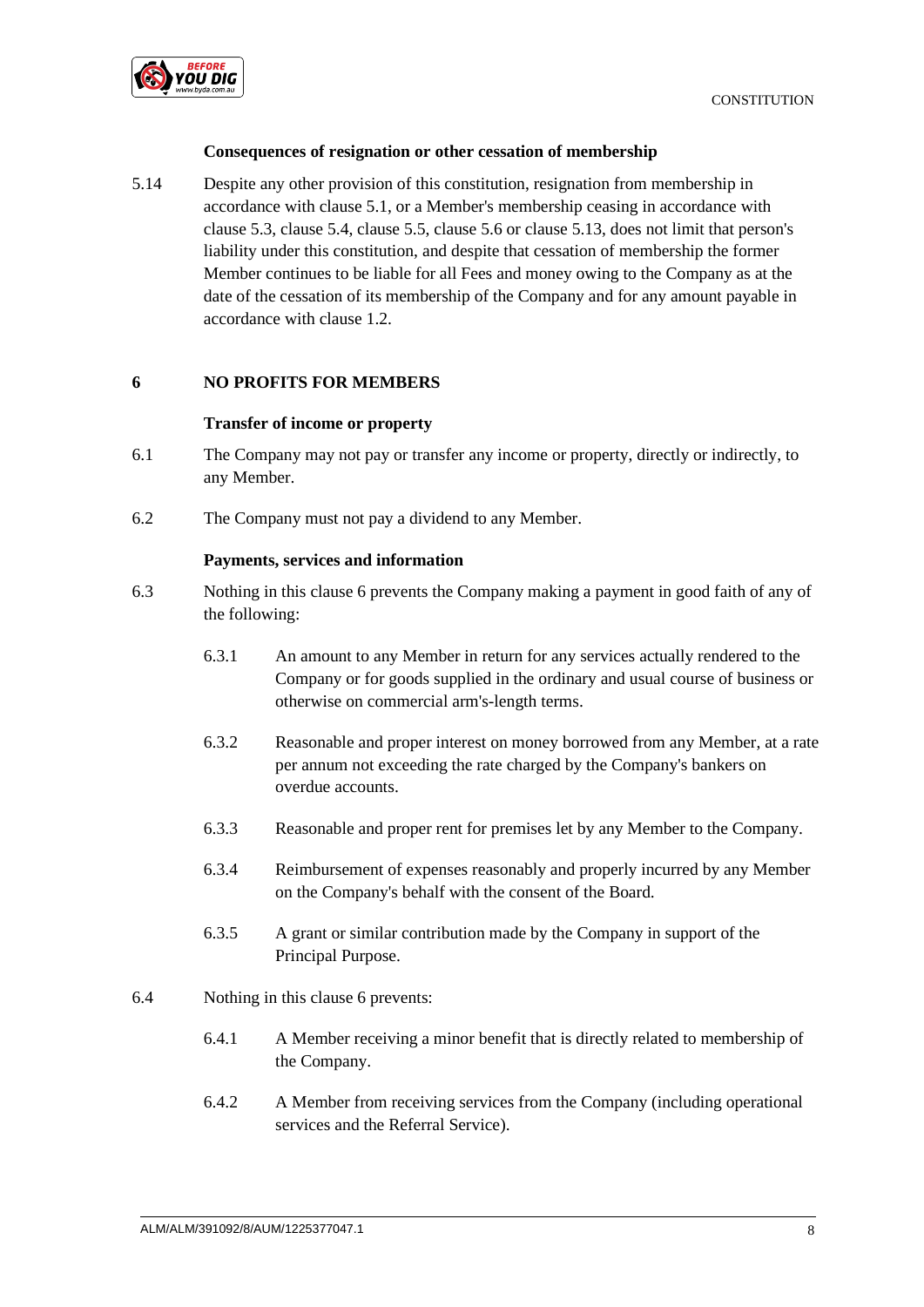

## **Consequences of resignation or other cessation of membership**

<span id="page-11-0"></span>5.14 Despite any other provision of this constitution, resignation from membership in accordance with clause [5.1,](#page-9-4) or a Member's membership ceasing in accordance with clause [5.3,](#page-9-5) clause [5.4,](#page-10-2) clause [5.5,](#page-10-3) clause [5.6](#page-10-4) or clause [5.13,](#page-10-5) does not limit that person's liability under this constitution, and despite that cessation of membership the former Member continues to be liable for all Fees and money owing to the Company as at the date of the cessation of its membership of the Company and for any amount payable in accordance with clause [1.2.](#page-4-0)

## <span id="page-11-1"></span>**6 NO PROFITS FOR MEMBERS**

#### **Transfer of income or property**

- 6.1 The Company may not pay or transfer any income or property, directly or indirectly, to any Member.
- 6.2 The Company must not pay a dividend to any Member.

#### **Payments, services and information**

- 6.3 Nothing in this clause [6](#page-11-1) prevents the Company making a payment in good faith of any of the following:
	- 6.3.1 An amount to any Member in return for any services actually rendered to the Company or for goods supplied in the ordinary and usual course of business or otherwise on commercial arm's-length terms.
	- 6.3.2 Reasonable and proper interest on money borrowed from any Member, at a rate per annum not exceeding the rate charged by the Company's bankers on overdue accounts.
	- 6.3.3 Reasonable and proper rent for premises let by any Member to the Company.
	- 6.3.4 Reimbursement of expenses reasonably and properly incurred by any Member on the Company's behalf with the consent of the Board.
	- 6.3.5 A grant or similar contribution made by the Company in support of the Principal Purpose.
- 6.4 Nothing in this clause [6](#page-11-1) prevents:
	- 6.4.1 A Member receiving a minor benefit that is directly related to membership of the Company.
	- 6.4.2 A Member from receiving services from the Company (including operational services and the Referral Service).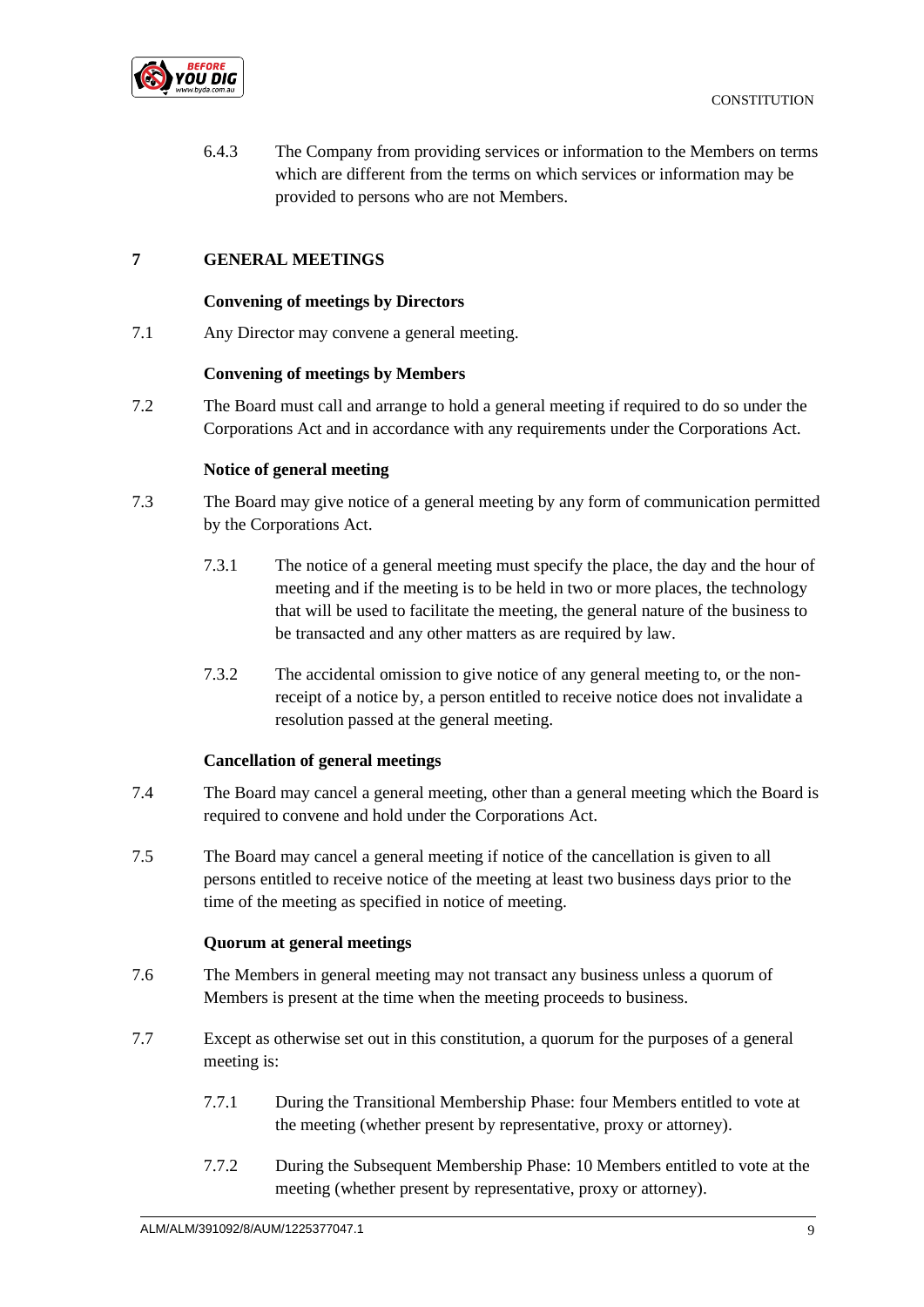6.4.3 The Company from providing services or information to the Members on terms which are different from the terms on which services or information may be provided to persons who are not Members.

# **7 GENERAL MEETINGS**

## **Convening of meetings by Directors**

7.1 Any Director may convene a general meeting.

## **Convening of meetings by Members**

7.2 The Board must call and arrange to hold a general meeting if required to do so under the Corporations Act and in accordance with any requirements under the Corporations Act.

## **Notice of general meeting**

- 7.3 The Board may give notice of a general meeting by any form of communication permitted by the Corporations Act.
	- 7.3.1 The notice of a general meeting must specify the place, the day and the hour of meeting and if the meeting is to be held in two or more places, the technology that will be used to facilitate the meeting, the general nature of the business to be transacted and any other matters as are required by law.
	- 7.3.2 The accidental omission to give notice of any general meeting to, or the nonreceipt of a notice by, a person entitled to receive notice does not invalidate a resolution passed at the general meeting.

# **Cancellation of general meetings**

- 7.4 The Board may cancel a general meeting, other than a general meeting which the Board is required to convene and hold under the Corporations Act.
- 7.5 The Board may cancel a general meeting if notice of the cancellation is given to all persons entitled to receive notice of the meeting at least two business days prior to the time of the meeting as specified in notice of meeting.

## **Quorum at general meetings**

- 7.6 The Members in general meeting may not transact any business unless a quorum of Members is present at the time when the meeting proceeds to business.
- 7.7 Except as otherwise set out in this constitution, a quorum for the purposes of a general meeting is:
	- 7.7.1 During the Transitional Membership Phase: four Members entitled to vote at the meeting (whether present by representative, proxy or attorney).
	- 7.7.2 During the Subsequent Membership Phase: 10 Members entitled to vote at the meeting (whether present by representative, proxy or attorney).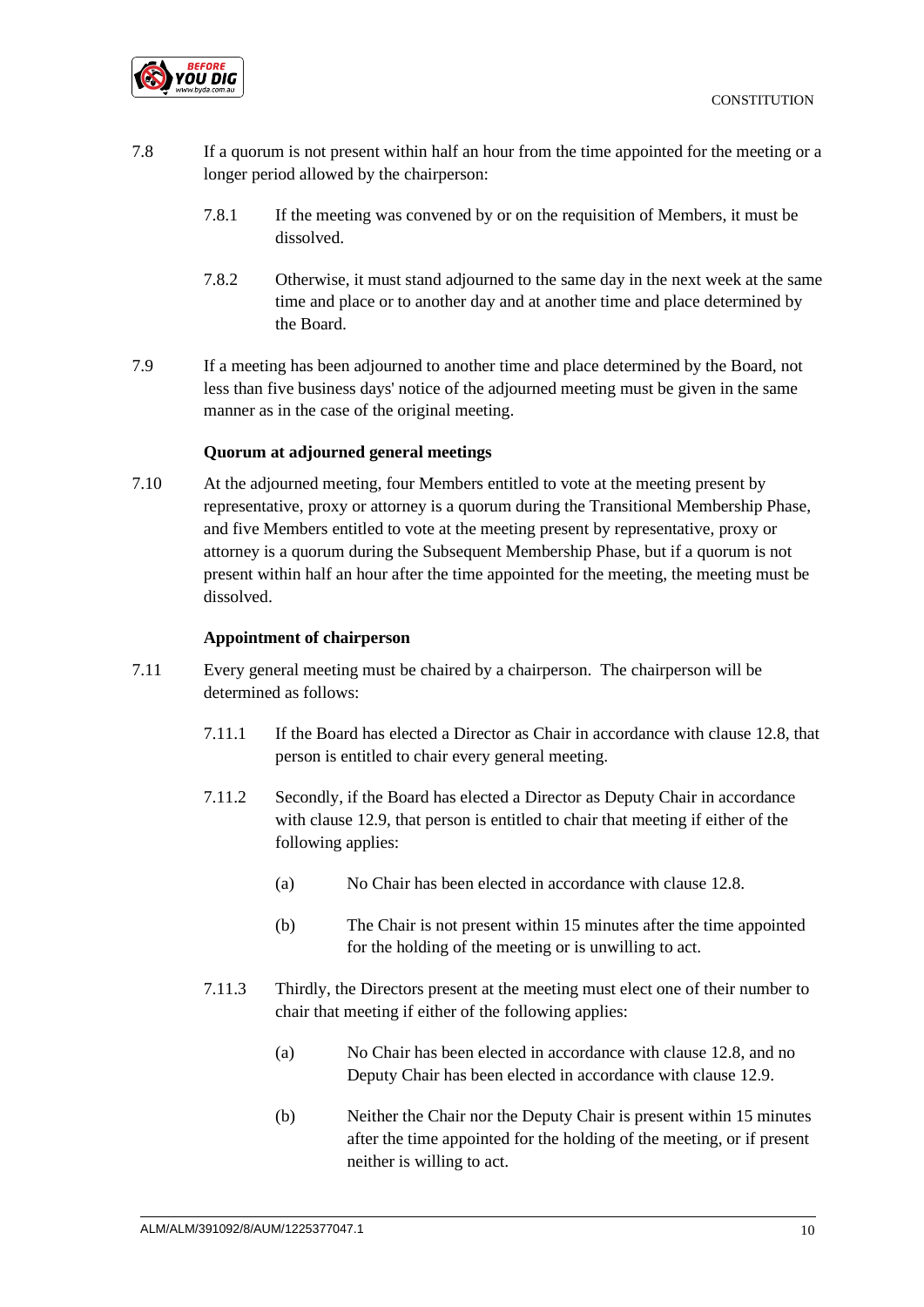

- 7.8 If a quorum is not present within half an hour from the time appointed for the meeting or a longer period allowed by the chairperson:
	- 7.8.1 If the meeting was convened by or on the requisition of Members, it must be dissolved.
	- 7.8.2 Otherwise, it must stand adjourned to the same day in the next week at the same time and place or to another day and at another time and place determined by the Board.
- 7.9 If a meeting has been adjourned to another time and place determined by the Board, not less than five business days' notice of the adjourned meeting must be given in the same manner as in the case of the original meeting.

## **Quorum at adjourned general meetings**

7.10 At the adjourned meeting, four Members entitled to vote at the meeting present by representative, proxy or attorney is a quorum during the Transitional Membership Phase, and five Members entitled to vote at the meeting present by representative, proxy or attorney is a quorum during the Subsequent Membership Phase, but if a quorum is not present within half an hour after the time appointed for the meeting, the meeting must be dissolved.

## **Appointment of chairperson**

- 7.11 Every general meeting must be chaired by a chairperson. The chairperson will be determined as follows:
	- 7.11.1 If the Board has elected a Director as Chair in accordance with clause [12.8,](#page-29-0) that person is entitled to chair every general meeting.
	- 7.11.2 Secondly, if the Board has elected a Director as Deputy Chair in accordance with clause [12.9,](#page-30-0) that person is entitled to chair that meeting if either of the following applies:
		- (a) No Chair has been elected in accordance with clause [12.8.](#page-29-0)
		- (b) The Chair is not present within 15 minutes after the time appointed for the holding of the meeting or is unwilling to act.
	- 7.11.3 Thirdly, the Directors present at the meeting must elect one of their number to chair that meeting if either of the following applies:
		- (a) No Chair has been elected in accordance with clause [12.8,](#page-29-0) and no Deputy Chair has been elected in accordance with clause [12.9.](#page-30-0)
		- (b) Neither the Chair nor the Deputy Chair is present within 15 minutes after the time appointed for the holding of the meeting, or if present neither is willing to act.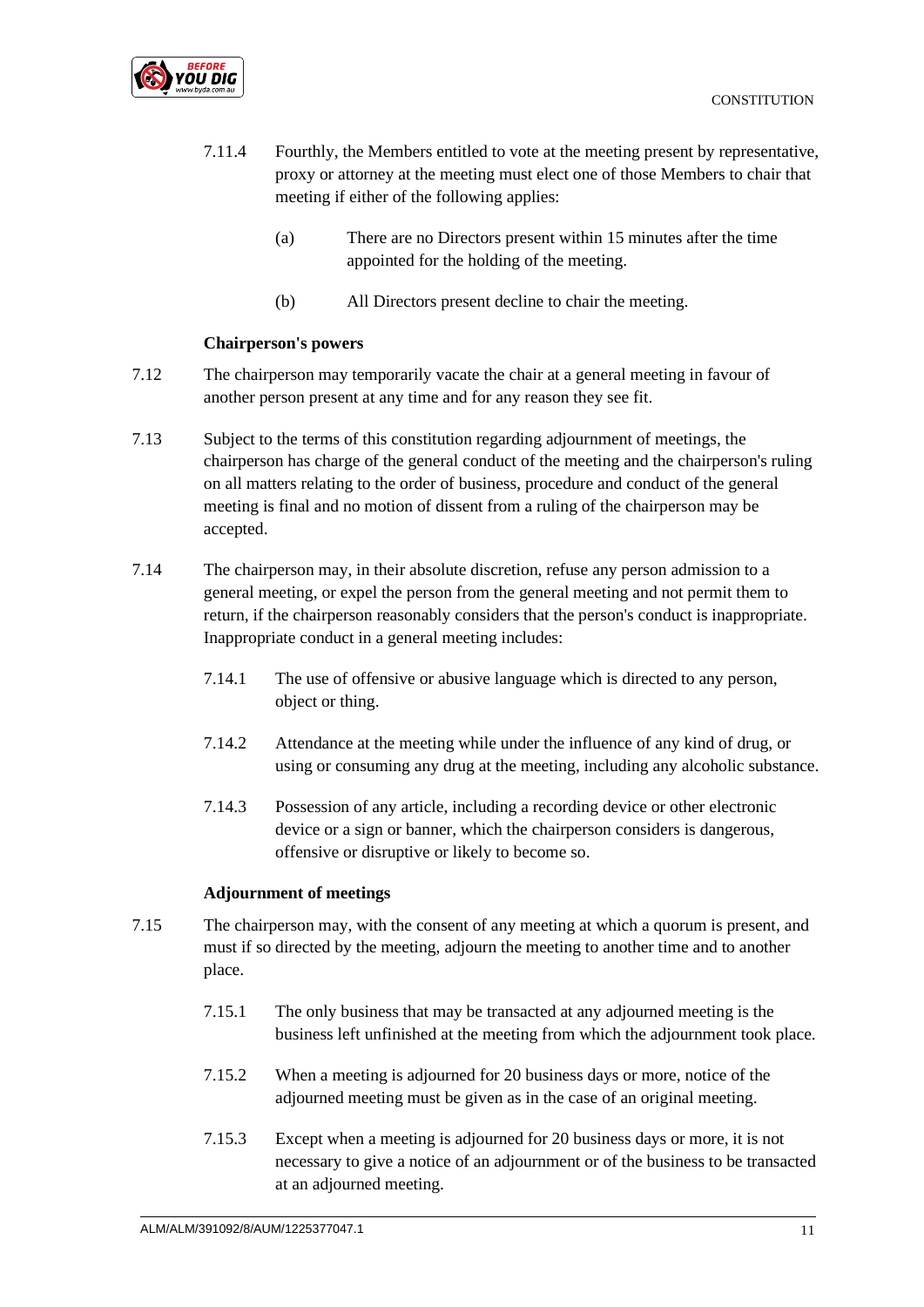

- 7.11.4 Fourthly, the Members entitled to vote at the meeting present by representative, proxy or attorney at the meeting must elect one of those Members to chair that meeting if either of the following applies:
	- (a) There are no Directors present within 15 minutes after the time appointed for the holding of the meeting.
	- (b) All Directors present decline to chair the meeting.

## **Chairperson's powers**

- 7.12 The chairperson may temporarily vacate the chair at a general meeting in favour of another person present at any time and for any reason they see fit.
- 7.13 Subject to the terms of this constitution regarding adjournment of meetings, the chairperson has charge of the general conduct of the meeting and the chairperson's ruling on all matters relating to the order of business, procedure and conduct of the general meeting is final and no motion of dissent from a ruling of the chairperson may be accepted.
- 7.14 The chairperson may, in their absolute discretion, refuse any person admission to a general meeting, or expel the person from the general meeting and not permit them to return, if the chairperson reasonably considers that the person's conduct is inappropriate. Inappropriate conduct in a general meeting includes:
	- 7.14.1 The use of offensive or abusive language which is directed to any person, object or thing.
	- 7.14.2 Attendance at the meeting while under the influence of any kind of drug, or using or consuming any drug at the meeting, including any alcoholic substance.
	- 7.14.3 Possession of any article, including a recording device or other electronic device or a sign or banner, which the chairperson considers is dangerous, offensive or disruptive or likely to become so.

## **Adjournment of meetings**

- 7.15 The chairperson may, with the consent of any meeting at which a quorum is present, and must if so directed by the meeting, adjourn the meeting to another time and to another place.
	- 7.15.1 The only business that may be transacted at any adjourned meeting is the business left unfinished at the meeting from which the adjournment took place.
	- 7.15.2 When a meeting is adjourned for 20 business days or more, notice of the adjourned meeting must be given as in the case of an original meeting.
	- 7.15.3 Except when a meeting is adjourned for 20 business days or more, it is not necessary to give a notice of an adjournment or of the business to be transacted at an adjourned meeting.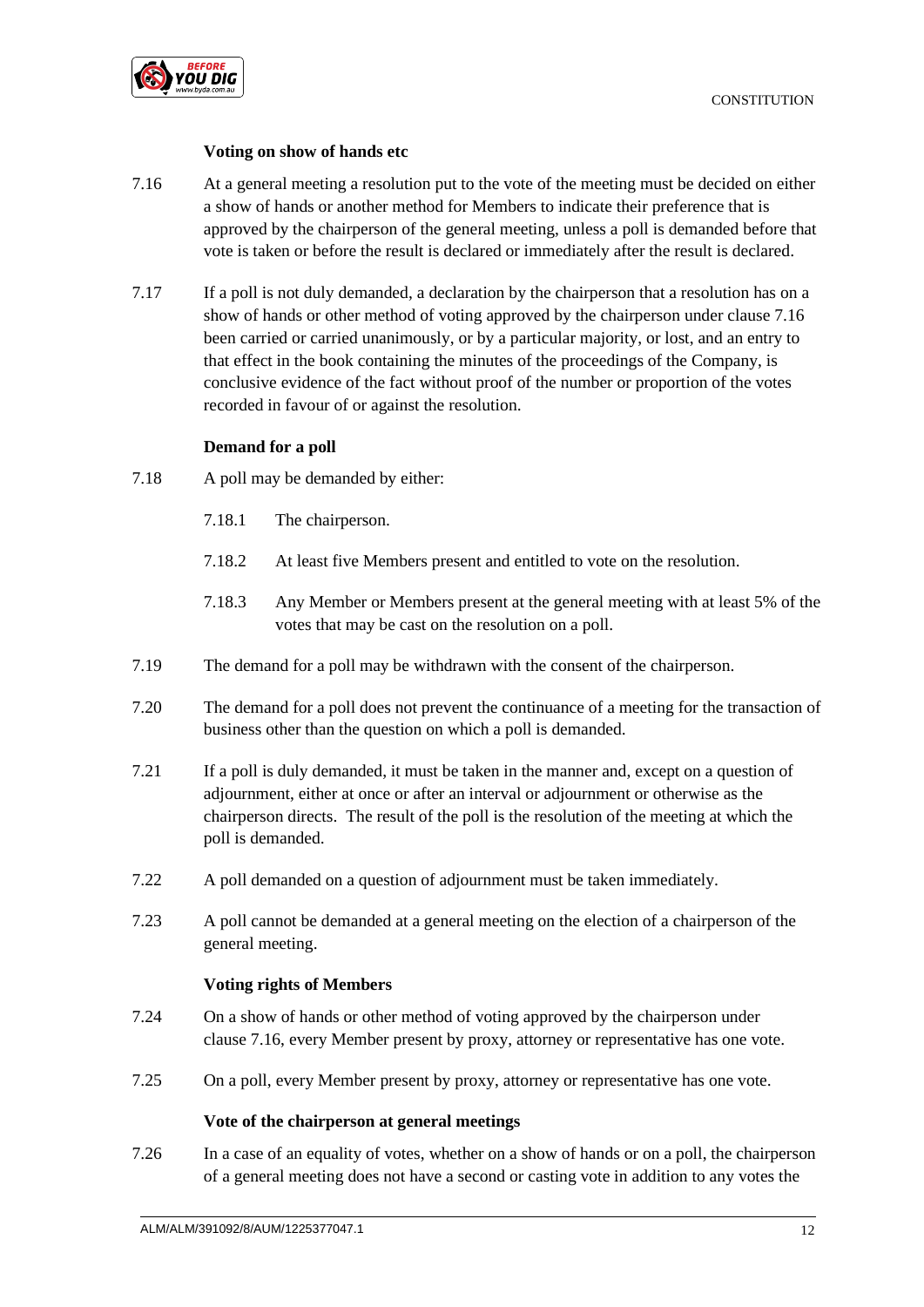

## **Voting on show of hands etc**

- <span id="page-15-0"></span>7.16 At a general meeting a resolution put to the vote of the meeting must be decided on either a show of hands or another method for Members to indicate their preference that is approved by the chairperson of the general meeting, unless a poll is demanded before that vote is taken or before the result is declared or immediately after the result is declared.
- 7.17 If a poll is not duly demanded, a declaration by the chairperson that a resolution has on a show of hands or other method of voting approved by the chairperson under clause [7.16](#page-15-0) been carried or carried unanimously, or by a particular majority, or lost, and an entry to that effect in the book containing the minutes of the proceedings of the Company, is conclusive evidence of the fact without proof of the number or proportion of the votes recorded in favour of or against the resolution.

## **Demand for a poll**

- 7.18 A poll may be demanded by either:
	- 7.18.1 The chairperson.
	- 7.18.2 At least five Members present and entitled to vote on the resolution.
	- 7.18.3 Any Member or Members present at the general meeting with at least 5% of the votes that may be cast on the resolution on a poll.
- 7.19 The demand for a poll may be withdrawn with the consent of the chairperson.
- 7.20 The demand for a poll does not prevent the continuance of a meeting for the transaction of business other than the question on which a poll is demanded.
- 7.21 If a poll is duly demanded, it must be taken in the manner and, except on a question of adjournment, either at once or after an interval or adjournment or otherwise as the chairperson directs. The result of the poll is the resolution of the meeting at which the poll is demanded.
- 7.22 A poll demanded on a question of adjournment must be taken immediately.
- 7.23 A poll cannot be demanded at a general meeting on the election of a chairperson of the general meeting.

## **Voting rights of Members**

- <span id="page-15-1"></span>7.24 On a show of hands or other method of voting approved by the chairperson under clause [7.16,](#page-15-0) every Member present by proxy, attorney or representative has one vote.
- <span id="page-15-2"></span>7.25 On a poll, every Member present by proxy, attorney or representative has one vote.

## **Vote of the chairperson at general meetings**

7.26 In a case of an equality of votes, whether on a show of hands or on a poll, the chairperson of a general meeting does not have a second or casting vote in addition to any votes the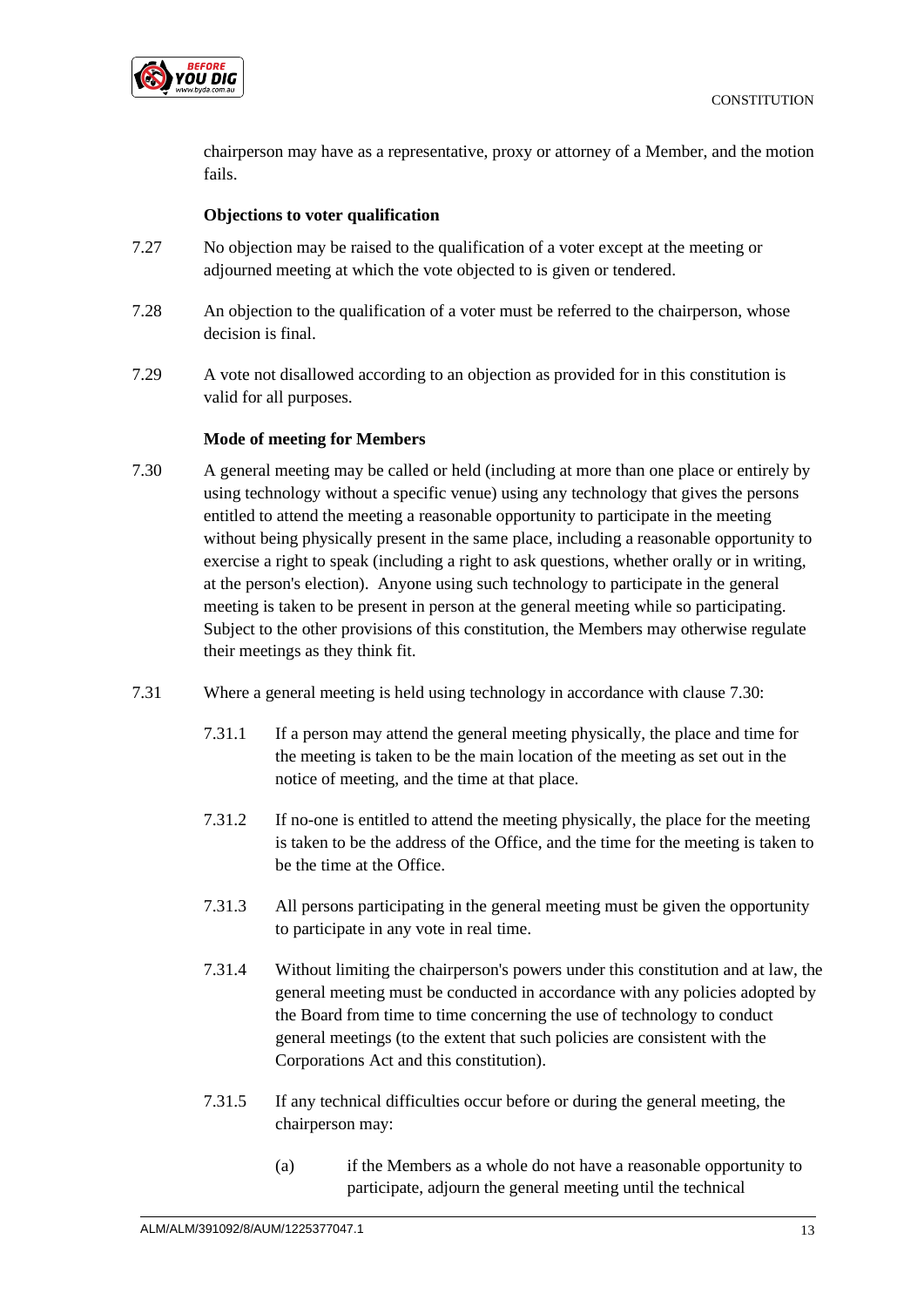

chairperson may have as a representative, proxy or attorney of a Member, and the motion fails.

## **Objections to voter qualification**

- 7.27 No objection may be raised to the qualification of a voter except at the meeting or adjourned meeting at which the vote objected to is given or tendered.
- 7.28 An objection to the qualification of a voter must be referred to the chairperson, whose decision is final.
- 7.29 A vote not disallowed according to an objection as provided for in this constitution is valid for all purposes.

## **Mode of meeting for Members**

- <span id="page-16-0"></span>7.30 A general meeting may be called or held (including at more than one place or entirely by using technology without a specific venue) using any technology that gives the persons entitled to attend the meeting a reasonable opportunity to participate in the meeting without being physically present in the same place, including a reasonable opportunity to exercise a right to speak (including a right to ask questions, whether orally or in writing, at the person's election). Anyone using such technology to participate in the general meeting is taken to be present in person at the general meeting while so participating. Subject to the other provisions of this constitution, the Members may otherwise regulate their meetings as they think fit.
- 7.31 Where a general meeting is held using technology in accordance with clause [7.30:](#page-16-0)
	- 7.31.1 If a person may attend the general meeting physically, the place and time for the meeting is taken to be the main location of the meeting as set out in the notice of meeting, and the time at that place.
	- 7.31.2 If no-one is entitled to attend the meeting physically, the place for the meeting is taken to be the address of the Office, and the time for the meeting is taken to be the time at the Office.
	- 7.31.3 All persons participating in the general meeting must be given the opportunity to participate in any vote in real time.
	- 7.31.4 Without limiting the chairperson's powers under this constitution and at law, the general meeting must be conducted in accordance with any policies adopted by the Board from time to time concerning the use of technology to conduct general meetings (to the extent that such policies are consistent with the Corporations Act and this constitution).
	- 7.31.5 If any technical difficulties occur before or during the general meeting, the chairperson may:
		- (a) if the Members as a whole do not have a reasonable opportunity to participate, adjourn the general meeting until the technical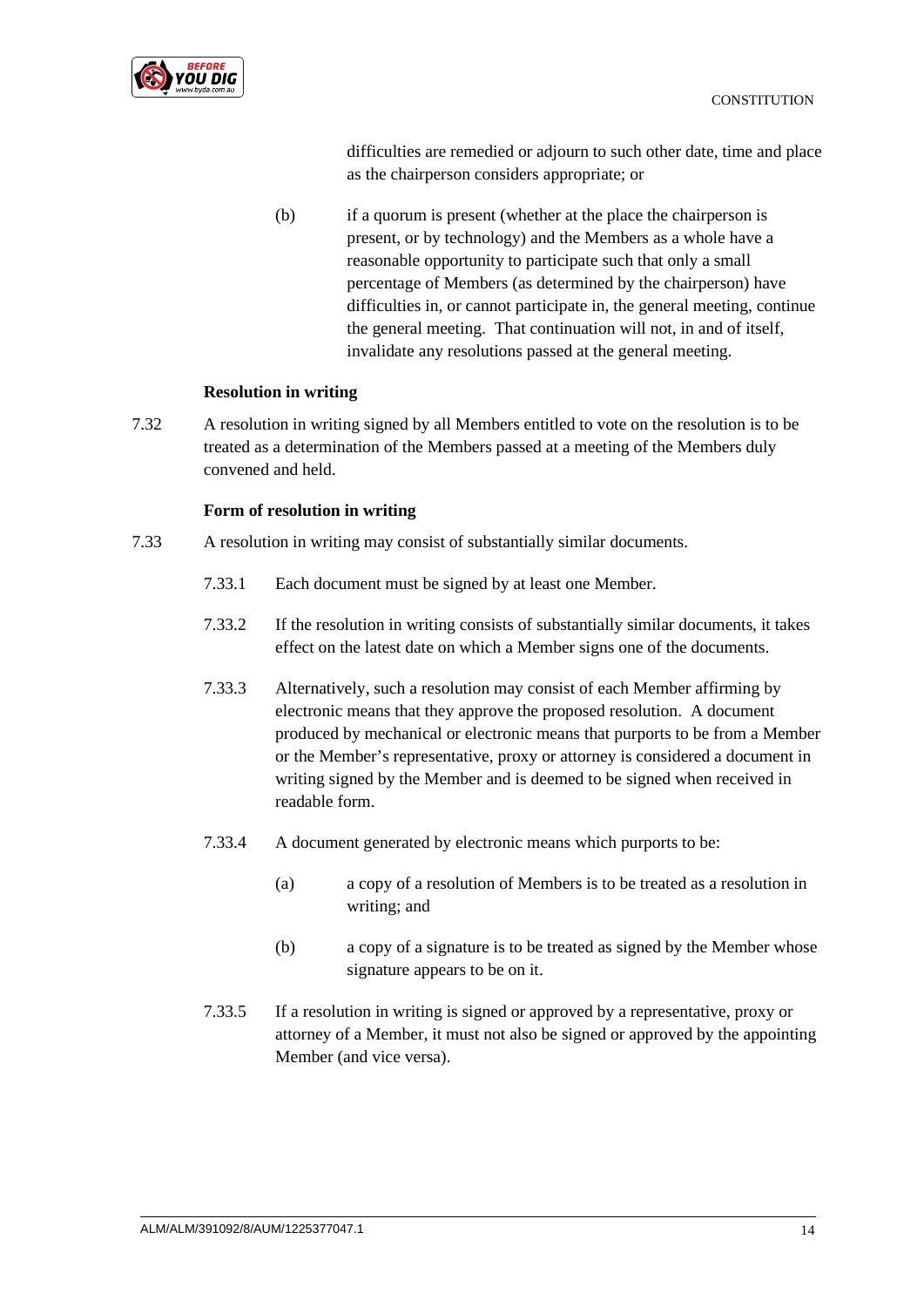

difficulties are remedied or adjourn to such other date, time and place as the chairperson considers appropriate; or

(b) if a quorum is present (whether at the place the chairperson is present, or by technology) and the Members as a whole have a reasonable opportunity to participate such that only a small percentage of Members (as determined by the chairperson) have difficulties in, or cannot participate in, the general meeting, continue the general meeting. That continuation will not, in and of itself, invalidate any resolutions passed at the general meeting.

## **Resolution in writing**

7.32 A resolution in writing signed by all Members entitled to vote on the resolution is to be treated as a determination of the Members passed at a meeting of the Members duly convened and held.

#### **Form of resolution in writing**

- 7.33 A resolution in writing may consist of substantially similar documents.
	- 7.33.1 Each document must be signed by at least one Member.
	- 7.33.2 If the resolution in writing consists of substantially similar documents, it takes effect on the latest date on which a Member signs one of the documents.
	- 7.33.3 Alternatively, such a resolution may consist of each Member affirming by electronic means that they approve the proposed resolution. A document produced by mechanical or electronic means that purports to be from a Member or the Member's representative, proxy or attorney is considered a document in writing signed by the Member and is deemed to be signed when received in readable form.
	- 7.33.4 A document generated by electronic means which purports to be:
		- (a) a copy of a resolution of Members is to be treated as a resolution in writing; and
		- (b) a copy of a signature is to be treated as signed by the Member whose signature appears to be on it.
	- 7.33.5 If a resolution in writing is signed or approved by a representative, proxy or attorney of a Member, it must not also be signed or approved by the appointing Member (and vice versa).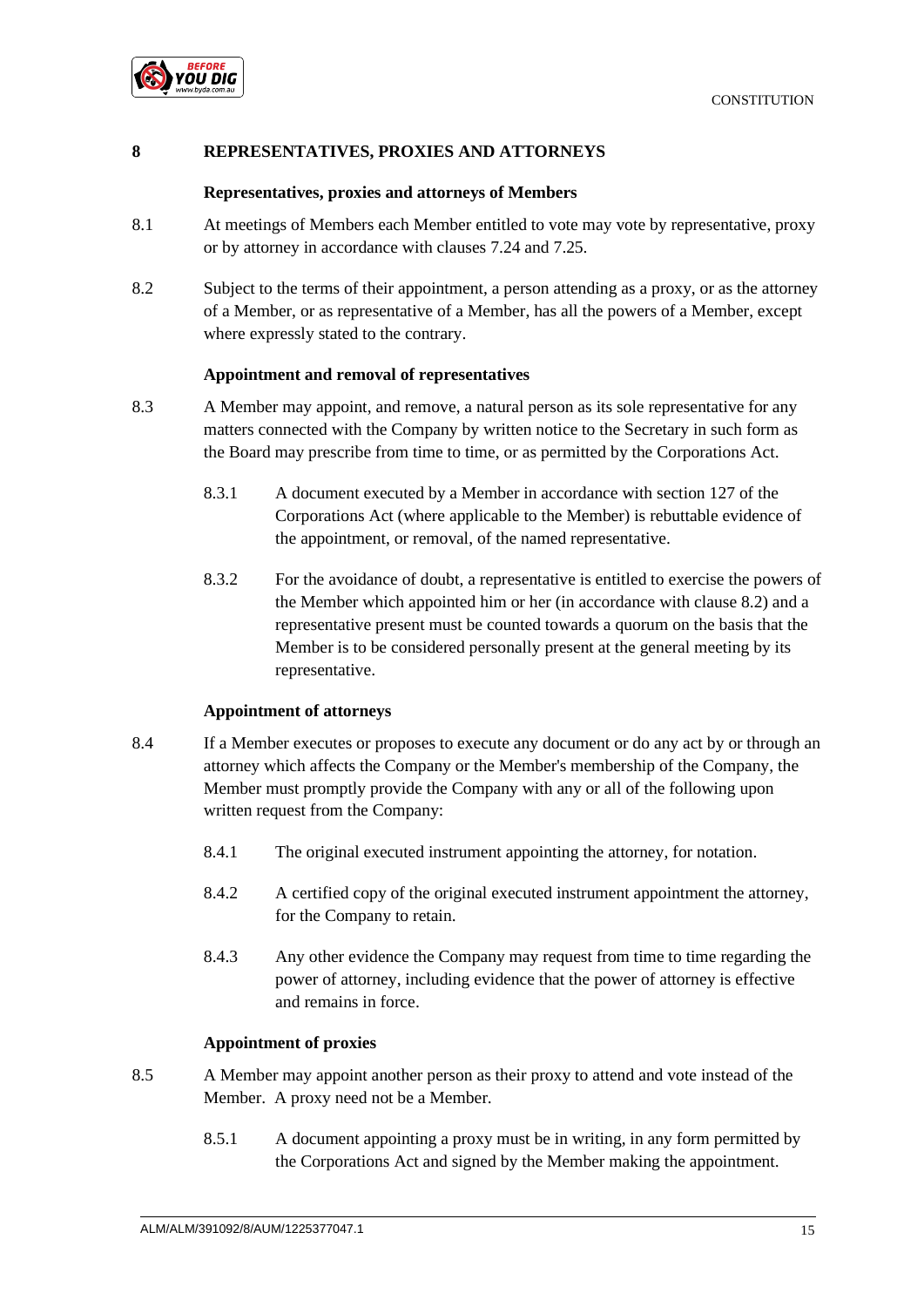

## **8 REPRESENTATIVES, PROXIES AND ATTORNEYS**

#### **Representatives, proxies and attorneys of Members**

- 8.1 At meetings of Members each Member entitled to vote may vote by representative, proxy or by attorney in accordance with clauses [7.24](#page-15-1) an[d 7.25.](#page-15-2)
- <span id="page-18-0"></span>8.2 Subject to the terms of their appointment, a person attending as a proxy, or as the attorney of a Member, or as representative of a Member, has all the powers of a Member, except where expressly stated to the contrary.

## **Appointment and removal of representatives**

- 8.3 A Member may appoint, and remove, a natural person as its sole representative for any matters connected with the Company by written notice to the Secretary in such form as the Board may prescribe from time to time, or as permitted by the Corporations Act.
	- 8.3.1 A document executed by a Member in accordance with section 127 of the Corporations Act (where applicable to the Member) is rebuttable evidence of the appointment, or removal, of the named representative.
	- 8.3.2 For the avoidance of doubt, a representative is entitled to exercise the powers of the Member which appointed him or her (in accordance with clause [8.2\)](#page-18-0) and a representative present must be counted towards a quorum on the basis that the Member is to be considered personally present at the general meeting by its representative.

## **Appointment of attorneys**

- <span id="page-18-1"></span>8.4 If a Member executes or proposes to execute any document or do any act by or through an attorney which affects the Company or the Member's membership of the Company, the Member must promptly provide the Company with any or all of the following upon written request from the Company:
	- 8.4.1 The original executed instrument appointing the attorney, for notation.
	- 8.4.2 A certified copy of the original executed instrument appointment the attorney, for the Company to retain.
	- 8.4.3 Any other evidence the Company may request from time to time regarding the power of attorney, including evidence that the power of attorney is effective and remains in force.

## **Appointment of proxies**

- 8.5 A Member may appoint another person as their proxy to attend and vote instead of the Member. A proxy need not be a Member.
	- 8.5.1 A document appointing a proxy must be in writing, in any form permitted by the Corporations Act and signed by the Member making the appointment.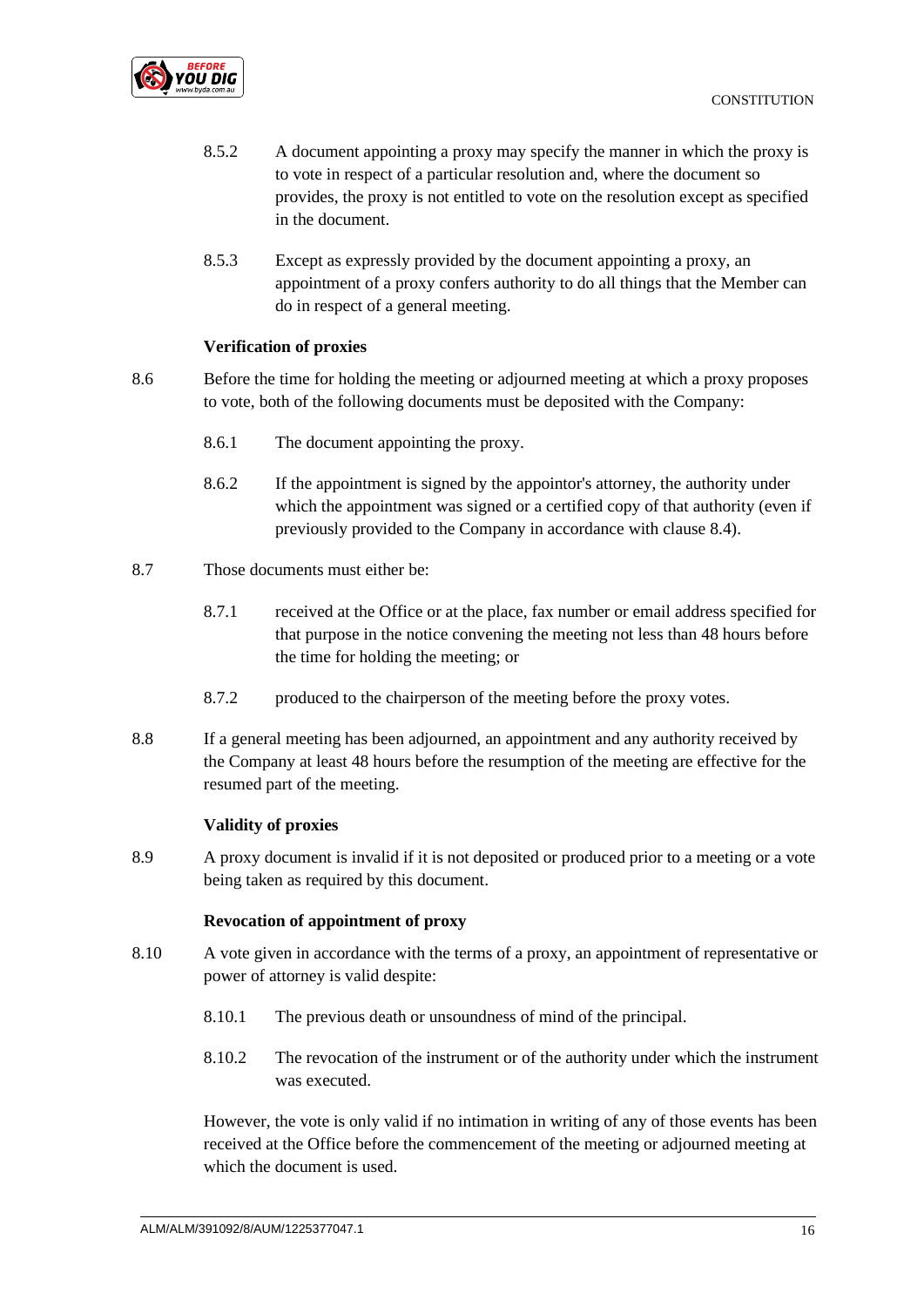- 8.5.2 A document appointing a proxy may specify the manner in which the proxy is to vote in respect of a particular resolution and, where the document so provides, the proxy is not entitled to vote on the resolution except as specified in the document.
- 8.5.3 Except as expressly provided by the document appointing a proxy, an appointment of a proxy confers authority to do all things that the Member can do in respect of a general meeting.

# **Verification of proxies**

- 8.6 Before the time for holding the meeting or adjourned meeting at which a proxy proposes to vote, both of the following documents must be deposited with the Company:
	- 8.6.1 The document appointing the proxy.
	- 8.6.2 If the appointment is signed by the appointor's attorney, the authority under which the appointment was signed or a certified copy of that authority (even if previously provided to the Company in accordance with clause [8.4\)](#page-18-1).
- 8.7 Those documents must either be:
	- 8.7.1 received at the Office or at the place, fax number or email address specified for that purpose in the notice convening the meeting not less than 48 hours before the time for holding the meeting; or
	- 8.7.2 produced to the chairperson of the meeting before the proxy votes.
- 8.8 If a general meeting has been adjourned, an appointment and any authority received by the Company at least 48 hours before the resumption of the meeting are effective for the resumed part of the meeting.

## **Validity of proxies**

8.9 A proxy document is invalid if it is not deposited or produced prior to a meeting or a vote being taken as required by this document.

## **Revocation of appointment of proxy**

- 8.10 A vote given in accordance with the terms of a proxy, an appointment of representative or power of attorney is valid despite:
	- 8.10.1 The previous death or unsoundness of mind of the principal.
	- 8.10.2 The revocation of the instrument or of the authority under which the instrument was executed.

However, the vote is only valid if no intimation in writing of any of those events has been received at the Office before the commencement of the meeting or adjourned meeting at which the document is used.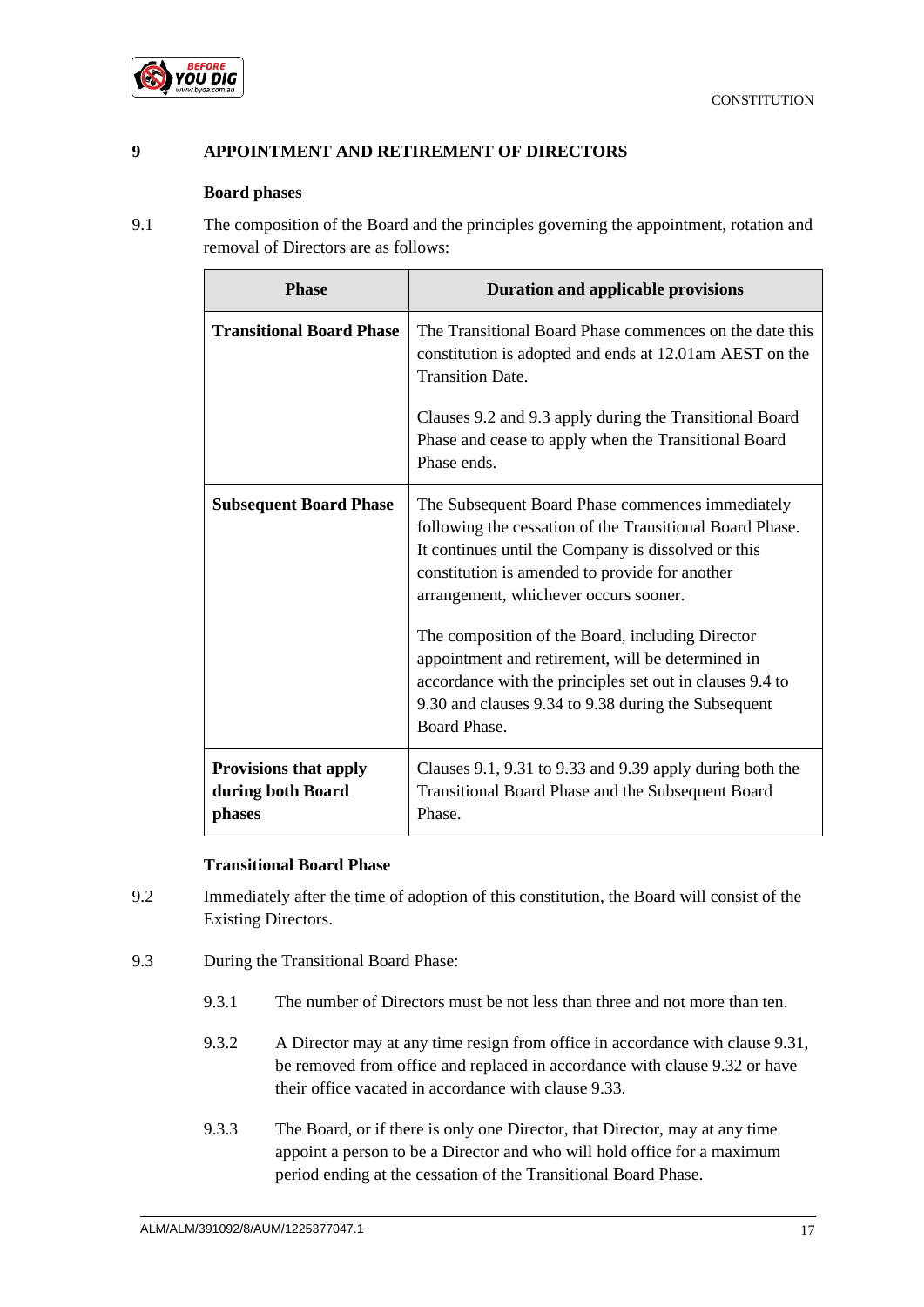

# **9 APPOINTMENT AND RETIREMENT OF DIRECTORS**

## **Board phases**

<span id="page-20-2"></span>9.1 The composition of the Board and the principles governing the appointment, rotation and removal of Directors are as follows:

| <b>Phase</b>                                                | Duration and applicable provisions                                                                                                                                                                                                                                                                                                                                                                                                                                                                         |
|-------------------------------------------------------------|------------------------------------------------------------------------------------------------------------------------------------------------------------------------------------------------------------------------------------------------------------------------------------------------------------------------------------------------------------------------------------------------------------------------------------------------------------------------------------------------------------|
| <b>Transitional Board Phase</b>                             | The Transitional Board Phase commences on the date this<br>constitution is adopted and ends at 12.01 am AEST on the<br><b>Transition Date.</b>                                                                                                                                                                                                                                                                                                                                                             |
|                                                             | Clauses 9.2 and 9.3 apply during the Transitional Board<br>Phase and cease to apply when the Transitional Board<br>Phase ends.                                                                                                                                                                                                                                                                                                                                                                             |
| <b>Subsequent Board Phase</b>                               | The Subsequent Board Phase commences immediately<br>following the cessation of the Transitional Board Phase.<br>It continues until the Company is dissolved or this<br>constitution is amended to provide for another<br>arrangement, whichever occurs sooner.<br>The composition of the Board, including Director<br>appointment and retirement, will be determined in<br>accordance with the principles set out in clauses 9.4 to<br>9.30 and clauses 9.34 to 9.38 during the Subsequent<br>Board Phase. |
| <b>Provisions that apply</b><br>during both Board<br>phases | Clauses 9.1, 9.31 to 9.33 and 9.39 apply during both the<br><b>Transitional Board Phase and the Subsequent Board</b><br>Phase.                                                                                                                                                                                                                                                                                                                                                                             |

# **Transitional Board Phase**

- <span id="page-20-0"></span>9.2 Immediately after the time of adoption of this constitution, the Board will consist of the Existing Directors.
- <span id="page-20-1"></span>9.3 During the Transitional Board Phase:
	- 9.3.1 The number of Directors must be not less than three and not more than ten.
	- 9.3.2 A Director may at any time resign from office in accordance with clause [9.31,](#page-26-1) be removed from office and replaced in accordance with clause [9.32](#page-26-3) or have their office vacated in accordance with clause [9.33.](#page-26-2)
	- 9.3.3 The Board, or if there is only one Director, that Director, may at any time appoint a person to be a Director and who will hold office for a maximum period ending at the cessation of the Transitional Board Phase.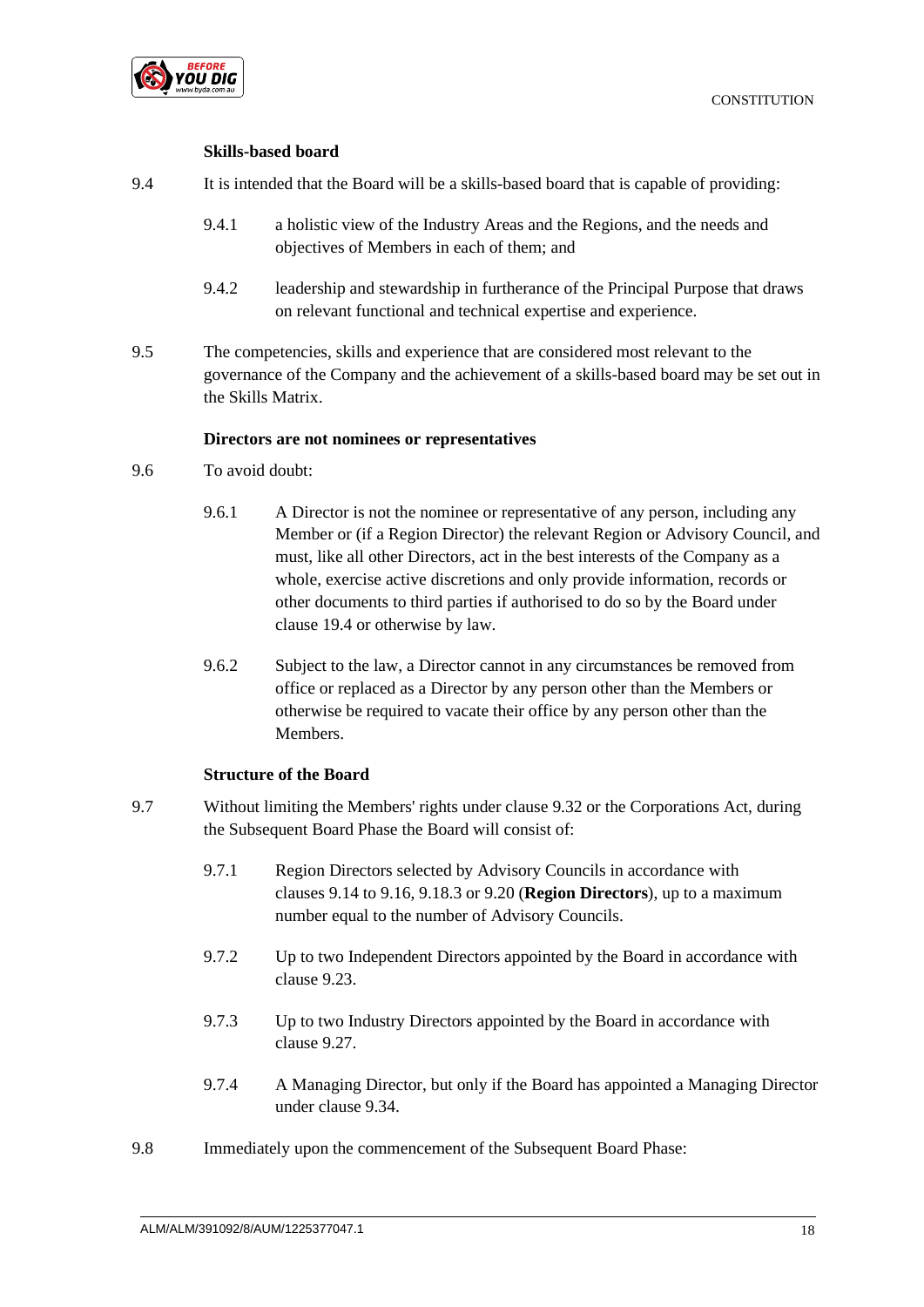

## **Skills-based board**

<span id="page-21-0"></span>9.4 It is intended that the Board will be a skills-based board that is capable of providing:

- 9.4.1 a holistic view of the Industry Areas and the Regions, and the needs and objectives of Members in each of them; and
- 9.4.2 leadership and stewardship in furtherance of the Principal Purpose that draws on relevant functional and technical expertise and experience.
- 9.5 The competencies, skills and experience that are considered most relevant to the governance of the Company and the achievement of a skills-based board may be set out in the Skills Matrix.

## **Directors are not nominees or representatives**

- 9.6 To avoid doubt:
	- 9.6.1 A Director is not the nominee or representative of any person, including any Member or (if a Region Director) the relevant Region or Advisory Council, and must, like all other Directors, act in the best interests of the Company as a whole, exercise active discretions and only provide information, records or other documents to third parties if authorised to do so by the Board under clause [19.4](#page-39-0) or otherwise by law.
	- 9.6.2 Subject to the law, a Director cannot in any circumstances be removed from office or replaced as a Director by any person other than the Members or otherwise be required to vacate their office by any person other than the **Members**

# **Structure of the Board**

- <span id="page-21-1"></span>9.7 Without limiting the Members' rights under clause [9.32](#page-26-3) or the Corporations Act, during the Subsequent Board Phase the Board will consist of:
	- 9.7.1 Region Directors selected by Advisory Councils in accordance with clauses [9.14](#page-23-0) to [9.16,](#page-24-0) [9.18.3](#page-24-1) or [9.20](#page-25-0) (**Region Directors**), up to a maximum number equal to the number of Advisory Councils.
	- 9.7.2 Up to two Independent Directors appointed by the Board in accordance with clause [9.23.](#page-25-1)
	- 9.7.3 Up to two Industry Directors appointed by the Board in accordance with clause [9.27.](#page-26-4)
	- 9.7.4 A Managing Director, but only if the Board has appointed a Managing Director under clause [9.34.](#page-27-0)
- 9.8 Immediately upon the commencement of the Subsequent Board Phase: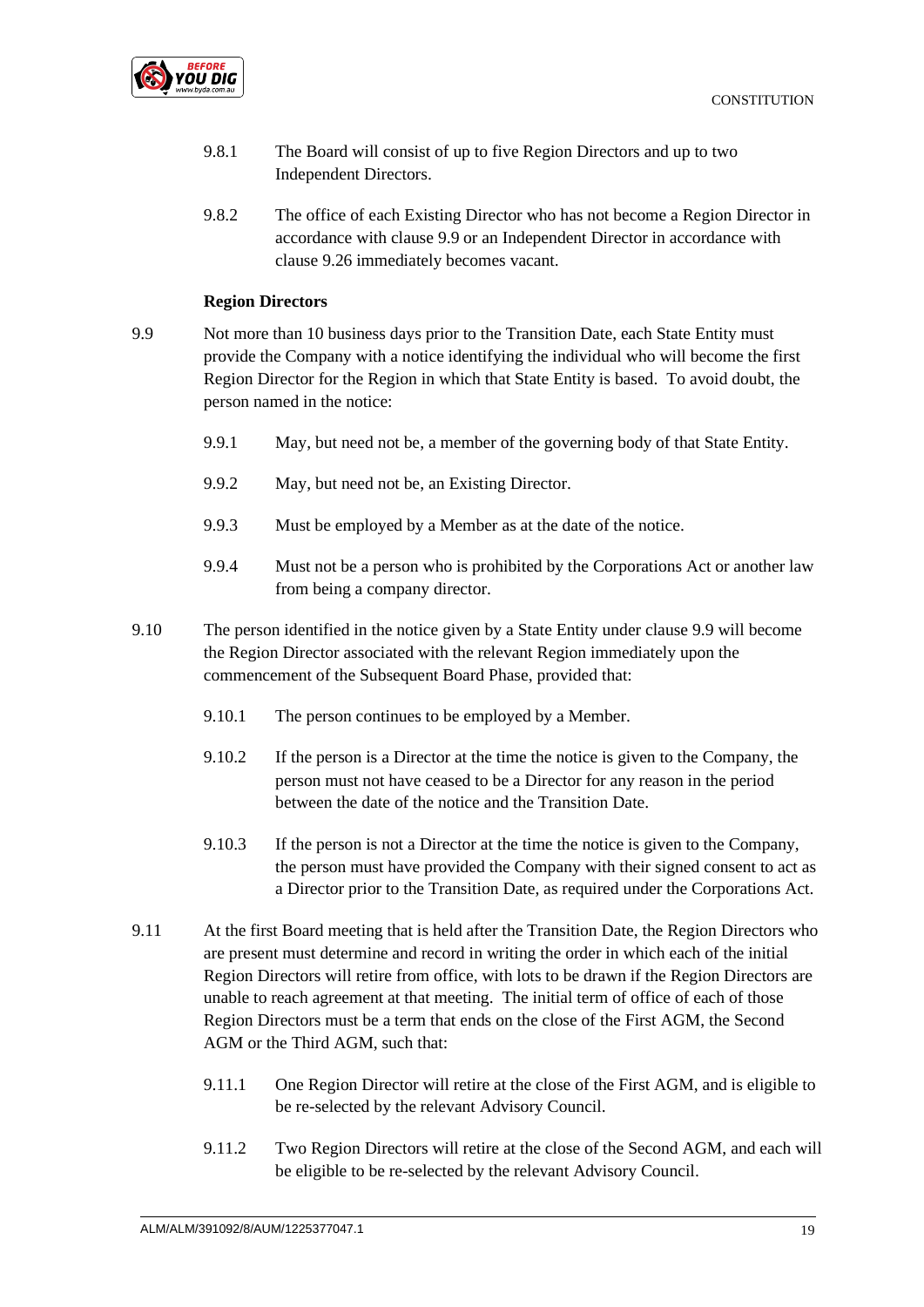

- 9.8.1 The Board will consist of up to five Region Directors and up to two Independent Directors.
- 9.8.2 The office of each Existing Director who has not become a Region Director in accordance with clause [9.9](#page-22-0) or an Independent Director in accordance with clause [9.26](#page-25-2) immediately becomes vacant.

## **Region Directors**

- <span id="page-22-0"></span>9.9 Not more than 10 business days prior to the Transition Date, each State Entity must provide the Company with a notice identifying the individual who will become the first Region Director for the Region in which that State Entity is based. To avoid doubt, the person named in the notice:
	- 9.9.1 May, but need not be, a member of the governing body of that State Entity.
	- 9.9.2 May, but need not be, an Existing Director.
	- 9.9.3 Must be employed by a Member as at the date of the notice.
	- 9.9.4 Must not be a person who is prohibited by the Corporations Act or another law from being a company director.
- 9.10 The person identified in the notice given by a State Entity under clause [9.9](#page-22-0) will become the Region Director associated with the relevant Region immediately upon the commencement of the Subsequent Board Phase, provided that:
	- 9.10.1 The person continues to be employed by a Member.
	- 9.10.2 If the person is a Director at the time the notice is given to the Company, the person must not have ceased to be a Director for any reason in the period between the date of the notice and the Transition Date.
	- 9.10.3 If the person is not a Director at the time the notice is given to the Company, the person must have provided the Company with their signed consent to act as a Director prior to the Transition Date, as required under the Corporations Act.
- <span id="page-22-1"></span>9.11 At the first Board meeting that is held after the Transition Date, the Region Directors who are present must determine and record in writing the order in which each of the initial Region Directors will retire from office, with lots to be drawn if the Region Directors are unable to reach agreement at that meeting. The initial term of office of each of those Region Directors must be a term that ends on the close of the First AGM, the Second AGM or the Third AGM, such that:
	- 9.11.1 One Region Director will retire at the close of the First AGM, and is eligible to be re-selected by the relevant Advisory Council.
	- 9.11.2 Two Region Directors will retire at the close of the Second AGM, and each will be eligible to be re-selected by the relevant Advisory Council.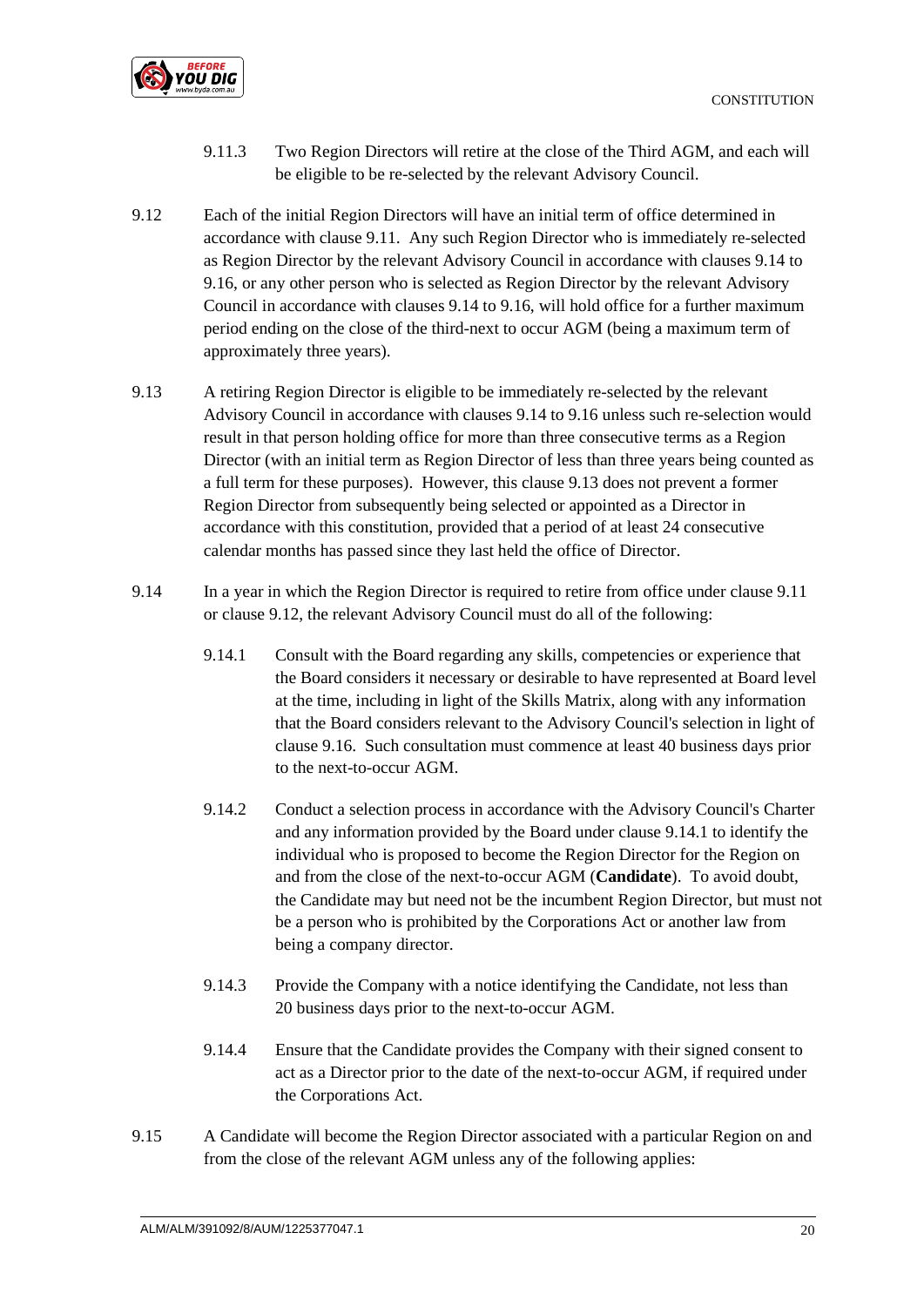

- 9.11.3 Two Region Directors will retire at the close of the Third AGM, and each will be eligible to be re-selected by the relevant Advisory Council.
- <span id="page-23-2"></span>9.12 Each of the initial Region Directors will have an initial term of office determined in accordance with clause [9.11.](#page-22-1) Any such Region Director who is immediately re-selected as Region Director by the relevant Advisory Council in accordance with clauses [9.14](#page-23-0) to [9.16,](#page-24-0) or any other person who is selected as Region Director by the relevant Advisory Council in accordance with clauses [9.14](#page-23-0) to [9.16,](#page-24-0) will hold office for a further maximum period ending on the close of the third-next to occur AGM (being a maximum term of approximately three years).
- <span id="page-23-1"></span>9.13 A retiring Region Director is eligible to be immediately re-selected by the relevant Advisory Council in accordance with clauses [9.14](#page-23-0) to [9.16](#page-24-0) unless such re-selection would result in that person holding office for more than three consecutive terms as a Region Director (with an initial term as Region Director of less than three years being counted as a full term for these purposes). However, this clause [9.13](#page-23-1) does not prevent a former Region Director from subsequently being selected or appointed as a Director in accordance with this constitution, provided that a period of at least 24 consecutive calendar months has passed since they last held the office of Director.
- <span id="page-23-6"></span><span id="page-23-3"></span><span id="page-23-0"></span>9.14 In a year in which the Region Director is required to retire from office under clause [9.11](#page-22-1) or clause [9.12,](#page-23-2) the relevant Advisory Council must do all of the following:
	- 9.14.1 Consult with the Board regarding any skills, competencies or experience that the Board considers it necessary or desirable to have represented at Board level at the time, including in light of the Skills Matrix, along with any information that the Board considers relevant to the Advisory Council's selection in light of clause [9.16.](#page-24-0) Such consultation must commence at least 40 business days prior to the next-to-occur AGM.
	- 9.14.2 Conduct a selection process in accordance with the Advisory Council's Charter and any information provided by the Board under clause [9.14.1](#page-23-3) to identify the individual who is proposed to become the Region Director for the Region on and from the close of the next-to-occur AGM (**Candidate**). To avoid doubt, the Candidate may but need not be the incumbent Region Director, but must not be a person who is prohibited by the Corporations Act or another law from being a company director.
	- 9.14.3 Provide the Company with a notice identifying the Candidate, not less than 20 business days prior to the next-to-occur AGM.
	- 9.14.4 Ensure that the Candidate provides the Company with their signed consent to act as a Director prior to the date of the next-to-occur AGM, if required under the Corporations Act.
- <span id="page-23-5"></span><span id="page-23-4"></span>9.15 A Candidate will become the Region Director associated with a particular Region on and from the close of the relevant AGM unless any of the following applies: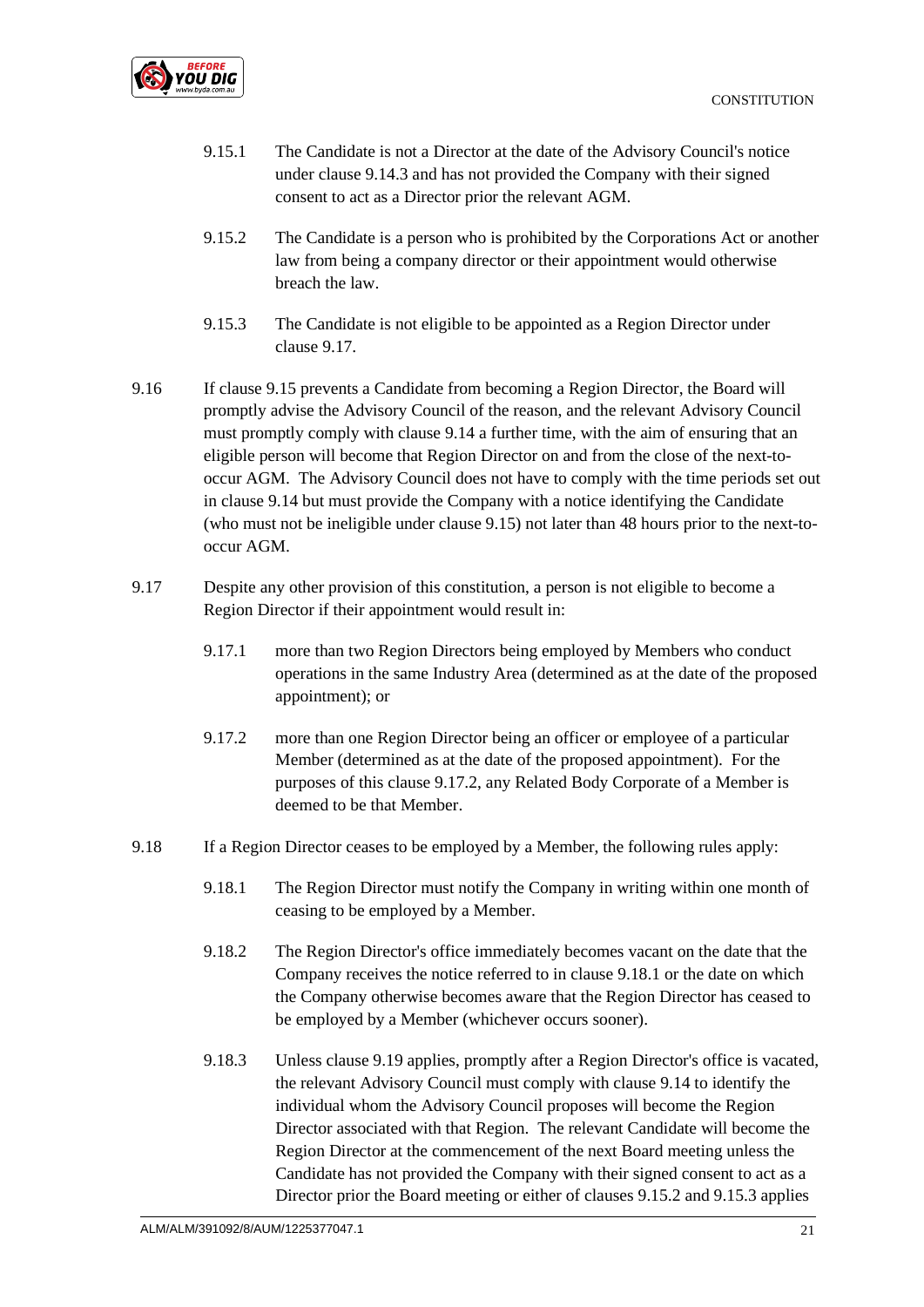

- 9.15.1 The Candidate is not a Director at the date of the Advisory Council's notice under clause [9.14.3](#page-23-4) and has not provided the Company with their signed consent to act as a Director prior the relevant AGM.
- <span id="page-24-5"></span>9.15.2 The Candidate is a person who is prohibited by the Corporations Act or another law from being a company director or their appointment would otherwise breach the law.
- 9.15.3 The Candidate is not eligible to be appointed as a Region Director under clause [9.17.](#page-24-2)
- <span id="page-24-6"></span><span id="page-24-0"></span>9.16 If clause [9.15](#page-23-5) prevents a Candidate from becoming a Region Director, the Board will promptly advise the Advisory Council of the reason, and the relevant Advisory Council must promptly comply with clause [9.14](#page-23-0) a further time, with the aim of ensuring that an eligible person will become that Region Director on and from the close of the next-tooccur AGM. The Advisory Council does not have to comply with the time periods set out in clause [9.14](#page-23-0) but must provide the Company with a notice identifying the Candidate (who must not be ineligible under clause [9.15\)](#page-23-5) not later than 48 hours prior to the next-tooccur AGM.
- <span id="page-24-2"></span>9.17 Despite any other provision of this constitution, a person is not eligible to become a Region Director if their appointment would result in:
	- 9.17.1 more than two Region Directors being employed by Members who conduct operations in the same Industry Area (determined as at the date of the proposed appointment); or
	- 9.17.2 more than one Region Director being an officer or employee of a particular Member (determined as at the date of the proposed appointment). For the purposes of this clause [9.17.2,](#page-24-3) any Related Body Corporate of a Member is deemed to be that Member.
- <span id="page-24-4"></span><span id="page-24-3"></span><span id="page-24-1"></span>9.18 If a Region Director ceases to be employed by a Member, the following rules apply:
	- 9.18.1 The Region Director must notify the Company in writing within one month of ceasing to be employed by a Member.
	- 9.18.2 The Region Director's office immediately becomes vacant on the date that the Company receives the notice referred to in clause [9.18.1](#page-24-4) or the date on which the Company otherwise becomes aware that the Region Director has ceased to be employed by a Member (whichever occurs sooner).
	- 9.18.3 Unless clause [9.19](#page-25-3) applies, promptly after a Region Director's office is vacated, the relevant Advisory Council must comply with clause 9.14 to identify the individual whom the Advisory Council proposes will become the Region Director associated with that Region. The relevant Candidate will become the Region Director at the commencement of the next Board meeting unless the Candidate has not provided the Company with their signed consent to act as a Director prior the Board meeting or either of clauses [9.15.2](#page-24-5) and [9.15.3](#page-24-6) applies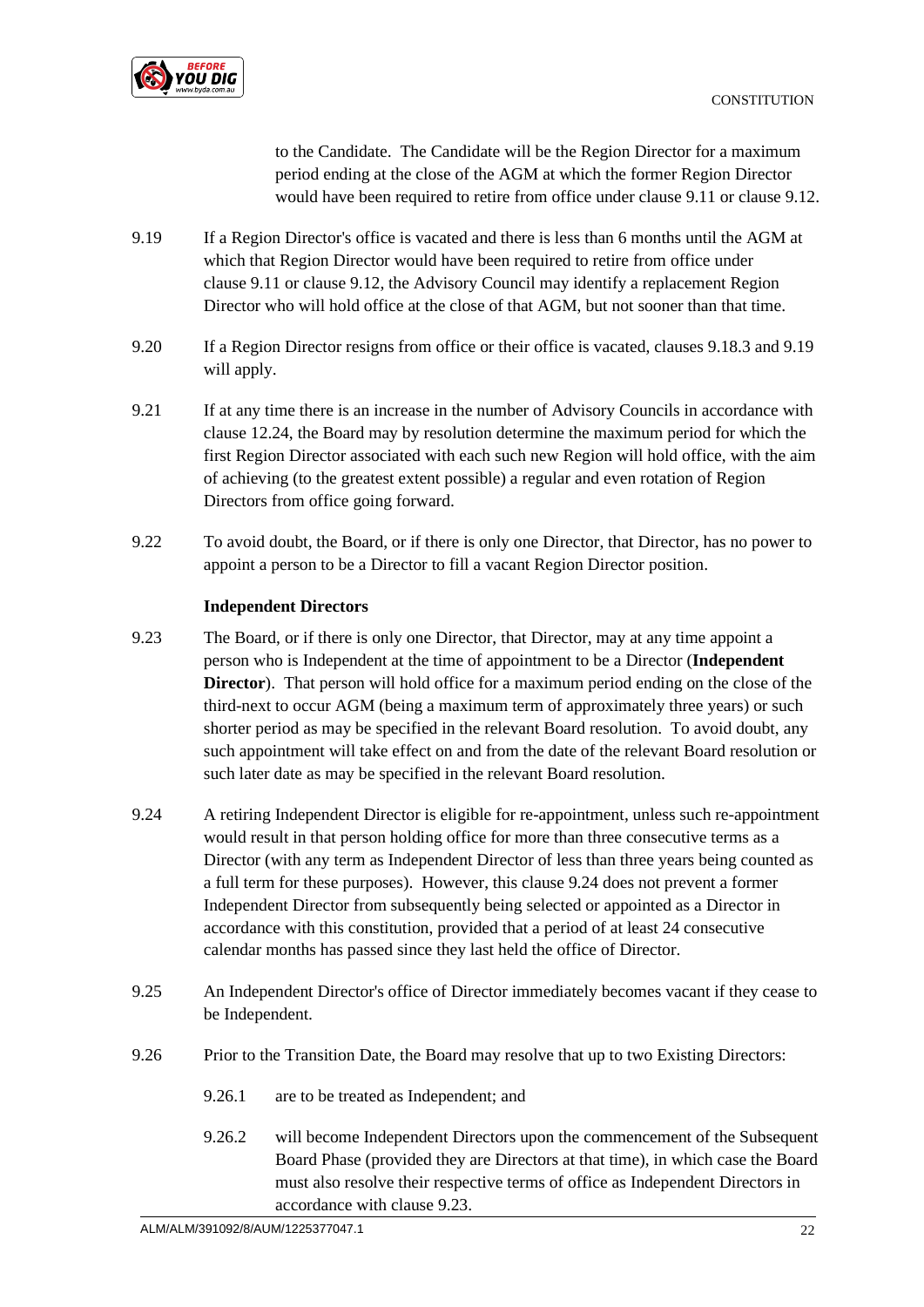

to the Candidate. The Candidate will be the Region Director for a maximum period ending at the close of the AGM at which the former Region Director would have been required to retire from office under clause [9.11](#page-22-1) or clause [9.12.](#page-23-2)

- <span id="page-25-3"></span>9.19 If a Region Director's office is vacated and there is less than 6 months until the AGM at which that Region Director would have been required to retire from office under clause [9.11](#page-22-1) or clause [9.12,](#page-23-2) the Advisory Council may identify a replacement Region Director who will hold office at the close of that AGM, but not sooner than that time.
- <span id="page-25-0"></span>9.20 If a Region Director resigns from office or their office is vacated, clauses [9.18.3](#page-24-1) and [9.19](#page-25-3) will apply.
- 9.21 If at any time there is an increase in the number of Advisory Councils in accordance with clause [12.24,](#page-32-0) the Board may by resolution determine the maximum period for which the first Region Director associated with each such new Region will hold office, with the aim of achieving (to the greatest extent possible) a regular and even rotation of Region Directors from office going forward.
- 9.22 To avoid doubt, the Board, or if there is only one Director, that Director, has no power to appoint a person to be a Director to fill a vacant Region Director position.

# **Independent Directors**

- <span id="page-25-1"></span>9.23 The Board, or if there is only one Director, that Director, may at any time appoint a person who is Independent at the time of appointment to be a Director (**Independent Director**). That person will hold office for a maximum period ending on the close of the third-next to occur AGM (being a maximum term of approximately three years) or such shorter period as may be specified in the relevant Board resolution. To avoid doubt, any such appointment will take effect on and from the date of the relevant Board resolution or such later date as may be specified in the relevant Board resolution.
- <span id="page-25-4"></span>9.24 A retiring Independent Director is eligible for re-appointment, unless such re-appointment would result in that person holding office for more than three consecutive terms as a Director (with any term as Independent Director of less than three years being counted as a full term for these purposes). However, this clause [9.24](#page-25-4) does not prevent a former Independent Director from subsequently being selected or appointed as a Director in accordance with this constitution, provided that a period of at least 24 consecutive calendar months has passed since they last held the office of Director.
- 9.25 An Independent Director's office of Director immediately becomes vacant if they cease to be Independent.
- <span id="page-25-2"></span>9.26 Prior to the Transition Date, the Board may resolve that up to two Existing Directors:
	- 9.26.1 are to be treated as Independent; and
	- 9.26.2 will become Independent Directors upon the commencement of the Subsequent Board Phase (provided they are Directors at that time), in which case the Board must also resolve their respective terms of office as Independent Directors in accordance with clause [9.23.](#page-25-1)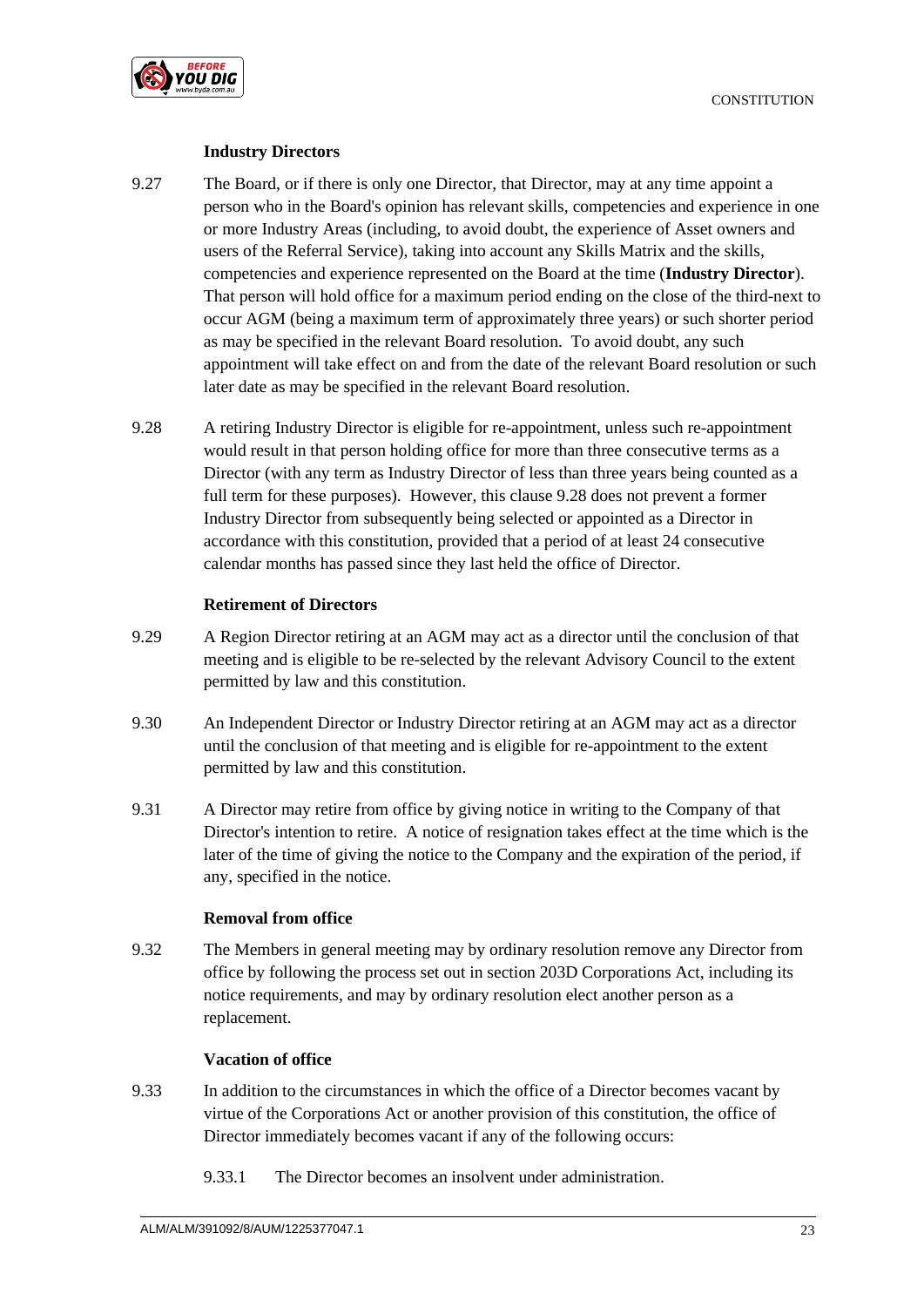

# **Industry Directors**

- <span id="page-26-4"></span>9.27 The Board, or if there is only one Director, that Director, may at any time appoint a person who in the Board's opinion has relevant skills, competencies and experience in one or more Industry Areas (including, to avoid doubt, the experience of Asset owners and users of the Referral Service), taking into account any Skills Matrix and the skills, competencies and experience represented on the Board at the time (**Industry Director**). That person will hold office for a maximum period ending on the close of the third-next to occur AGM (being a maximum term of approximately three years) or such shorter period as may be specified in the relevant Board resolution. To avoid doubt, any such appointment will take effect on and from the date of the relevant Board resolution or such later date as may be specified in the relevant Board resolution.
- <span id="page-26-5"></span>9.28 A retiring Industry Director is eligible for re-appointment, unless such re-appointment would result in that person holding office for more than three consecutive terms as a Director (with any term as Industry Director of less than three years being counted as a full term for these purposes). However, this clause [9.28](#page-26-5) does not prevent a former Industry Director from subsequently being selected or appointed as a Director in accordance with this constitution, provided that a period of at least 24 consecutive calendar months has passed since they last held the office of Director.

# **Retirement of Directors**

- 9.29 A Region Director retiring at an AGM may act as a director until the conclusion of that meeting and is eligible to be re-selected by the relevant Advisory Council to the extent permitted by law and this constitution.
- <span id="page-26-0"></span>9.30 An Independent Director or Industry Director retiring at an AGM may act as a director until the conclusion of that meeting and is eligible for re-appointment to the extent permitted by law and this constitution.
- <span id="page-26-1"></span>9.31 A Director may retire from office by giving notice in writing to the Company of that Director's intention to retire. A notice of resignation takes effect at the time which is the later of the time of giving the notice to the Company and the expiration of the period, if any, specified in the notice.

# **Removal from office**

<span id="page-26-3"></span>9.32 The Members in general meeting may by ordinary resolution remove any Director from office by following the process set out in section 203D Corporations Act, including its notice requirements, and may by ordinary resolution elect another person as a replacement.

# **Vacation of office**

- <span id="page-26-2"></span>9.33 In addition to the circumstances in which the office of a Director becomes vacant by virtue of the Corporations Act or another provision of this constitution, the office of Director immediately becomes vacant if any of the following occurs:
	- 9.33.1 The Director becomes an insolvent under administration.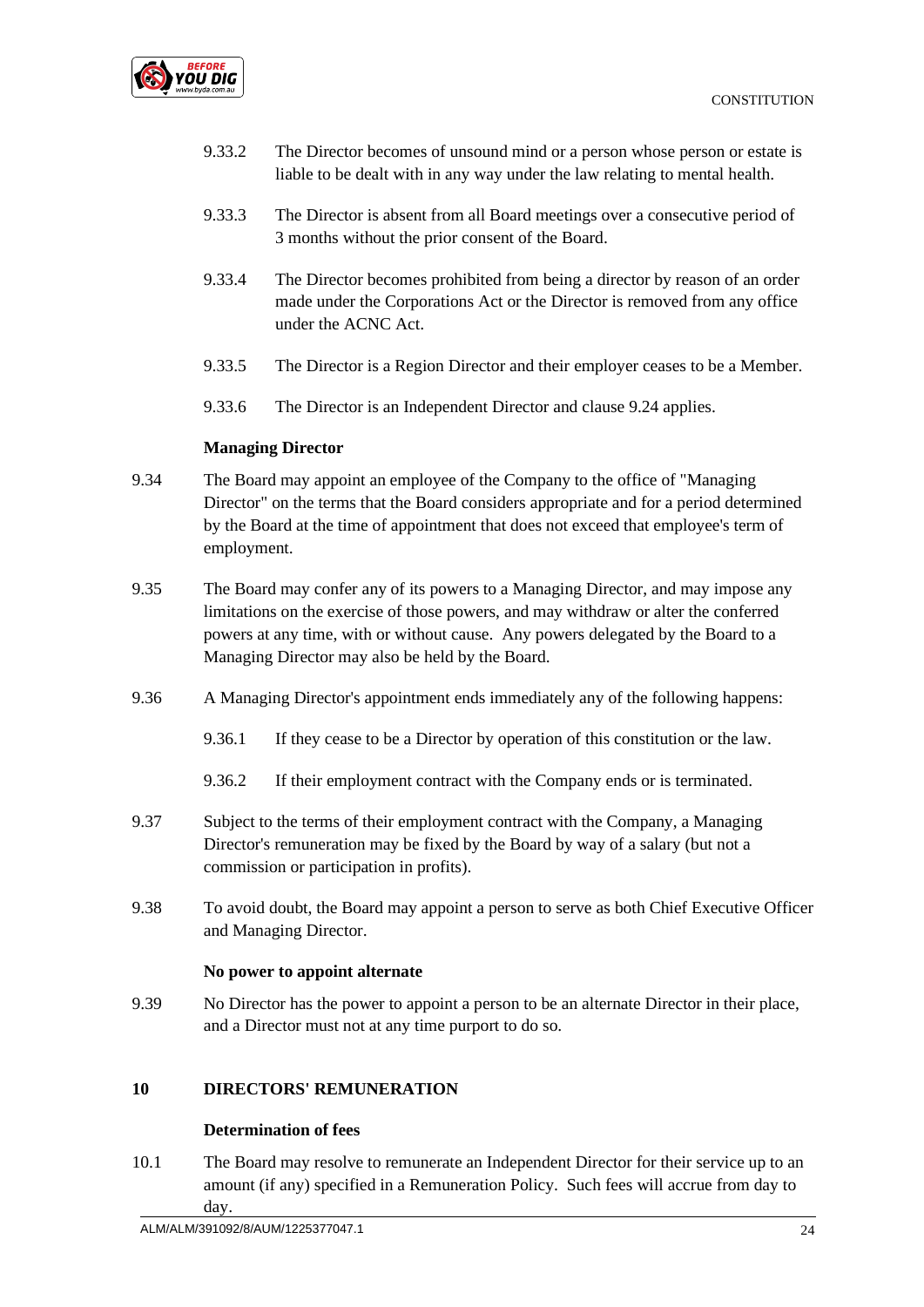

- 9.33.2 The Director becomes of unsound mind or a person whose person or estate is liable to be dealt with in any way under the law relating to mental health.
- 9.33.3 The Director is absent from all Board meetings over a consecutive period of 3 months without the prior consent of the Board.
- 9.33.4 The Director becomes prohibited from being a director by reason of an order made under the Corporations Act or the Director is removed from any office under the ACNC Act.
- 9.33.5 The Director is a Region Director and their employer ceases to be a Member.
- 9.33.6 The Director is an Independent Director and clause [9.24](#page-25-4) applies.

## **Managing Director**

- <span id="page-27-0"></span>9.34 The Board may appoint an employee of the Company to the office of "Managing Director" on the terms that the Board considers appropriate and for a period determined by the Board at the time of appointment that does not exceed that employee's term of employment.
- 9.35 The Board may confer any of its powers to a Managing Director, and may impose any limitations on the exercise of those powers, and may withdraw or alter the conferred powers at any time, with or without cause. Any powers delegated by the Board to a Managing Director may also be held by the Board.
- 9.36 A Managing Director's appointment ends immediately any of the following happens:
	- 9.36.1 If they cease to be a Director by operation of this constitution or the law.
	- 9.36.2 If their employment contract with the Company ends or is terminated.
- 9.37 Subject to the terms of their employment contract with the Company, a Managing Director's remuneration may be fixed by the Board by way of a salary (but not a commission or participation in profits).
- <span id="page-27-1"></span>9.38 To avoid doubt, the Board may appoint a person to serve as both Chief Executive Officer and Managing Director.

## **No power to appoint alternate**

<span id="page-27-2"></span>9.39 No Director has the power to appoint a person to be an alternate Director in their place, and a Director must not at any time purport to do so.

# **10 DIRECTORS' REMUNERATION**

## **Determination of fees**

<span id="page-27-3"></span>10.1 The Board may resolve to remunerate an Independent Director for their service up to an amount (if any) specified in a Remuneration Policy. Such fees will accrue from day to day.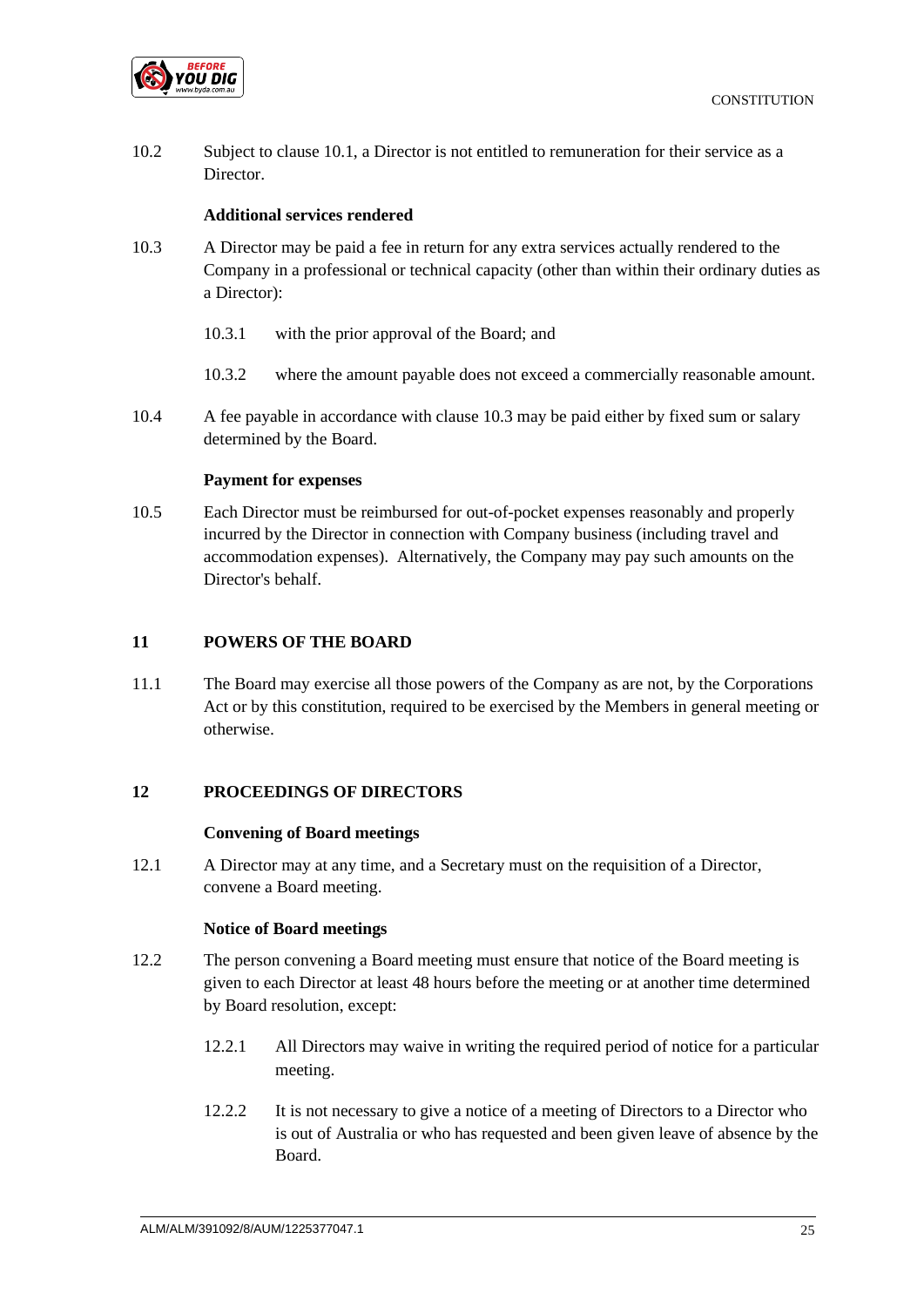

10.2 Subject to clause [10.1,](#page-27-3) a Director is not entitled to remuneration for their service as a Director.

## **Additional services rendered**

- <span id="page-28-0"></span>10.3 A Director may be paid a fee in return for any extra services actually rendered to the Company in a professional or technical capacity (other than within their ordinary duties as a Director):
	- 10.3.1 with the prior approval of the Board; and
	- 10.3.2 where the amount payable does not exceed a commercially reasonable amount.
- 10.4 A fee payable in accordance with clause [10.3](#page-28-0) may be paid either by fixed sum or salary determined by the Board.

## **Payment for expenses**

10.5 Each Director must be reimbursed for out-of-pocket expenses reasonably and properly incurred by the Director in connection with Company business (including travel and accommodation expenses). Alternatively, the Company may pay such amounts on the Director's behalf.

## **11 POWERS OF THE BOARD**

11.1 The Board may exercise all those powers of the Company as are not, by the Corporations Act or by this constitution, required to be exercised by the Members in general meeting or otherwise.

# <span id="page-28-1"></span>**12 PROCEEDINGS OF DIRECTORS**

## **Convening of Board meetings**

12.1 A Director may at any time, and a Secretary must on the requisition of a Director, convene a Board meeting.

## **Notice of Board meetings**

- 12.2 The person convening a Board meeting must ensure that notice of the Board meeting is given to each Director at least 48 hours before the meeting or at another time determined by Board resolution, except:
	- 12.2.1 All Directors may waive in writing the required period of notice for a particular meeting.
	- 12.2.2 It is not necessary to give a notice of a meeting of Directors to a Director who is out of Australia or who has requested and been given leave of absence by the Board.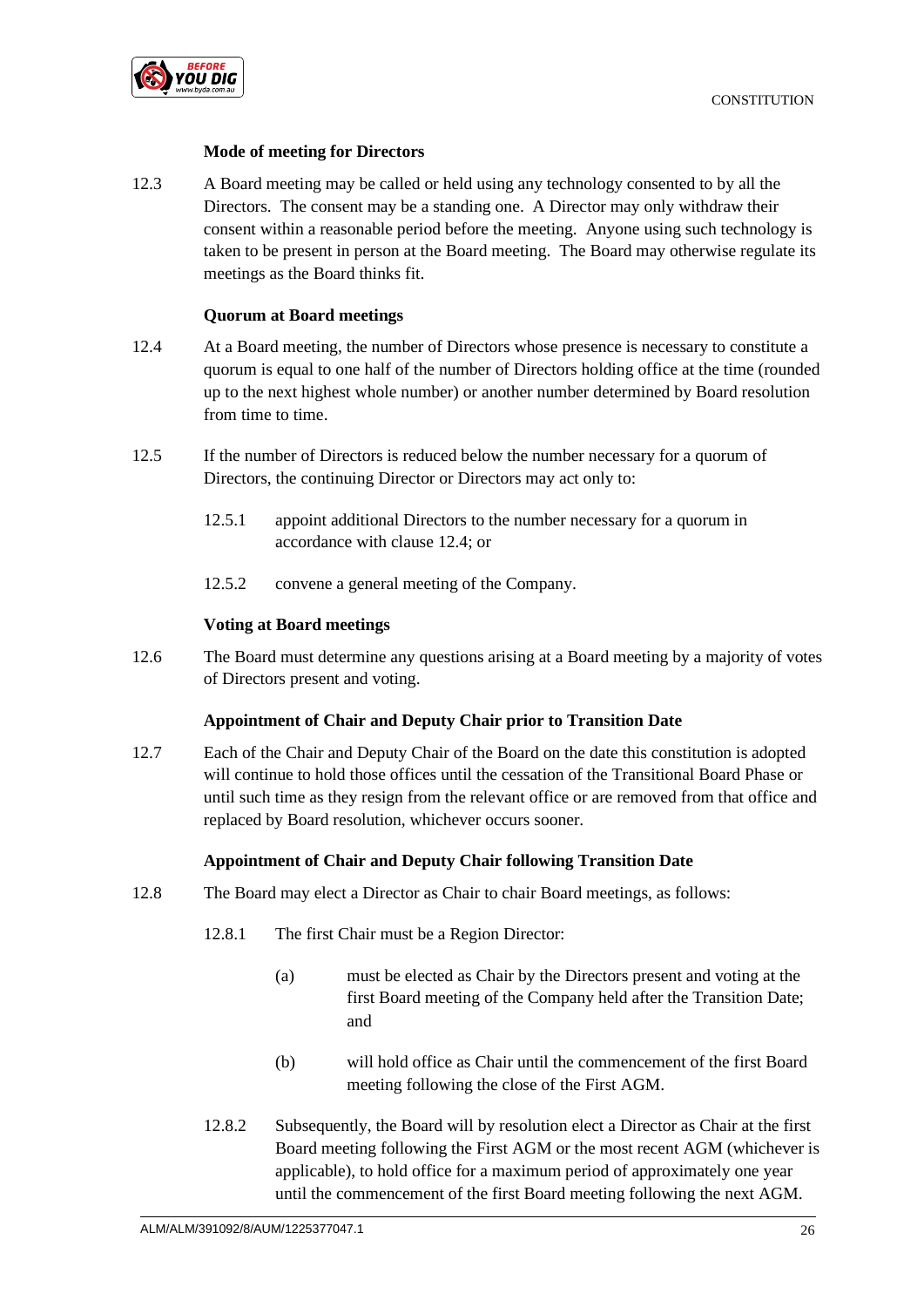

## **Mode of meeting for Directors**

12.3 A Board meeting may be called or held using any technology consented to by all the Directors. The consent may be a standing one. A Director may only withdraw their consent within a reasonable period before the meeting. Anyone using such technology is taken to be present in person at the Board meeting. The Board may otherwise regulate its meetings as the Board thinks fit.

## **Quorum at Board meetings**

- <span id="page-29-1"></span>12.4 At a Board meeting, the number of Directors whose presence is necessary to constitute a quorum is equal to one half of the number of Directors holding office at the time (rounded up to the next highest whole number) or another number determined by Board resolution from time to time.
- 12.5 If the number of Directors is reduced below the number necessary for a quorum of Directors, the continuing Director or Directors may act only to:
	- 12.5.1 appoint additional Directors to the number necessary for a quorum in accordance with clause [12.4;](#page-29-1) or
	- 12.5.2 convene a general meeting of the Company.

## **Voting at Board meetings**

12.6 The Board must determine any questions arising at a Board meeting by a majority of votes of Directors present and voting.

## **Appointment of Chair and Deputy Chair prior to Transition Date**

12.7 Each of the Chair and Deputy Chair of the Board on the date this constitution is adopted will continue to hold those offices until the cessation of the Transitional Board Phase or until such time as they resign from the relevant office or are removed from that office and replaced by Board resolution, whichever occurs sooner.

# **Appointment of Chair and Deputy Chair following Transition Date**

- <span id="page-29-0"></span>12.8 The Board may elect a Director as Chair to chair Board meetings, as follows:
	- 12.8.1 The first Chair must be a Region Director:
		- (a) must be elected as Chair by the Directors present and voting at the first Board meeting of the Company held after the Transition Date; and
		- (b) will hold office as Chair until the commencement of the first Board meeting following the close of the First AGM.
	- 12.8.2 Subsequently, the Board will by resolution elect a Director as Chair at the first Board meeting following the First AGM or the most recent AGM (whichever is applicable), to hold office for a maximum period of approximately one year until the commencement of the first Board meeting following the next AGM.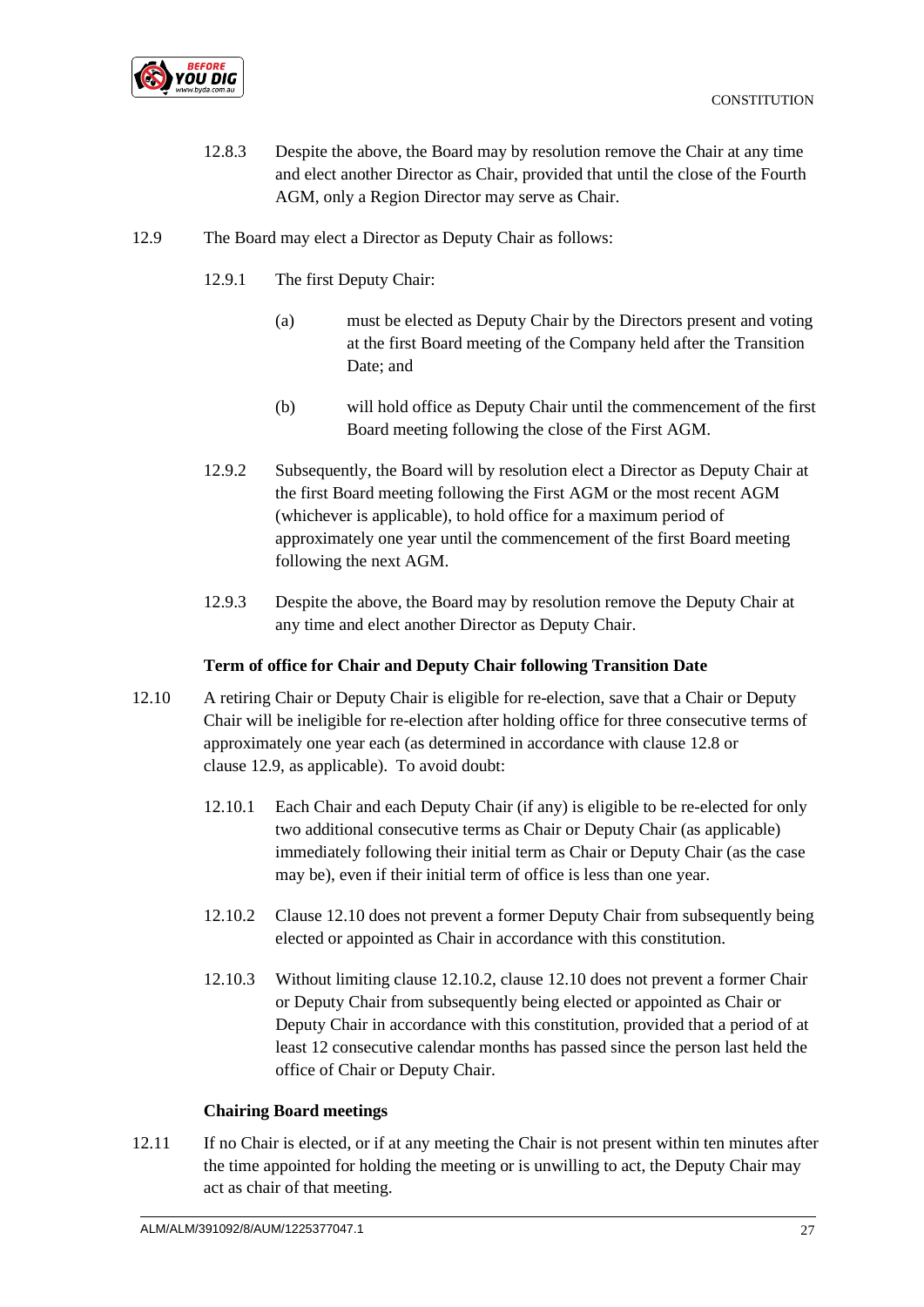

- 12.8.3 Despite the above, the Board may by resolution remove the Chair at any time and elect another Director as Chair, provided that until the close of the Fourth AGM, only a Region Director may serve as Chair.
- <span id="page-30-0"></span>12.9 The Board may elect a Director as Deputy Chair as follows:
	- 12.9.1 The first Deputy Chair:
		- (a) must be elected as Deputy Chair by the Directors present and voting at the first Board meeting of the Company held after the Transition Date; and
		- (b) will hold office as Deputy Chair until the commencement of the first Board meeting following the close of the First AGM.
	- 12.9.2 Subsequently, the Board will by resolution elect a Director as Deputy Chair at the first Board meeting following the First AGM or the most recent AGM (whichever is applicable), to hold office for a maximum period of approximately one year until the commencement of the first Board meeting following the next AGM.
	- 12.9.3 Despite the above, the Board may by resolution remove the Deputy Chair at any time and elect another Director as Deputy Chair.

# **Term of office for Chair and Deputy Chair following Transition Date**

- <span id="page-30-2"></span><span id="page-30-1"></span>12.10 A retiring Chair or Deputy Chair is eligible for re-election, save that a Chair or Deputy Chair will be ineligible for re-election after holding office for three consecutive terms of approximately one year each (as determined in accordance with clause [12.8](#page-29-0) or clause [12.9,](#page-30-0) as applicable). To avoid doubt:
	- 12.10.1 Each Chair and each Deputy Chair (if any) is eligible to be re-elected for only two additional consecutive terms as Chair or Deputy Chair (as applicable) immediately following their initial term as Chair or Deputy Chair (as the case may be), even if their initial term of office is less than one year.
	- 12.10.2 Clause [12.10](#page-30-1) does not prevent a former Deputy Chair from subsequently being elected or appointed as Chair in accordance with this constitution.
	- 12.10.3 Without limiting clause [12.10.2,](#page-30-2) clause [12.10](#page-30-1) does not prevent a former Chair or Deputy Chair from subsequently being elected or appointed as Chair or Deputy Chair in accordance with this constitution, provided that a period of at least 12 consecutive calendar months has passed since the person last held the office of Chair or Deputy Chair.

# **Chairing Board meetings**

<span id="page-30-3"></span>12.11 If no Chair is elected, or if at any meeting the Chair is not present within ten minutes after the time appointed for holding the meeting or is unwilling to act, the Deputy Chair may act as chair of that meeting.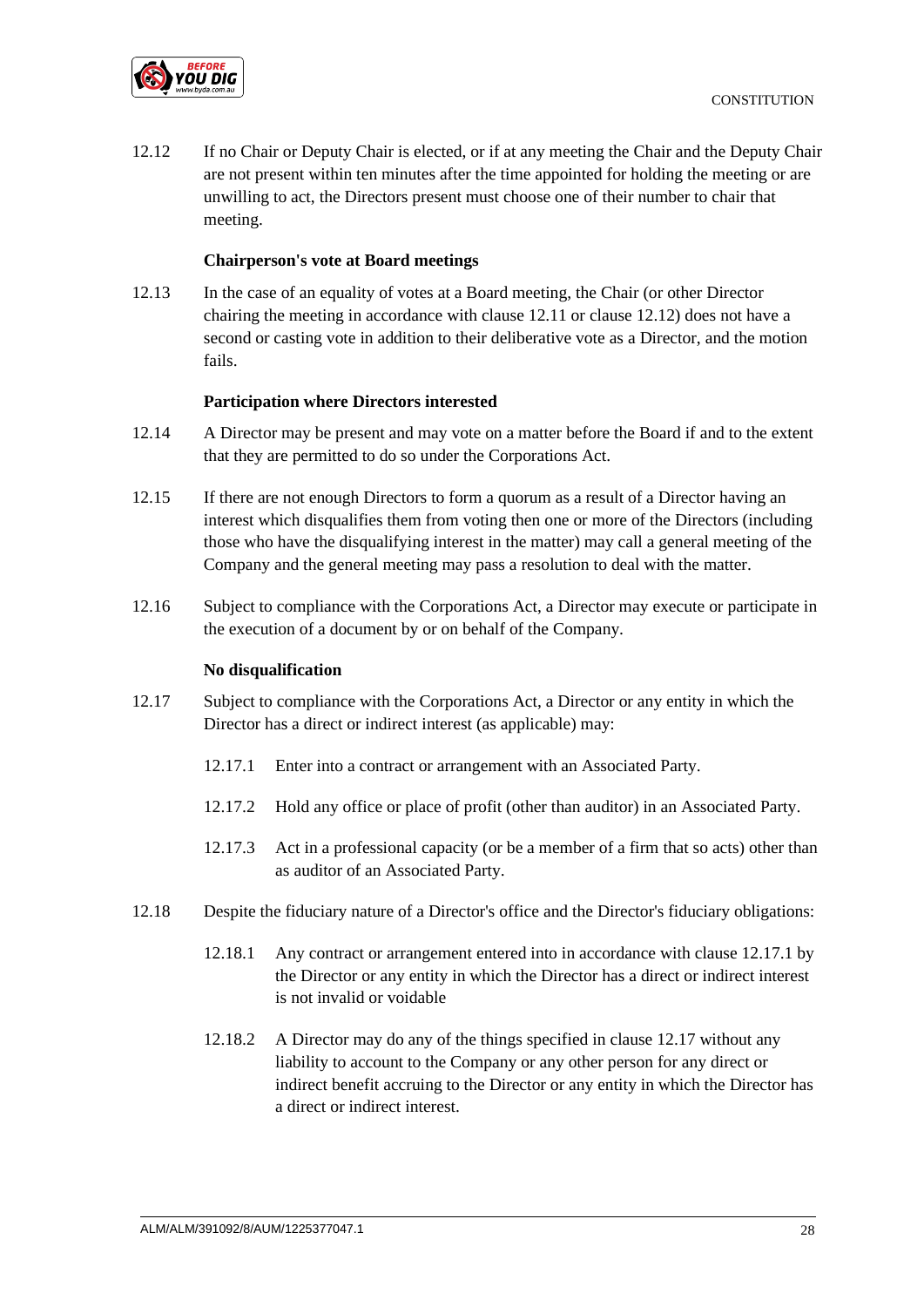

<span id="page-31-0"></span>12.12 If no Chair or Deputy Chair is elected, or if at any meeting the Chair and the Deputy Chair are not present within ten minutes after the time appointed for holding the meeting or are unwilling to act, the Directors present must choose one of their number to chair that meeting.

## **Chairperson's vote at Board meetings**

12.13 In the case of an equality of votes at a Board meeting, the Chair (or other Director chairing the meeting in accordance with clause [12.11](#page-30-3) or clause [12.12\)](#page-31-0) does not have a second or casting vote in addition to their deliberative vote as a Director, and the motion fails.

## **Participation where Directors interested**

- 12.14 A Director may be present and may vote on a matter before the Board if and to the extent that they are permitted to do so under the Corporations Act.
- 12.15 If there are not enough Directors to form a quorum as a result of a Director having an interest which disqualifies them from voting then one or more of the Directors (including those who have the disqualifying interest in the matter) may call a general meeting of the Company and the general meeting may pass a resolution to deal with the matter.
- 12.16 Subject to compliance with the Corporations Act, a Director may execute or participate in the execution of a document by or on behalf of the Company.

## **No disqualification**

- <span id="page-31-2"></span><span id="page-31-1"></span>12.17 Subject to compliance with the Corporations Act, a Director or any entity in which the Director has a direct or indirect interest (as applicable) may:
	- 12.17.1 Enter into a contract or arrangement with an Associated Party.
	- 12.17.2 Hold any office or place of profit (other than auditor) in an Associated Party.
	- 12.17.3 Act in a professional capacity (or be a member of a firm that so acts) other than as auditor of an Associated Party.
- 12.18 Despite the fiduciary nature of a Director's office and the Director's fiduciary obligations:
	- 12.18.1 Any contract or arrangement entered into in accordance with clause [12.17.1](#page-31-1) by the Director or any entity in which the Director has a direct or indirect interest is not invalid or voidable
	- 12.18.2 A Director may do any of the things specified in clause [12.17](#page-31-2) without any liability to account to the Company or any other person for any direct or indirect benefit accruing to the Director or any entity in which the Director has a direct or indirect interest.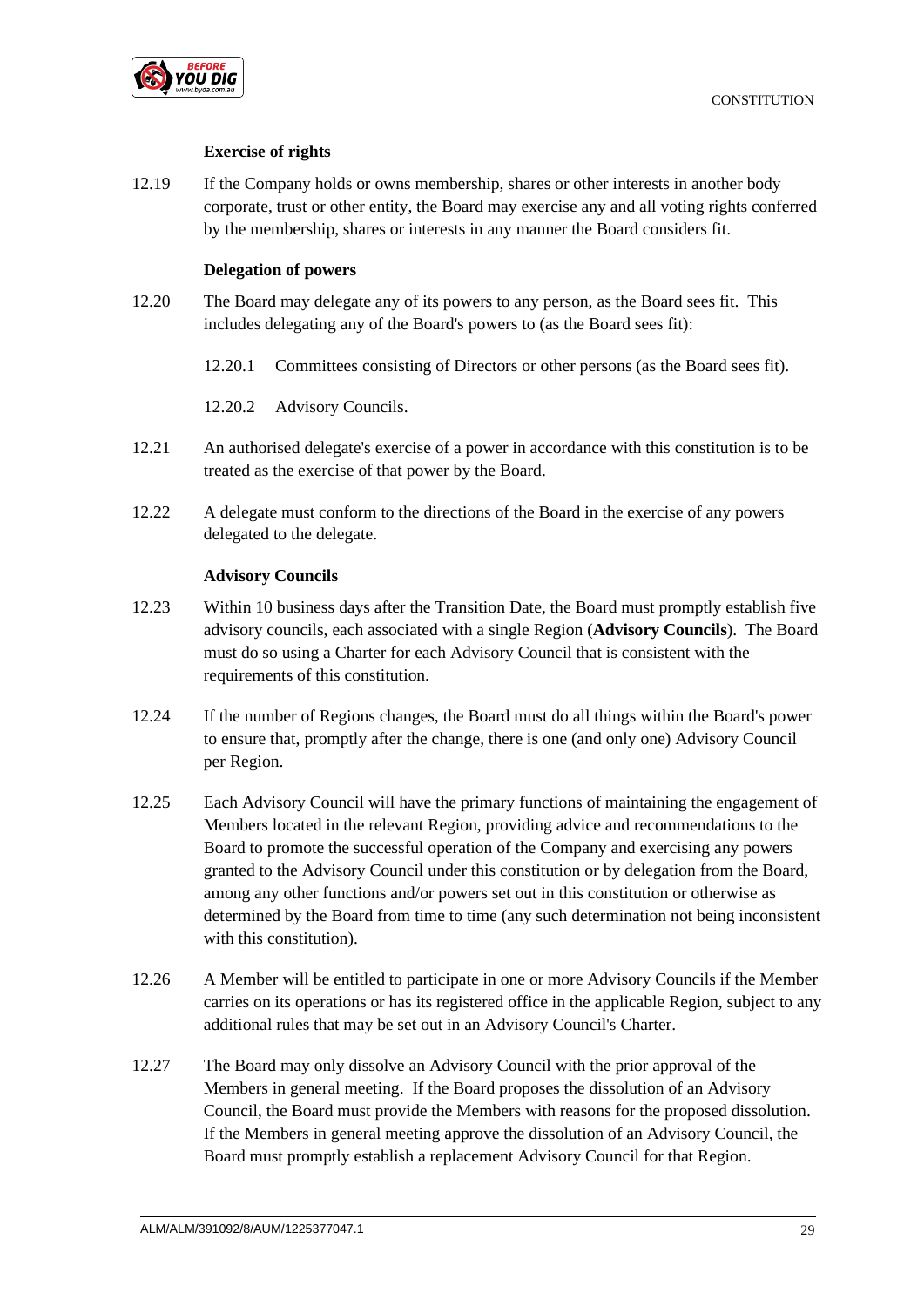

# **Exercise of rights**

12.19 If the Company holds or owns membership, shares or other interests in another body corporate, trust or other entity, the Board may exercise any and all voting rights conferred by the membership, shares or interests in any manner the Board considers fit.

# **Delegation of powers**

- <span id="page-32-2"></span>12.20 The Board may delegate any of its powers to any person, as the Board sees fit. This includes delegating any of the Board's powers to (as the Board sees fit):
	- 12.20.1 Committees consisting of Directors or other persons (as the Board sees fit).
	- 12.20.2 Advisory Councils.
- 12.21 An authorised delegate's exercise of a power in accordance with this constitution is to be treated as the exercise of that power by the Board.
- 12.22 A delegate must conform to the directions of the Board in the exercise of any powers delegated to the delegate.

## **Advisory Councils**

- <span id="page-32-1"></span>12.23 Within 10 business days after the Transition Date, the Board must promptly establish five advisory councils, each associated with a single Region (**Advisory Councils**). The Board must do so using a Charter for each Advisory Council that is consistent with the requirements of this constitution.
- <span id="page-32-0"></span>12.24 If the number of Regions changes, the Board must do all things within the Board's power to ensure that, promptly after the change, there is one (and only one) Advisory Council per Region.
- 12.25 Each Advisory Council will have the primary functions of maintaining the engagement of Members located in the relevant Region, providing advice and recommendations to the Board to promote the successful operation of the Company and exercising any powers granted to the Advisory Council under this constitution or by delegation from the Board, among any other functions and/or powers set out in this constitution or otherwise as determined by the Board from time to time (any such determination not being inconsistent with this constitution).
- 12.26 A Member will be entitled to participate in one or more Advisory Councils if the Member carries on its operations or has its registered office in the applicable Region, subject to any additional rules that may be set out in an Advisory Council's Charter.
- 12.27 The Board may only dissolve an Advisory Council with the prior approval of the Members in general meeting. If the Board proposes the dissolution of an Advisory Council, the Board must provide the Members with reasons for the proposed dissolution. If the Members in general meeting approve the dissolution of an Advisory Council, the Board must promptly establish a replacement Advisory Council for that Region.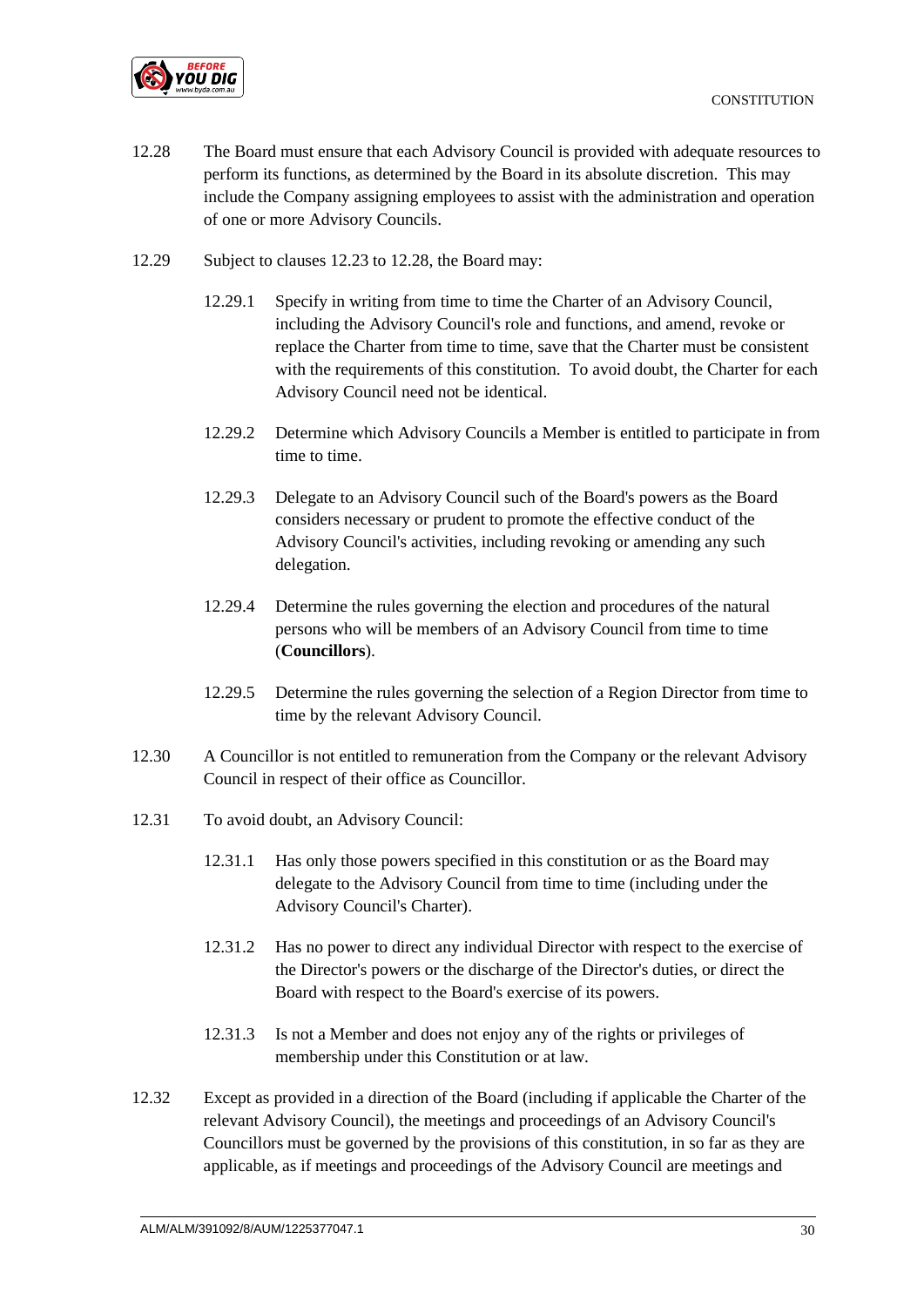

- <span id="page-33-0"></span>12.28 The Board must ensure that each Advisory Council is provided with adequate resources to perform its functions, as determined by the Board in its absolute discretion. This may include the Company assigning employees to assist with the administration and operation of one or more Advisory Councils.
- 12.29 Subject to clauses [12.23](#page-32-1) to [12.28,](#page-33-0) the Board may:
	- 12.29.1 Specify in writing from time to time the Charter of an Advisory Council, including the Advisory Council's role and functions, and amend, revoke or replace the Charter from time to time, save that the Charter must be consistent with the requirements of this constitution. To avoid doubt, the Charter for each Advisory Council need not be identical.
	- 12.29.2 Determine which Advisory Councils a Member is entitled to participate in from time to time.
	- 12.29.3 Delegate to an Advisory Council such of the Board's powers as the Board considers necessary or prudent to promote the effective conduct of the Advisory Council's activities, including revoking or amending any such delegation.
	- 12.29.4 Determine the rules governing the election and procedures of the natural persons who will be members of an Advisory Council from time to time (**Councillors**).
	- 12.29.5 Determine the rules governing the selection of a Region Director from time to time by the relevant Advisory Council.
- <span id="page-33-1"></span>12.30 A Councillor is not entitled to remuneration from the Company or the relevant Advisory Council in respect of their office as Councillor.
- 12.31 To avoid doubt, an Advisory Council:
	- 12.31.1 Has only those powers specified in this constitution or as the Board may delegate to the Advisory Council from time to time (including under the Advisory Council's Charter).
	- 12.31.2 Has no power to direct any individual Director with respect to the exercise of the Director's powers or the discharge of the Director's duties, or direct the Board with respect to the Board's exercise of its powers.
	- 12.31.3 Is not a Member and does not enjoy any of the rights or privileges of membership under this Constitution or at law.
- 12.32 Except as provided in a direction of the Board (including if applicable the Charter of the relevant Advisory Council), the meetings and proceedings of an Advisory Council's Councillors must be governed by the provisions of this constitution, in so far as they are applicable, as if meetings and proceedings of the Advisory Council are meetings and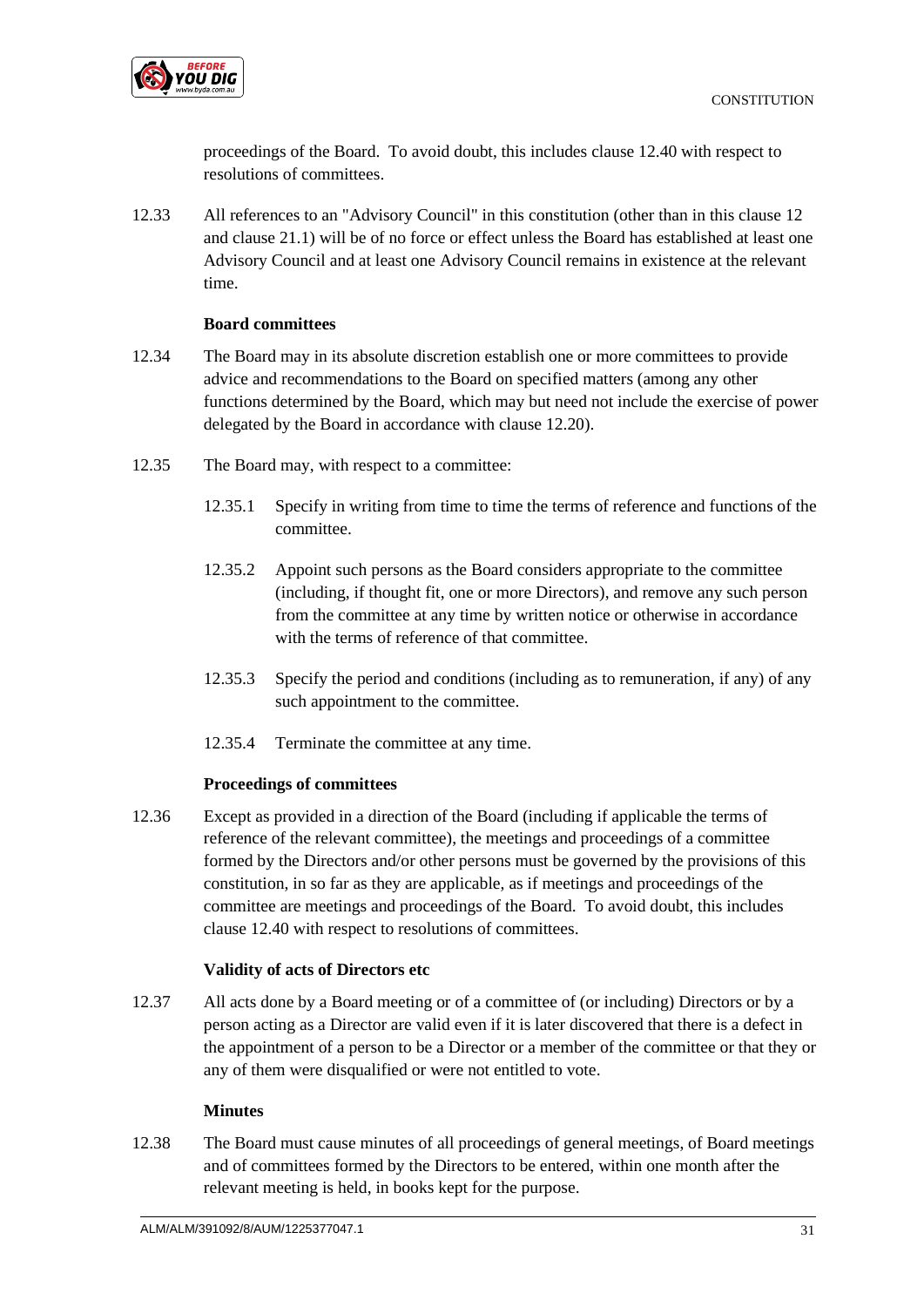

proceedings of the Board. To avoid doubt, this includes clause [12.40](#page-35-0) with respect to resolutions of committees.

12.33 All references to an "Advisory Council" in this constitution (other than in this clause [12](#page-28-1) and clause [21.1\)](#page-41-0) will be of no force or effect unless the Board has established at least one Advisory Council and at least one Advisory Council remains in existence at the relevant time.

# **Board committees**

- 12.34 The Board may in its absolute discretion establish one or more committees to provide advice and recommendations to the Board on specified matters (among any other functions determined by the Board, which may but need not include the exercise of power delegated by the Board in accordance with clause [12.20\)](#page-32-2).
- 12.35 The Board may, with respect to a committee:
	- 12.35.1 Specify in writing from time to time the terms of reference and functions of the committee.
	- 12.35.2 Appoint such persons as the Board considers appropriate to the committee (including, if thought fit, one or more Directors), and remove any such person from the committee at any time by written notice or otherwise in accordance with the terms of reference of that committee.
	- 12.35.3 Specify the period and conditions (including as to remuneration, if any) of any such appointment to the committee.
	- 12.35.4 Terminate the committee at any time.

## **Proceedings of committees**

12.36 Except as provided in a direction of the Board (including if applicable the terms of reference of the relevant committee), the meetings and proceedings of a committee formed by the Directors and/or other persons must be governed by the provisions of this constitution, in so far as they are applicable, as if meetings and proceedings of the committee are meetings and proceedings of the Board. To avoid doubt, this includes clause [12.40](#page-35-0) with respect to resolutions of committees.

# **Validity of acts of Directors etc**

12.37 All acts done by a Board meeting or of a committee of (or including) Directors or by a person acting as a Director are valid even if it is later discovered that there is a defect in the appointment of a person to be a Director or a member of the committee or that they or any of them were disqualified or were not entitled to vote.

# **Minutes**

12.38 The Board must cause minutes of all proceedings of general meetings, of Board meetings and of committees formed by the Directors to be entered, within one month after the relevant meeting is held, in books kept for the purpose.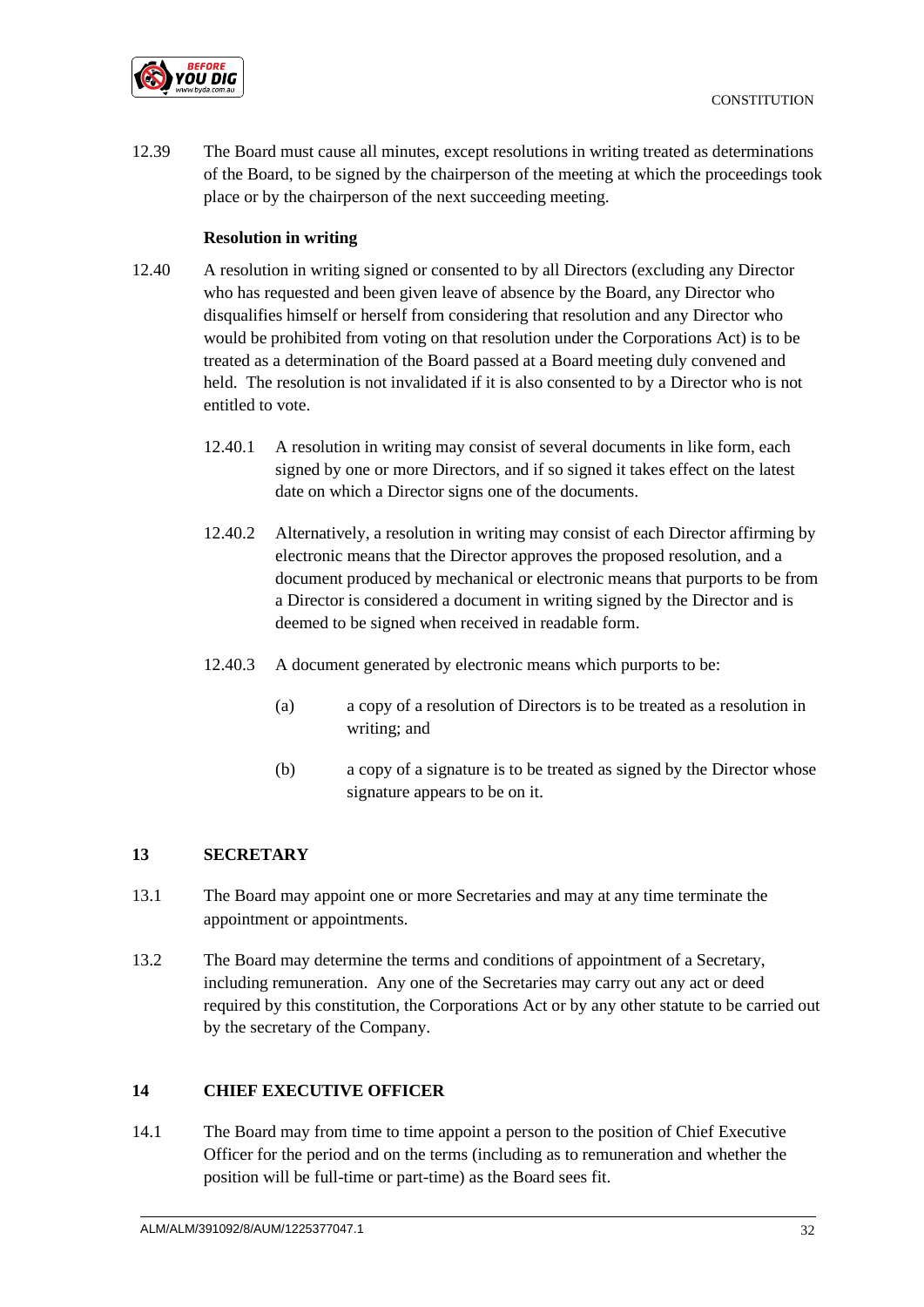

12.39 The Board must cause all minutes, except resolutions in writing treated as determinations of the Board, to be signed by the chairperson of the meeting at which the proceedings took place or by the chairperson of the next succeeding meeting.

## **Resolution in writing**

- <span id="page-35-0"></span>12.40 A resolution in writing signed or consented to by all Directors (excluding any Director who has requested and been given leave of absence by the Board, any Director who disqualifies himself or herself from considering that resolution and any Director who would be prohibited from voting on that resolution under the Corporations Act) is to be treated as a determination of the Board passed at a Board meeting duly convened and held. The resolution is not invalidated if it is also consented to by a Director who is not entitled to vote.
	- 12.40.1 A resolution in writing may consist of several documents in like form, each signed by one or more Directors, and if so signed it takes effect on the latest date on which a Director signs one of the documents.
	- 12.40.2 Alternatively, a resolution in writing may consist of each Director affirming by electronic means that the Director approves the proposed resolution, and a document produced by mechanical or electronic means that purports to be from a Director is considered a document in writing signed by the Director and is deemed to be signed when received in readable form.
	- 12.40.3 A document generated by electronic means which purports to be:
		- (a) a copy of a resolution of Directors is to be treated as a resolution in writing; and
		- (b) a copy of a signature is to be treated as signed by the Director whose signature appears to be on it.

# <span id="page-35-2"></span>**13 SECRETARY**

- 13.1 The Board may appoint one or more Secretaries and may at any time terminate the appointment or appointments.
- 13.2 The Board may determine the terms and conditions of appointment of a Secretary, including remuneration. Any one of the Secretaries may carry out any act or deed required by this constitution, the Corporations Act or by any other statute to be carried out by the secretary of the Company.

# <span id="page-35-1"></span>**14 CHIEF EXECUTIVE OFFICER**

14.1 The Board may from time to time appoint a person to the position of Chief Executive Officer for the period and on the terms (including as to remuneration and whether the position will be full-time or part-time) as the Board sees fit.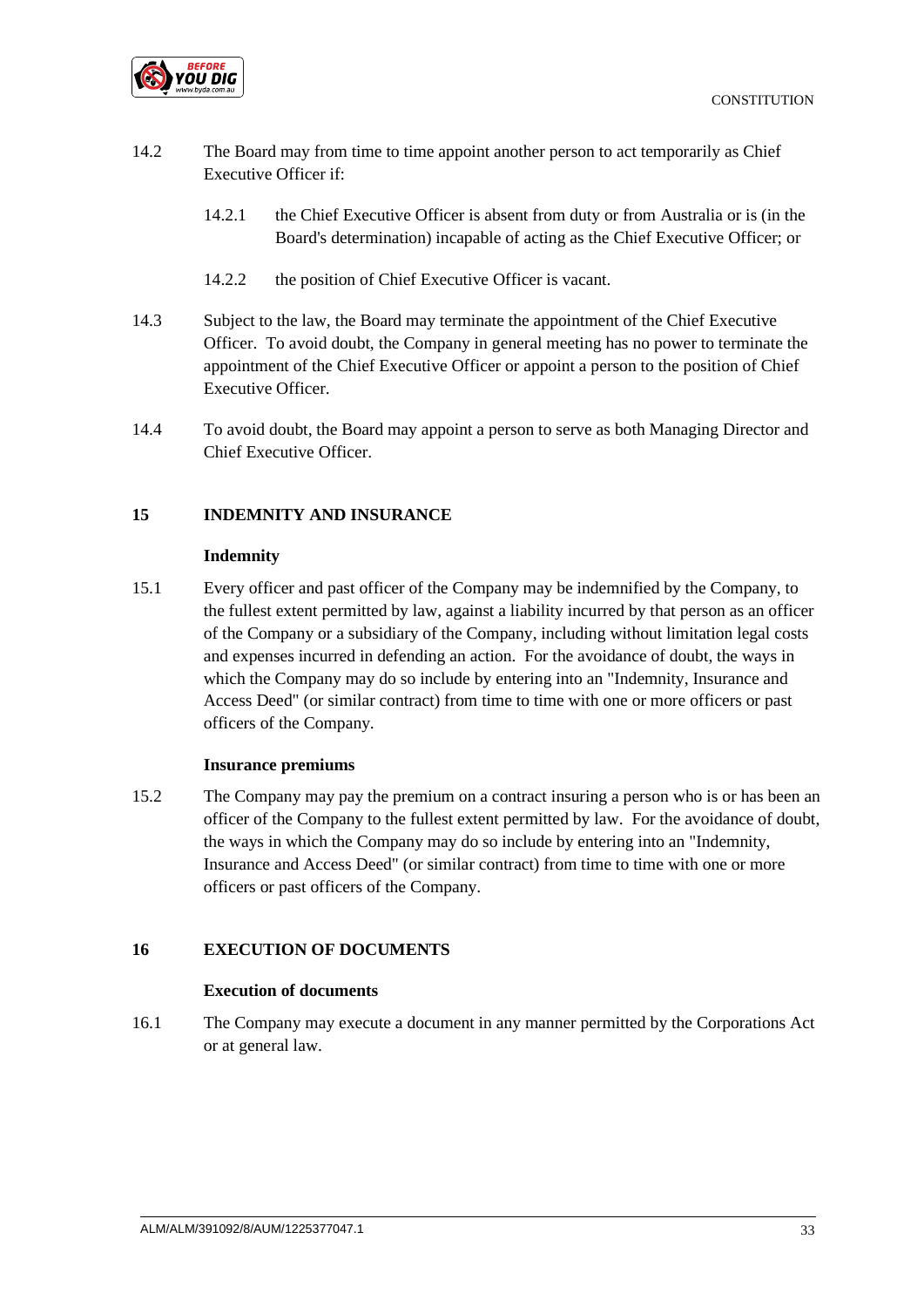

- 14.2 The Board may from time to time appoint another person to act temporarily as Chief Executive Officer if:
	- 14.2.1 the Chief Executive Officer is absent from duty or from Australia or is (in the Board's determination) incapable of acting as the Chief Executive Officer; or
	- 14.2.2 the position of Chief Executive Officer is vacant.
- 14.3 Subject to the law, the Board may terminate the appointment of the Chief Executive Officer. To avoid doubt, the Company in general meeting has no power to terminate the appointment of the Chief Executive Officer or appoint a person to the position of Chief Executive Officer.
- 14.4 To avoid doubt, the Board may appoint a person to serve as both Managing Director and Chief Executive Officer.

## **15 INDEMNITY AND INSURANCE**

## **Indemnity**

15.1 Every officer and past officer of the Company may be indemnified by the Company, to the fullest extent permitted by law, against a liability incurred by that person as an officer of the Company or a subsidiary of the Company, including without limitation legal costs and expenses incurred in defending an action. For the avoidance of doubt, the ways in which the Company may do so include by entering into an "Indemnity, Insurance and Access Deed" (or similar contract) from time to time with one or more officers or past officers of the Company.

## **Insurance premiums**

15.2 The Company may pay the premium on a contract insuring a person who is or has been an officer of the Company to the fullest extent permitted by law. For the avoidance of doubt, the ways in which the Company may do so include by entering into an "Indemnity, Insurance and Access Deed" (or similar contract) from time to time with one or more officers or past officers of the Company.

# **16 EXECUTION OF DOCUMENTS**

## **Execution of documents**

16.1 The Company may execute a document in any manner permitted by the Corporations Act or at general law.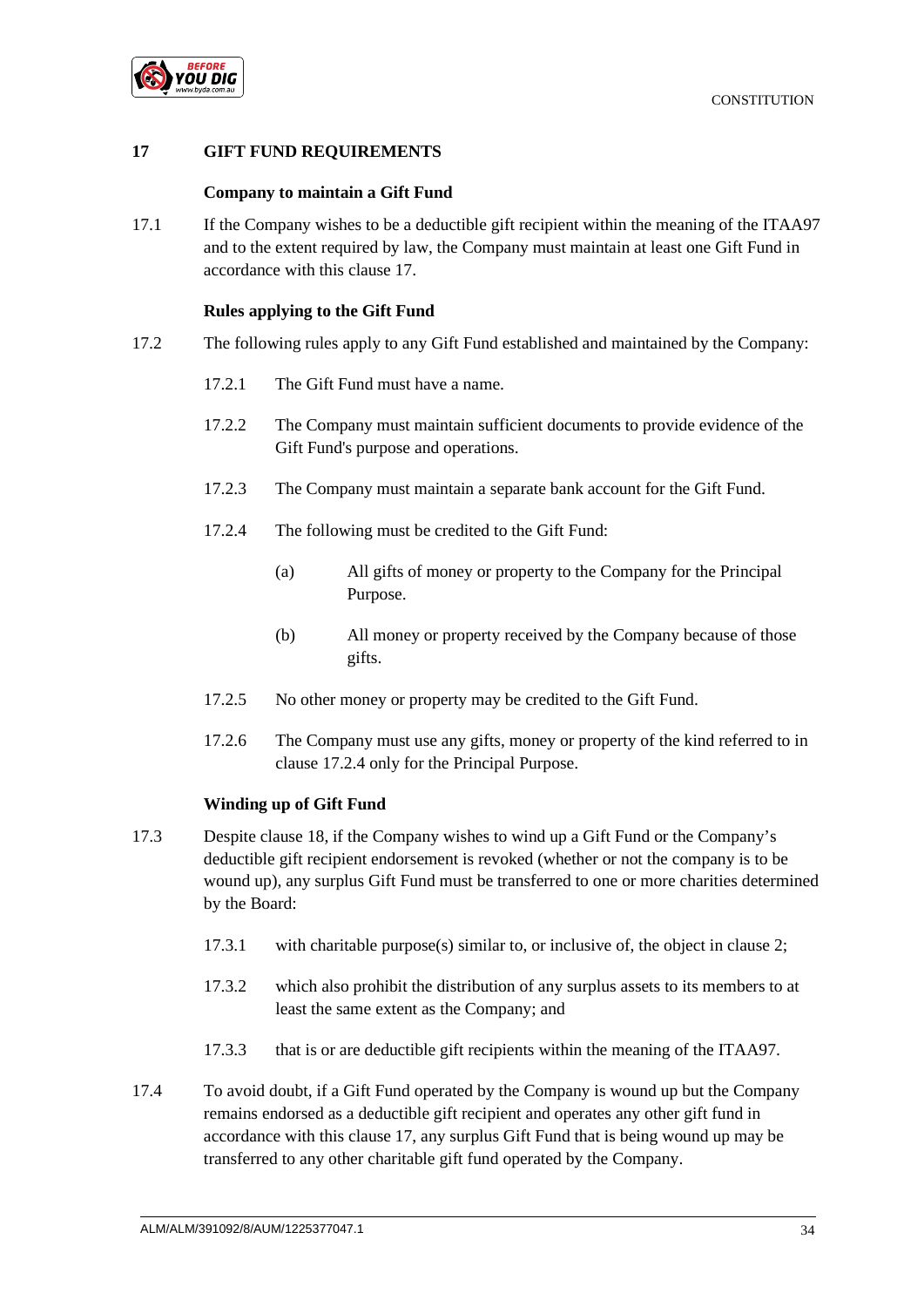

## <span id="page-37-0"></span>**17 GIFT FUND REQUIREMENTS**

## **Company to maintain a Gift Fund**

17.1 If the Company wishes to be a deductible gift recipient within the meaning of the ITAA97 and to the extent required by law, the Company must maintain at least one Gift Fund in accordance with this clause [17.](#page-37-0)

#### **Rules applying to the Gift Fund**

- <span id="page-37-1"></span>17.2 The following rules apply to any Gift Fund established and maintained by the Company:
	- 17.2.1 The Gift Fund must have a name.
	- 17.2.2 The Company must maintain sufficient documents to provide evidence of the Gift Fund's purpose and operations.
	- 17.2.3 The Company must maintain a separate bank account for the Gift Fund.
	- 17.2.4 The following must be credited to the Gift Fund:
		- (a) All gifts of money or property to the Company for the Principal Purpose.
		- (b) All money or property received by the Company because of those gifts.
	- 17.2.5 No other money or property may be credited to the Gift Fund.
	- 17.2.6 The Company must use any gifts, money or property of the kind referred to in clause [17.2.4](#page-37-1) only for the Principal Purpose.

## **Winding up of Gift Fund**

- <span id="page-37-2"></span>17.3 Despite clause [18,](#page-38-0) if the Company wishes to wind up a Gift Fund or the Company's deductible gift recipient endorsement is revoked (whether or not the company is to be wound up), any surplus Gift Fund must be transferred to one or more charities determined by the Board:
	- 17.3.1 with charitable purpose(s) similar to, or inclusive of, the object in clause [2;](#page-4-1)
	- 17.3.2 which also prohibit the distribution of any surplus assets to its members to at least the same extent as the Company; and
	- 17.3.3 that is or are deductible gift recipients within the meaning of the ITAA97.
- 17.4 To avoid doubt, if a Gift Fund operated by the Company is wound up but the Company remains endorsed as a deductible gift recipient and operates any other gift fund in accordance with this clause [17,](#page-37-0) any surplus Gift Fund that is being wound up may be transferred to any other charitable gift fund operated by the Company.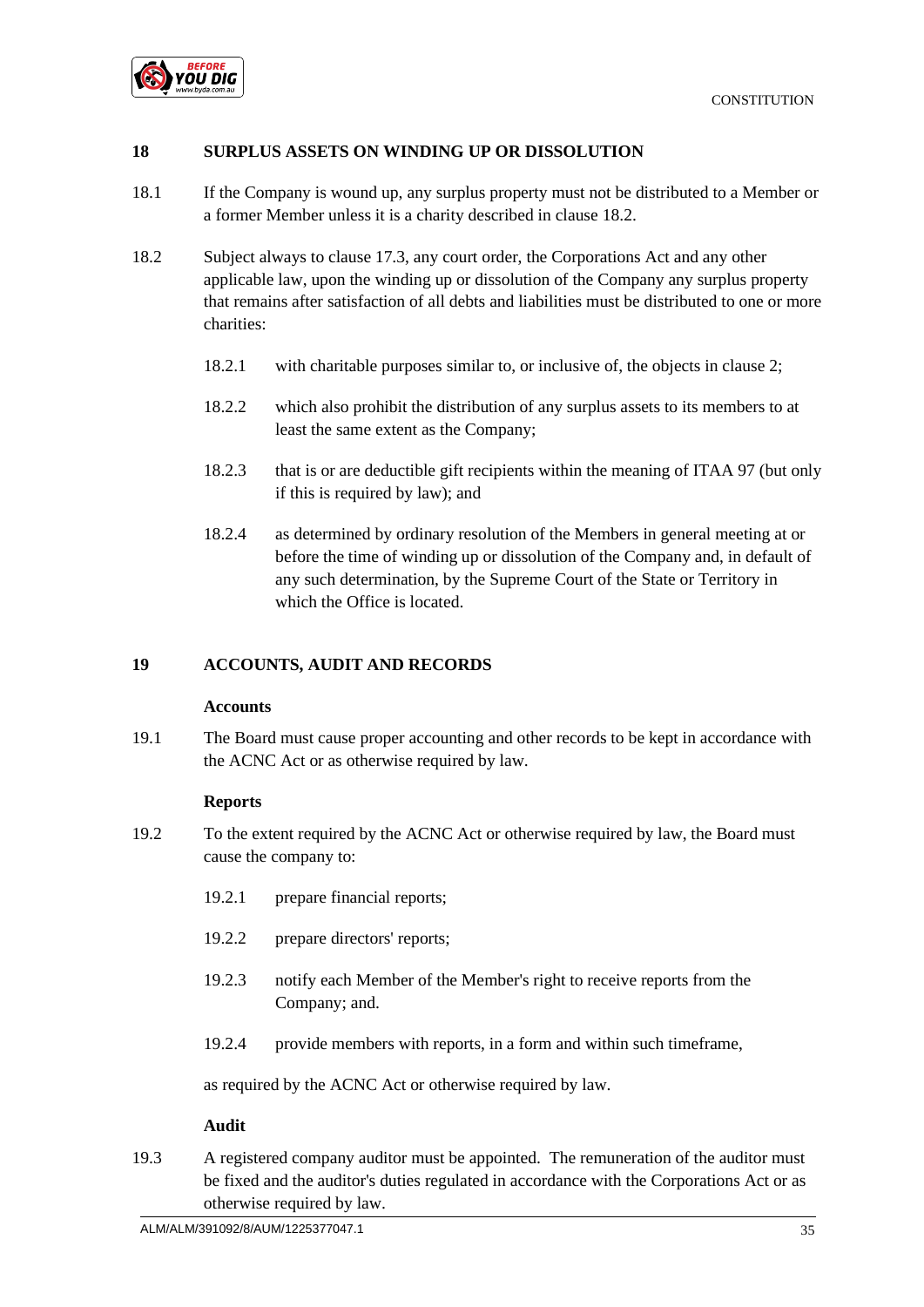

## <span id="page-38-0"></span>**18 SURPLUS ASSETS ON WINDING UP OR DISSOLUTION**

- 18.1 If the Company is wound up, any surplus property must not be distributed to a Member or a former Member unless it is a charity described in clause [18.2.](#page-38-1)
- <span id="page-38-1"></span>18.2 Subject always to clause [17.3,](#page-37-2) any court order, the Corporations Act and any other applicable law, upon the winding up or dissolution of the Company any surplus property that remains after satisfaction of all debts and liabilities must be distributed to one or more charities:
	- 18.2.1 with charitable purposes similar to, or inclusive of, the objects in clause 2;
	- 18.2.2 which also prohibit the distribution of any surplus assets to its members to at least the same extent as the Company;
	- 18.2.3 that is or are deductible gift recipients within the meaning of ITAA 97 (but only if this is required by law); and
	- 18.2.4 as determined by ordinary resolution of the Members in general meeting at or before the time of winding up or dissolution of the Company and, in default of any such determination, by the Supreme Court of the State or Territory in which the Office is located.

# **19 ACCOUNTS, AUDIT AND RECORDS**

## **Accounts**

19.1 The Board must cause proper accounting and other records to be kept in accordance with the ACNC Act or as otherwise required by law.

## **Reports**

- 19.2 To the extent required by the ACNC Act or otherwise required by law, the Board must cause the company to:
	- 19.2.1 prepare financial reports;
	- 19.2.2 prepare directors' reports;
	- 19.2.3 notify each Member of the Member's right to receive reports from the Company; and.
	- 19.2.4 provide members with reports, in a form and within such timeframe,

as required by the ACNC Act or otherwise required by law.

# **Audit**

19.3 A registered company auditor must be appointed. The remuneration of the auditor must be fixed and the auditor's duties regulated in accordance with the Corporations Act or as otherwise required by law.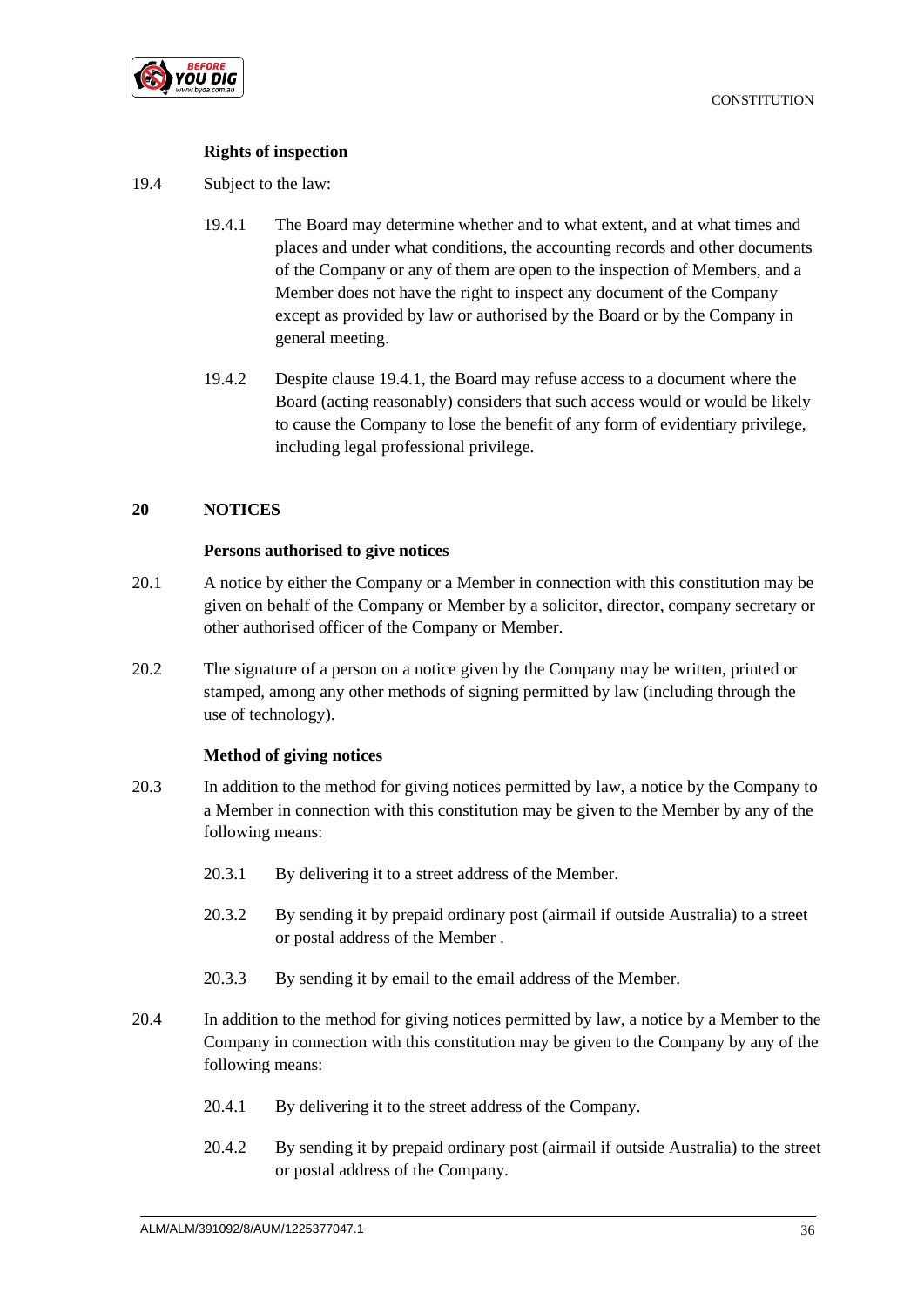

# **Rights of inspection**

- <span id="page-39-1"></span><span id="page-39-0"></span>19.4 Subject to the law:
	- 19.4.1 The Board may determine whether and to what extent, and at what times and places and under what conditions, the accounting records and other documents of the Company or any of them are open to the inspection of Members, and a Member does not have the right to inspect any document of the Company except as provided by law or authorised by the Board or by the Company in general meeting.
	- 19.4.2 Despite clause [19.4.1,](#page-39-1) the Board may refuse access to a document where the Board (acting reasonably) considers that such access would or would be likely to cause the Company to lose the benefit of any form of evidentiary privilege, including legal professional privilege.

# **20 NOTICES**

## **Persons authorised to give notices**

- 20.1 A notice by either the Company or a Member in connection with this constitution may be given on behalf of the Company or Member by a solicitor, director, company secretary or other authorised officer of the Company or Member.
- 20.2 The signature of a person on a notice given by the Company may be written, printed or stamped, among any other methods of signing permitted by law (including through the use of technology).

## **Method of giving notices**

- 20.3 In addition to the method for giving notices permitted by law, a notice by the Company to a Member in connection with this constitution may be given to the Member by any of the following means:
	- 20.3.1 By delivering it to a street address of the Member.
	- 20.3.2 By sending it by prepaid ordinary post (airmail if outside Australia) to a street or postal address of the Member .
	- 20.3.3 By sending it by email to the email address of the Member.
- 20.4 In addition to the method for giving notices permitted by law, a notice by a Member to the Company in connection with this constitution may be given to the Company by any of the following means:
	- 20.4.1 By delivering it to the street address of the Company.
	- 20.4.2 By sending it by prepaid ordinary post (airmail if outside Australia) to the street or postal address of the Company.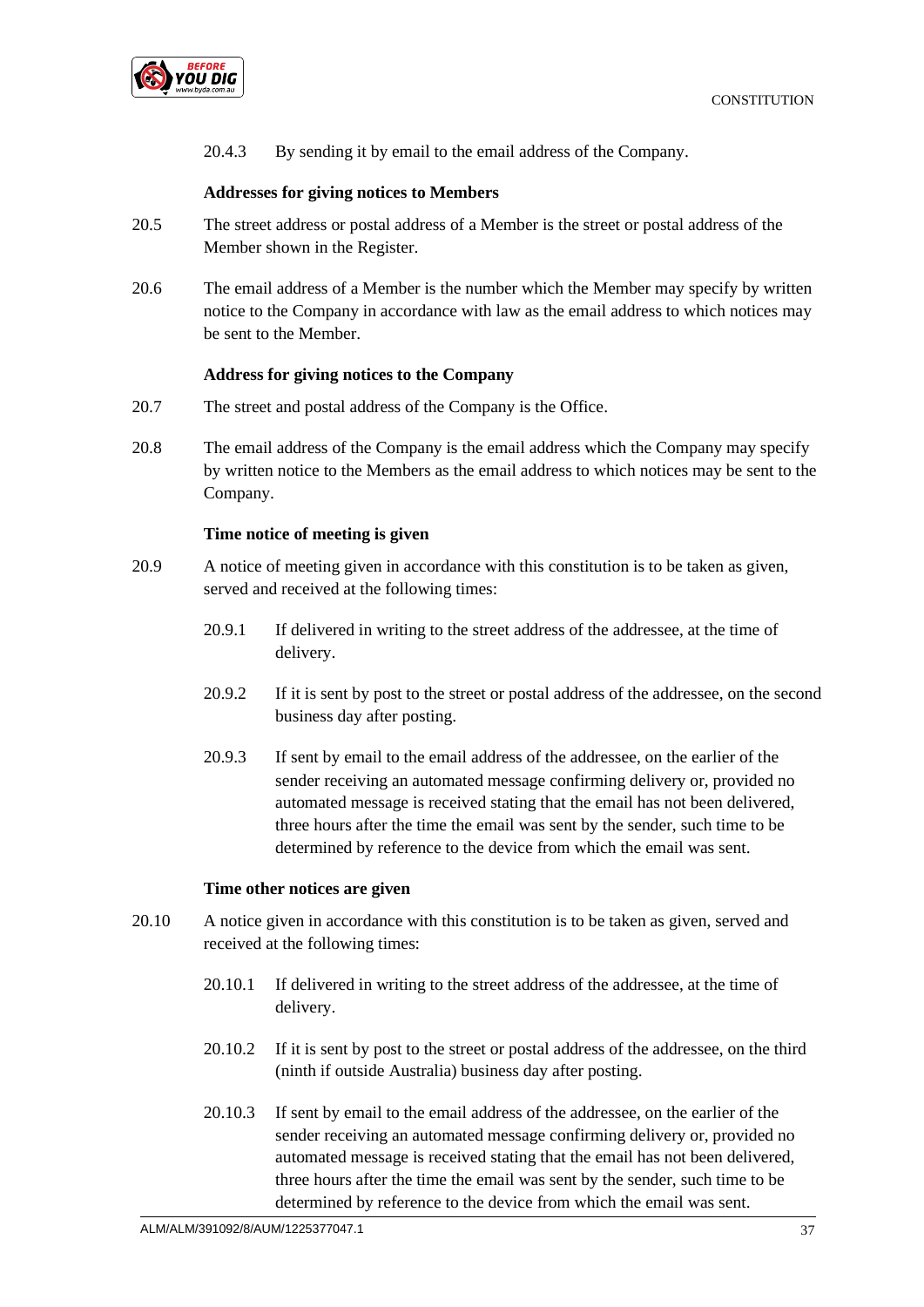

20.4.3 By sending it by email to the email address of the Company.

## **Addresses for giving notices to Members**

- 20.5 The street address or postal address of a Member is the street or postal address of the Member shown in the Register.
- 20.6 The email address of a Member is the number which the Member may specify by written notice to the Company in accordance with law as the email address to which notices may be sent to the Member.

## **Address for giving notices to the Company**

- 20.7 The street and postal address of the Company is the Office.
- 20.8 The email address of the Company is the email address which the Company may specify by written notice to the Members as the email address to which notices may be sent to the Company.

## **Time notice of meeting is given**

- 20.9 A notice of meeting given in accordance with this constitution is to be taken as given, served and received at the following times:
	- 20.9.1 If delivered in writing to the street address of the addressee, at the time of delivery.
	- 20.9.2 If it is sent by post to the street or postal address of the addressee, on the second business day after posting.
	- 20.9.3 If sent by email to the email address of the addressee, on the earlier of the sender receiving an automated message confirming delivery or, provided no automated message is received stating that the email has not been delivered, three hours after the time the email was sent by the sender, such time to be determined by reference to the device from which the email was sent.

## **Time other notices are given**

- 20.10 A notice given in accordance with this constitution is to be taken as given, served and received at the following times:
	- 20.10.1 If delivered in writing to the street address of the addressee, at the time of delivery.
	- 20.10.2 If it is sent by post to the street or postal address of the addressee, on the third (ninth if outside Australia) business day after posting.
	- 20.10.3 If sent by email to the email address of the addressee, on the earlier of the sender receiving an automated message confirming delivery or, provided no automated message is received stating that the email has not been delivered, three hours after the time the email was sent by the sender, such time to be determined by reference to the device from which the email was sent.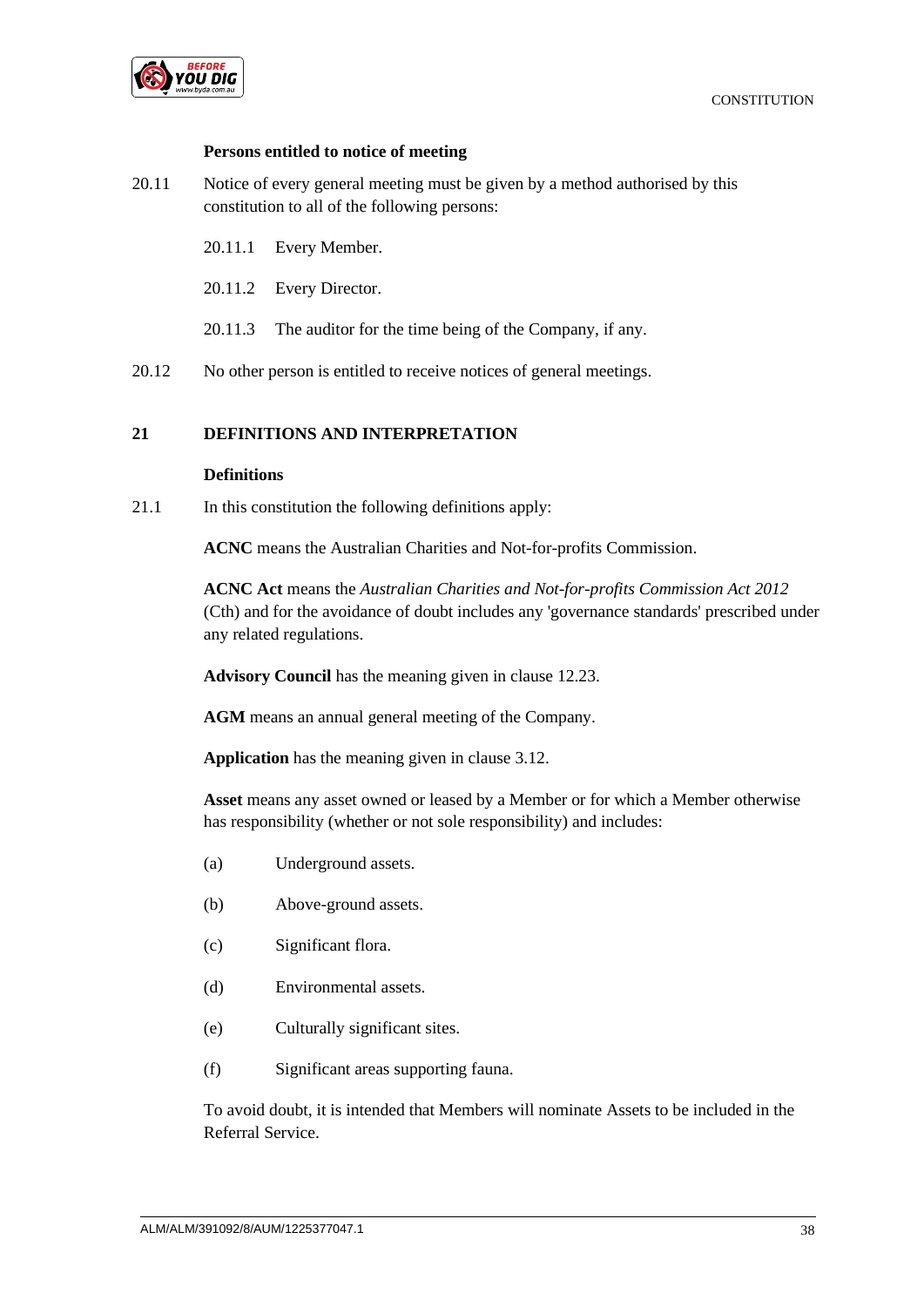

## **Persons entitled to notice of meeting**

- 20.11 Notice of every general meeting must be given by a method authorised by this constitution to all of the following persons:
	- 20.11.1 Every Member.
	- 20.11.2 Every Director.
	- 20.11.3 The auditor for the time being of the Company, if any.
- 20.12 No other person is entitled to receive notices of general meetings.

## **21 DEFINITIONS AND INTERPRETATION**

#### **Definitions**

<span id="page-41-0"></span>21.1 In this constitution the following definitions apply:

**ACNC** means the Australian Charities and Not-for-profits Commission.

**ACNC Act** means the *Australian Charities and Not-for-profits Commission Act 2012* (Cth) and for the avoidance of doubt includes any 'governance standards' prescribed under any related regulations.

**Advisory Council** has the meaning given in clause [12.23.](#page-32-1)

**AGM** means an annual general meeting of the Company.

**Application** has the meaning given in clause [3.12.](#page-7-0)

**Asset** means any asset owned or leased by a Member or for which a Member otherwise has responsibility (whether or not sole responsibility) and includes:

- (a) Underground assets.
- (b) Above-ground assets.
- (c) Significant flora.
- (d) Environmental assets.
- (e) Culturally significant sites.
- (f) Significant areas supporting fauna.

To avoid doubt, it is intended that Members will nominate Assets to be included in the Referral Service.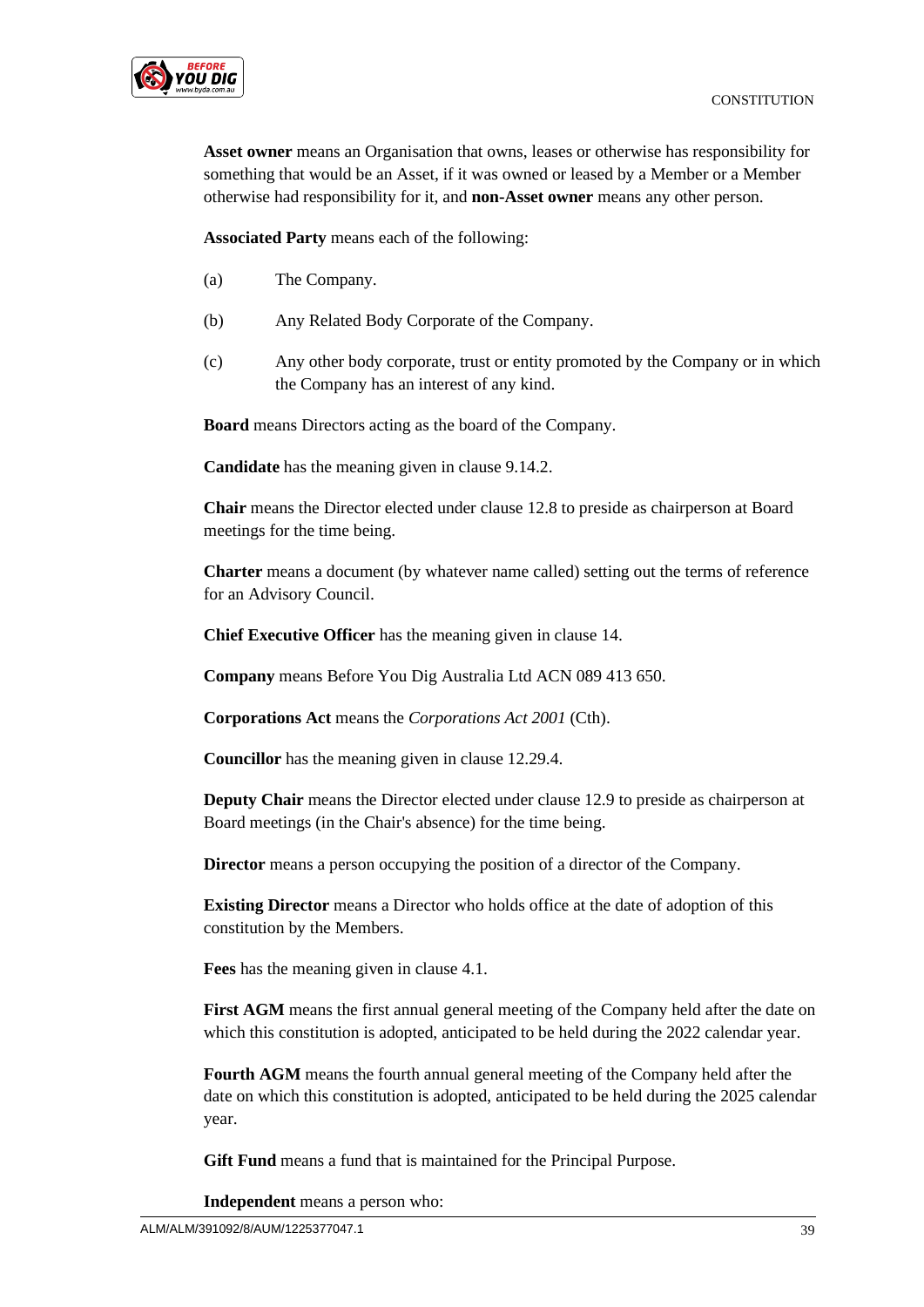

**Asset owner** means an Organisation that owns, leases or otherwise has responsibility for something that would be an Asset, if it was owned or leased by a Member or a Member otherwise had responsibility for it, and **non-Asset owner** means any other person.

**Associated Party** means each of the following:

- (a) The Company.
- (b) Any Related Body Corporate of the Company.
- (c) Any other body corporate, trust or entity promoted by the Company or in which the Company has an interest of any kind.

**Board** means Directors acting as the board of the Company.

**Candidate** has the meaning given in clause [9.14.2.](#page-23-6)

**Chair** means the Director elected under clause [12.8](#page-29-0) to preside as chairperson at Board meetings for the time being.

**Charter** means a document (by whatever name called) setting out the terms of reference for an Advisory Council.

**Chief Executive Officer** has the meaning given in clause [14.](#page-35-1)

**Company** means Before You Dig Australia Ltd ACN 089 413 650.

**Corporations Act** means the *Corporations Act 2001* (Cth).

**Councillor** has the meaning given in clause [12.29.4.](#page-33-1)

**Deputy Chair** means the Director elected under clause [12.9](#page-30-0) to preside as chairperson at Board meetings (in the Chair's absence) for the time being.

**Director** means a person occupying the position of a director of the Company.

**Existing Director** means a Director who holds office at the date of adoption of this constitution by the Members.

**Fees** has the meaning given in clause [4.1.](#page-9-1)

**First AGM** means the first annual general meeting of the Company held after the date on which this constitution is adopted, anticipated to be held during the 2022 calendar year.

**Fourth AGM** means the fourth annual general meeting of the Company held after the date on which this constitution is adopted, anticipated to be held during the 2025 calendar year.

**Gift Fund** means a fund that is maintained for the Principal Purpose.

**Independent** means a person who: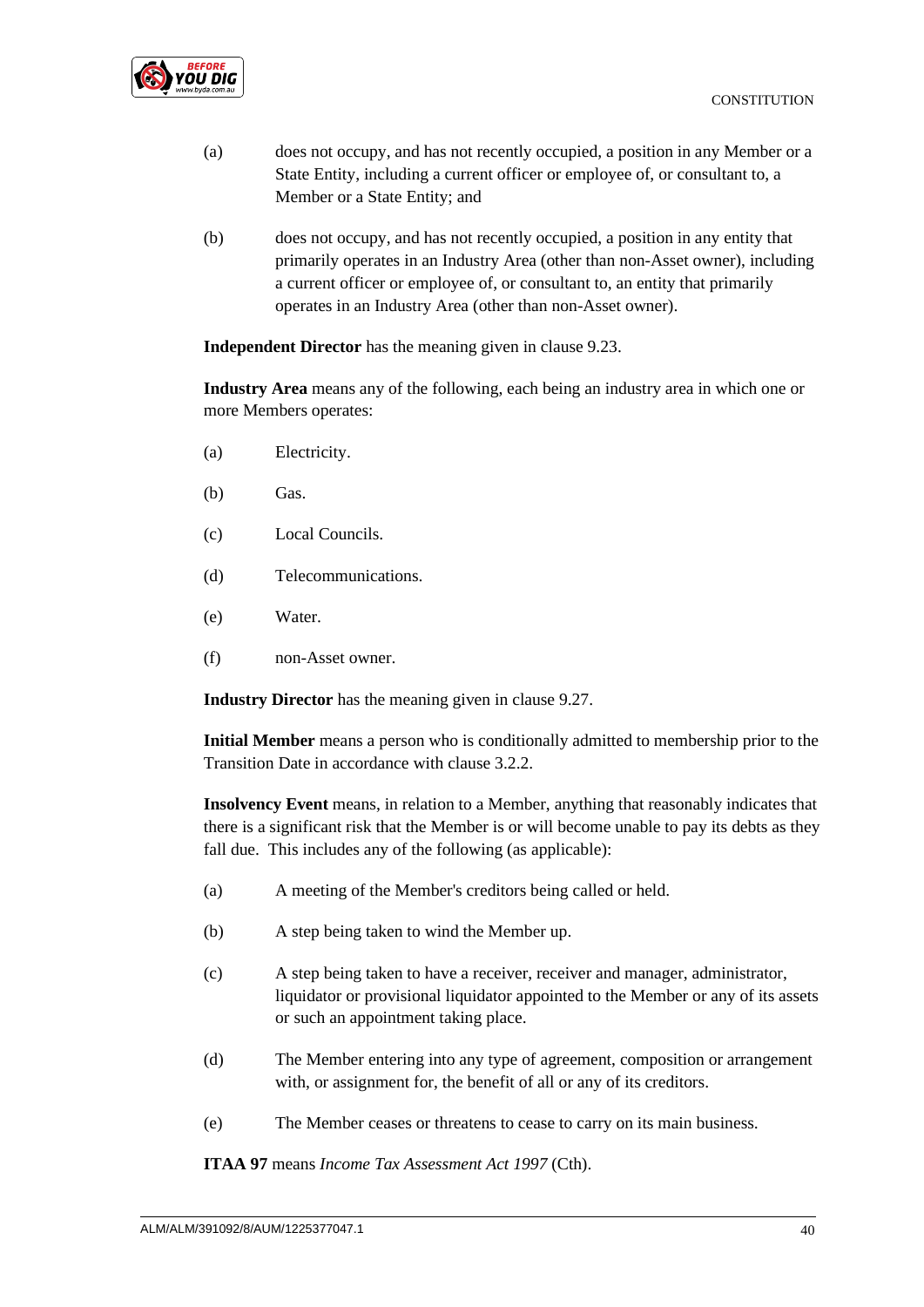

- (a) does not occupy, and has not recently occupied, a position in any Member or a State Entity, including a current officer or employee of, or consultant to, a Member or a State Entity; and
- (b) does not occupy, and has not recently occupied, a position in any entity that primarily operates in an Industry Area (other than non-Asset owner), including a current officer or employee of, or consultant to, an entity that primarily operates in an Industry Area (other than non-Asset owner).

**Independent Director** has the meaning given in claus[e 9.23.](#page-25-1)

**Industry Area** means any of the following, each being an industry area in which one or more Members operates:

- (a) Electricity.
- (b) Gas.
- (c) Local Councils.
- (d) Telecommunications.
- (e) Water.
- (f) non-Asset owner.

**Industry Director** has the meaning given in clause [9.27.](#page-26-4)

**Initial Member** means a person who is conditionally admitted to membership prior to the Transition Date in accordance with clause [3.2.2.](#page-5-1)

**Insolvency Event** means, in relation to a Member, anything that reasonably indicates that there is a significant risk that the Member is or will become unable to pay its debts as they fall due. This includes any of the following (as applicable):

- (a) A meeting of the Member's creditors being called or held.
- (b) A step being taken to wind the Member up.
- (c) A step being taken to have a receiver, receiver and manager, administrator, liquidator or provisional liquidator appointed to the Member or any of its assets or such an appointment taking place.
- (d) The Member entering into any type of agreement, composition or arrangement with, or assignment for, the benefit of all or any of its creditors.
- (e) The Member ceases or threatens to cease to carry on its main business.

**ITAA 97** means *Income Tax Assessment Act 1997* (Cth).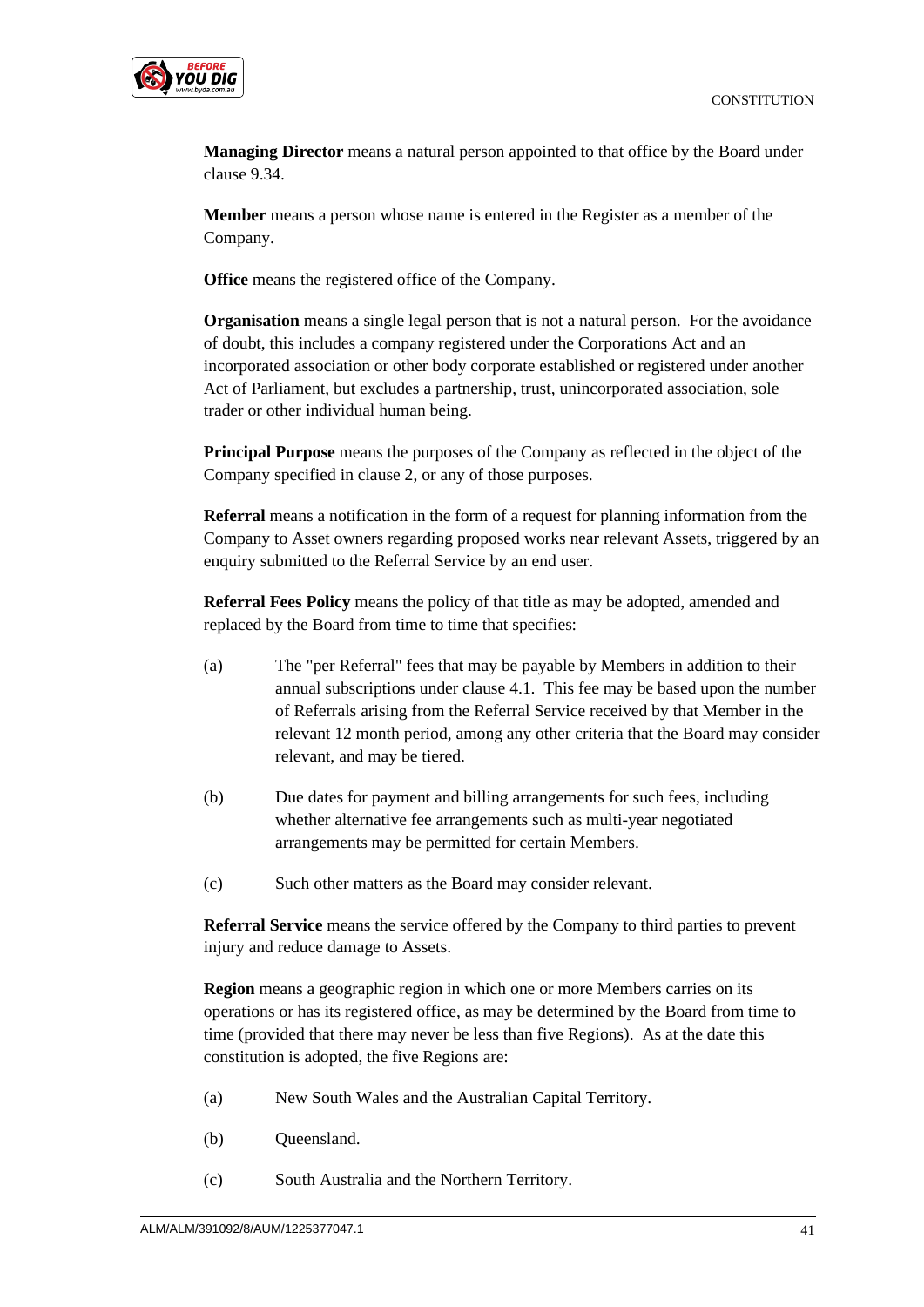

**Managing Director** means a natural person appointed to that office by the Board under clause [9.34.](#page-27-0)

**Member** means a person whose name is entered in the Register as a member of the Company.

**Office** means the registered office of the Company.

**Organisation** means a single legal person that is not a natural person. For the avoidance of doubt, this includes a company registered under the Corporations Act and an incorporated association or other body corporate established or registered under another Act of Parliament, but excludes a partnership, trust, unincorporated association, sole trader or other individual human being.

**Principal Purpose** means the purposes of the Company as reflected in the object of the Company specified in clause [2,](#page-4-1) or any of those purposes.

**Referral** means a notification in the form of a request for planning information from the Company to Asset owners regarding proposed works near relevant Assets, triggered by an enquiry submitted to the Referral Service by an end user.

**Referral Fees Policy** means the policy of that title as may be adopted, amended and replaced by the Board from time to time that specifies:

- (a) The "per Referral" fees that may be payable by Members in addition to their annual subscriptions under clause [4.1.](#page-9-1) This fee may be based upon the number of Referrals arising from the Referral Service received by that Member in the relevant 12 month period, among any other criteria that the Board may consider relevant, and may be tiered.
- (b) Due dates for payment and billing arrangements for such fees, including whether alternative fee arrangements such as multi-year negotiated arrangements may be permitted for certain Members.
- (c) Such other matters as the Board may consider relevant.

**Referral Service** means the service offered by the Company to third parties to prevent injury and reduce damage to Assets.

**Region** means a geographic region in which one or more Members carries on its operations or has its registered office, as may be determined by the Board from time to time (provided that there may never be less than five Regions). As at the date this constitution is adopted, the five Regions are:

- (a) New South Wales and the Australian Capital Territory.
- (b) Queensland.
- (c) South Australia and the Northern Territory.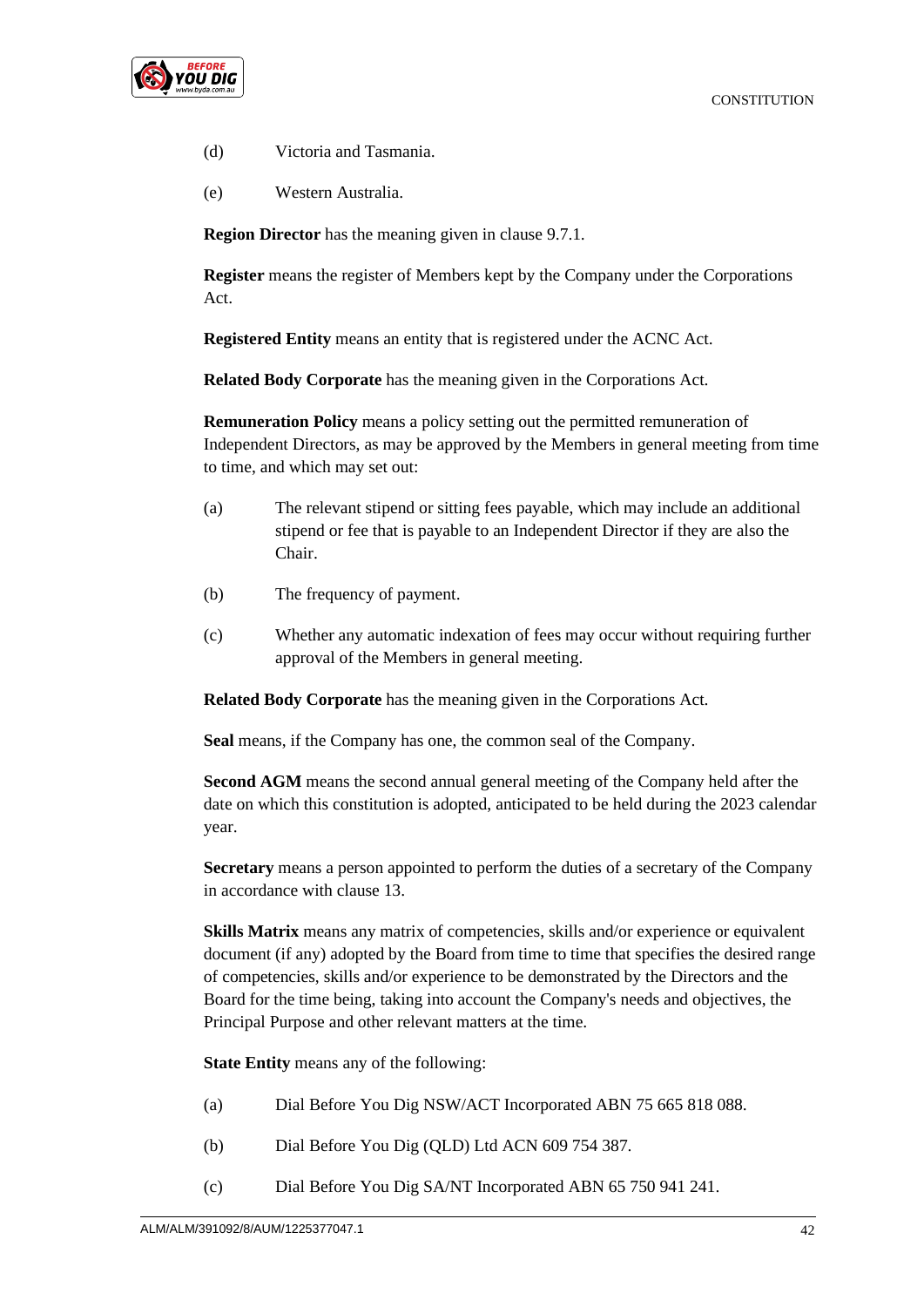

- (d) Victoria and Tasmania.
- (e) Western Australia.

**Region Director** has the meaning given in clause [9.7.1.](#page-21-1)

**Register** means the register of Members kept by the Company under the Corporations Act.

**Registered Entity** means an entity that is registered under the ACNC Act.

**Related Body Corporate** has the meaning given in the Corporations Act.

**Remuneration Policy** means a policy setting out the permitted remuneration of Independent Directors, as may be approved by the Members in general meeting from time to time, and which may set out:

- (a) The relevant stipend or sitting fees payable, which may include an additional stipend or fee that is payable to an Independent Director if they are also the Chair.
- (b) The frequency of payment.
- (c) Whether any automatic indexation of fees may occur without requiring further approval of the Members in general meeting.

**Related Body Corporate** has the meaning given in the Corporations Act.

**Seal** means, if the Company has one, the common seal of the Company.

**Second AGM** means the second annual general meeting of the Company held after the date on which this constitution is adopted, anticipated to be held during the 2023 calendar year.

**Secretary** means a person appointed to perform the duties of a secretary of the Company in accordance with clause [13.](#page-35-2)

**Skills Matrix** means any matrix of competencies, skills and/or experience or equivalent document (if any) adopted by the Board from time to time that specifies the desired range of competencies, skills and/or experience to be demonstrated by the Directors and the Board for the time being, taking into account the Company's needs and objectives, the Principal Purpose and other relevant matters at the time.

**State Entity** means any of the following:

- (a) Dial Before You Dig NSW/ACT Incorporated ABN 75 665 818 088.
- (b) Dial Before You Dig (QLD) Ltd ACN 609 754 387.
- (c) Dial Before You Dig SA/NT Incorporated ABN 65 750 941 241.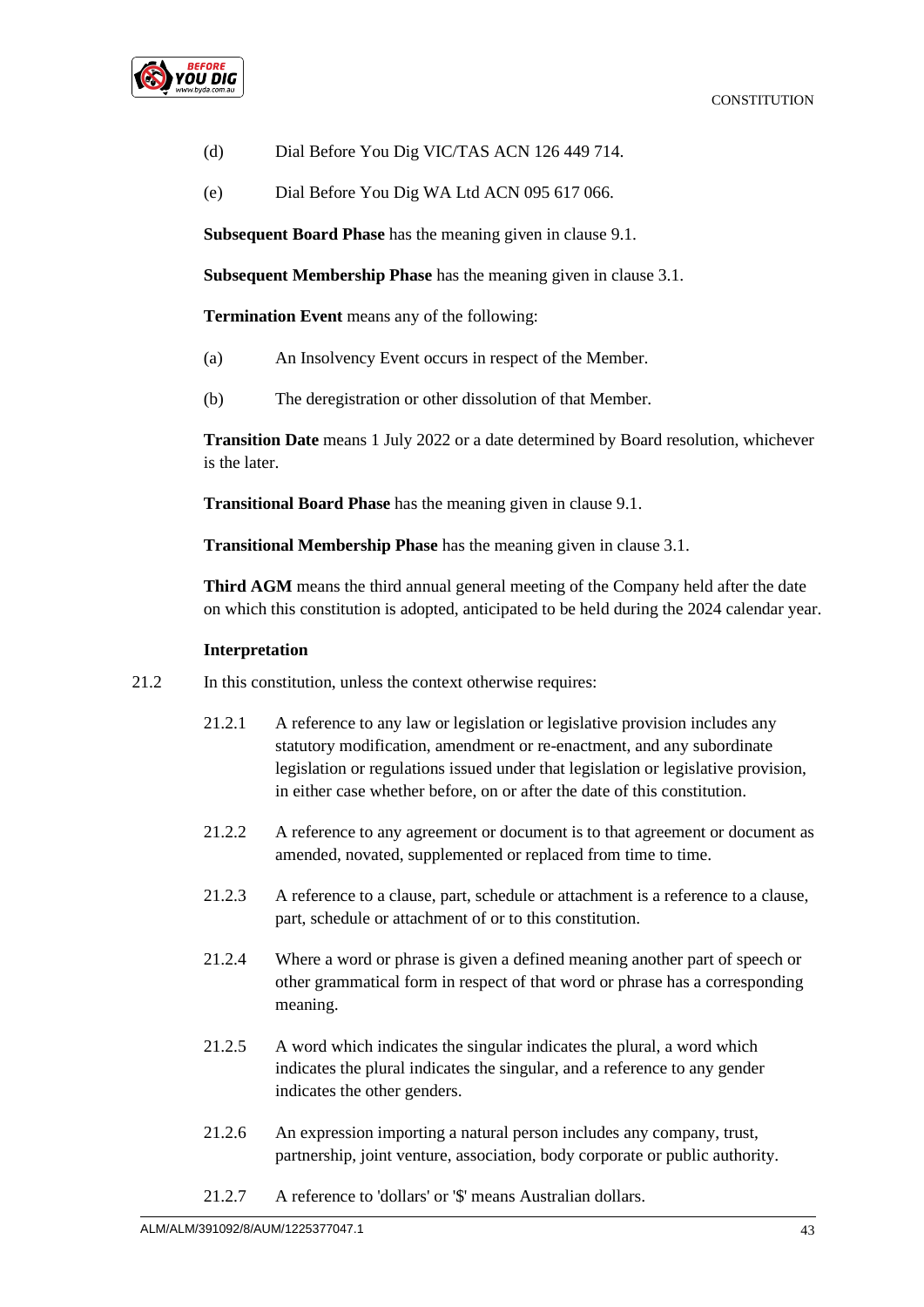

- (d) Dial Before You Dig VIC/TAS ACN 126 449 714.
- (e) Dial Before You Dig WA Ltd ACN 095 617 066.

**Subsequent Board Phase** has the meaning given in clause [9.1.](#page-20-2)

**Subsequent Membership Phase** has the meaning given in clause [3.1.](#page-5-2)

**Termination Event** means any of the following:

- (a) An Insolvency Event occurs in respect of the Member.
- (b) The deregistration or other dissolution of that Member.

**Transition Date** means 1 July 2022 or a date determined by Board resolution, whichever is the later.

**Transitional Board Phase** has the meaning given in clause [9.1.](#page-20-2)

**Transitional Membership Phase** has the meaning given in clause [3.1.](#page-5-2)

**Third AGM** means the third annual general meeting of the Company held after the date on which this constitution is adopted, anticipated to be held during the 2024 calendar year.

## **Interpretation**

- 21.2 In this constitution, unless the context otherwise requires:
	- 21.2.1 A reference to any law or legislation or legislative provision includes any statutory modification, amendment or re-enactment, and any subordinate legislation or regulations issued under that legislation or legislative provision, in either case whether before, on or after the date of this constitution.
	- 21.2.2 A reference to any agreement or document is to that agreement or document as amended, novated, supplemented or replaced from time to time.
	- 21.2.3 A reference to a clause, part, schedule or attachment is a reference to a clause, part, schedule or attachment of or to this constitution.
	- 21.2.4 Where a word or phrase is given a defined meaning another part of speech or other grammatical form in respect of that word or phrase has a corresponding meaning.
	- 21.2.5 A word which indicates the singular indicates the plural, a word which indicates the plural indicates the singular, and a reference to any gender indicates the other genders.
	- 21.2.6 An expression importing a natural person includes any company, trust, partnership, joint venture, association, body corporate or public authority.
	- 21.2.7 A reference to 'dollars' or '\$' means Australian dollars.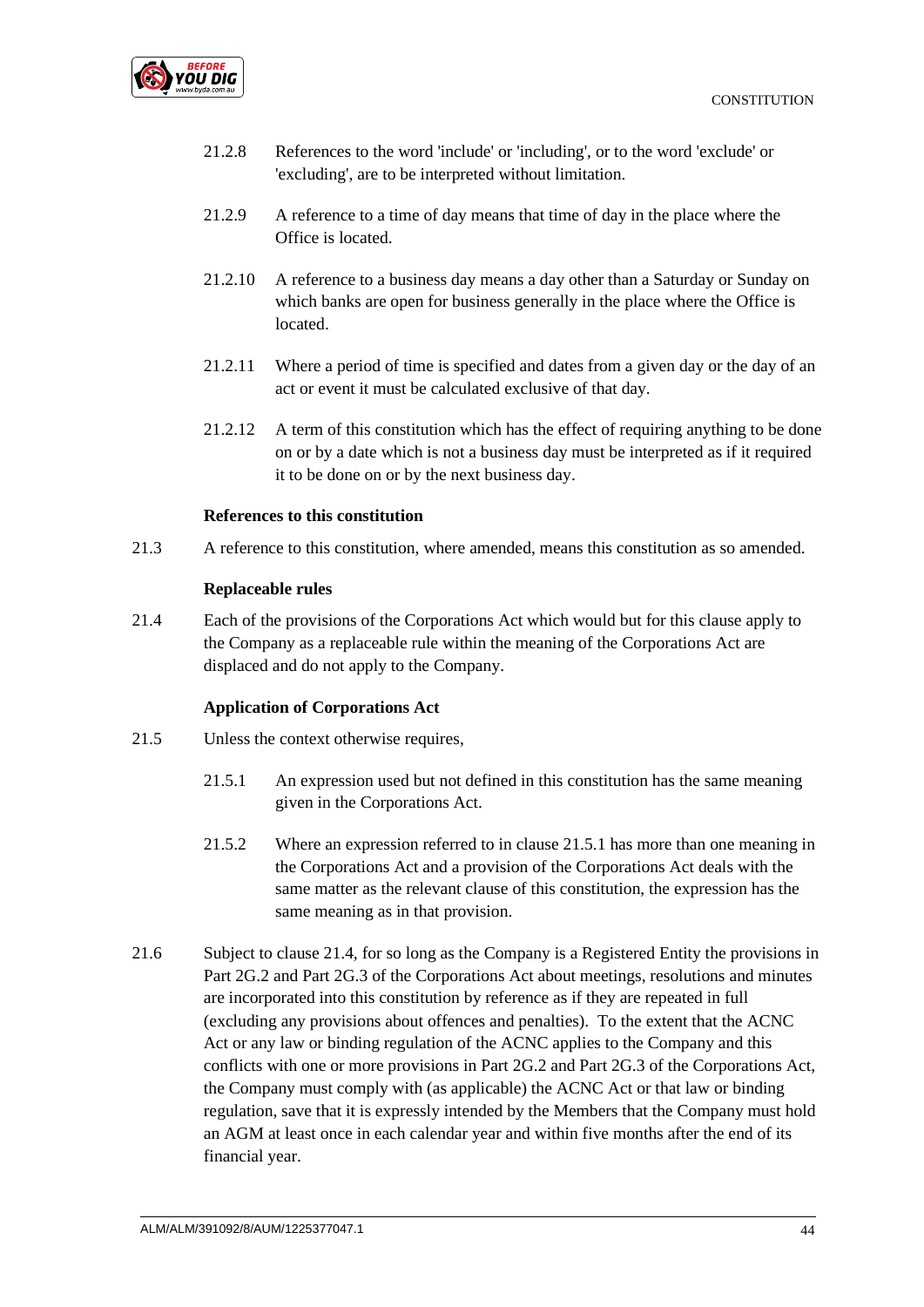

- 21.2.8 References to the word 'include' or 'including', or to the word 'exclude' or 'excluding', are to be interpreted without limitation.
- 21.2.9 A reference to a time of day means that time of day in the place where the Office is located.
- 21.2.10 A reference to a business day means a day other than a Saturday or Sunday on which banks are open for business generally in the place where the Office is located.
- 21.2.11 Where a period of time is specified and dates from a given day or the day of an act or event it must be calculated exclusive of that day.
- 21.2.12 A term of this constitution which has the effect of requiring anything to be done on or by a date which is not a business day must be interpreted as if it required it to be done on or by the next business day.

## **References to this constitution**

21.3 A reference to this constitution, where amended, means this constitution as so amended.

## **Replaceable rules**

<span id="page-47-1"></span>21.4 Each of the provisions of the Corporations Act which would but for this clause apply to the Company as a replaceable rule within the meaning of the Corporations Act are displaced and do not apply to the Company.

## **Application of Corporations Act**

- <span id="page-47-0"></span>21.5 Unless the context otherwise requires,
	- 21.5.1 An expression used but not defined in this constitution has the same meaning given in the Corporations Act.
	- 21.5.2 Where an expression referred to in clause [21.5.1](#page-47-0) has more than one meaning in the Corporations Act and a provision of the Corporations Act deals with the same matter as the relevant clause of this constitution, the expression has the same meaning as in that provision.
- 21.6 Subject to clause [21.4,](#page-47-1) for so long as the Company is a Registered Entity the provisions in Part 2G.2 and Part 2G.3 of the Corporations Act about meetings, resolutions and minutes are incorporated into this constitution by reference as if they are repeated in full (excluding any provisions about offences and penalties). To the extent that the ACNC Act or any law or binding regulation of the ACNC applies to the Company and this conflicts with one or more provisions in Part 2G.2 and Part 2G.3 of the Corporations Act, the Company must comply with (as applicable) the ACNC Act or that law or binding regulation, save that it is expressly intended by the Members that the Company must hold an AGM at least once in each calendar year and within five months after the end of its financial year.